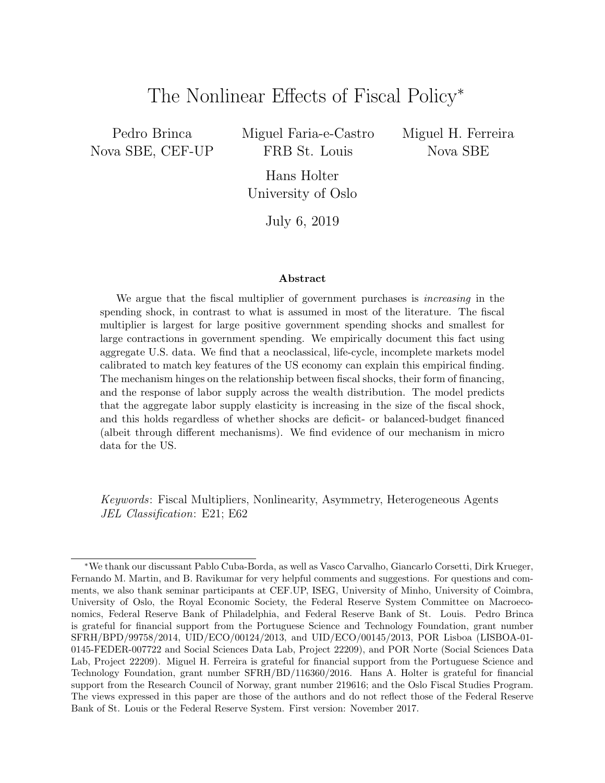# The Nonlinear Effects of Fiscal Policy<sup>∗</sup>

Pedro Brinca Nova SBE, CEF-UP Miguel Faria-e-Castro FRB St. Louis

Miguel H. Ferreira Nova SBE

Hans Holter University of Oslo

July 6, 2019

#### Abstract

We argue that the fiscal multiplier of government purchases is *increasing* in the spending shock, in contrast to what is assumed in most of the literature. The fiscal multiplier is largest for large positive government spending shocks and smallest for large contractions in government spending. We empirically document this fact using aggregate U.S. data. We find that a neoclassical, life-cycle, incomplete markets model calibrated to match key features of the US economy can explain this empirical finding. The mechanism hinges on the relationship between fiscal shocks, their form of financing, and the response of labor supply across the wealth distribution. The model predicts that the aggregate labor supply elasticity is increasing in the size of the fiscal shock, and this holds regardless of whether shocks are deficit- or balanced-budget financed (albeit through different mechanisms). We find evidence of our mechanism in micro data for the US.

Keywords: Fiscal Multipliers, Nonlinearity, Asymmetry, Heterogeneous Agents JEL Classification: E21; E62

<sup>∗</sup>We thank our discussant Pablo Cuba-Borda, as well as Vasco Carvalho, Giancarlo Corsetti, Dirk Krueger, Fernando M. Martin, and B. Ravikumar for very helpful comments and suggestions. For questions and comments, we also thank seminar participants at CEF.UP, ISEG, University of Minho, University of Coimbra, University of Oslo, the Royal Economic Society, the Federal Reserve System Committee on Macroeconomics, Federal Reserve Bank of Philadelphia, and Federal Reserve Bank of St. Louis. Pedro Brinca is grateful for financial support from the Portuguese Science and Technology Foundation, grant number SFRH/BPD/99758/2014, UID/ECO/00124/2013, and UID/ECO/00145/2013, POR Lisboa (LISBOA-01- 0145-FEDER-007722 and Social Sciences Data Lab, Project 22209), and POR Norte (Social Sciences Data Lab, Project 22209). Miguel H. Ferreira is grateful for financial support from the Portuguese Science and Technology Foundation, grant number SFRH/BD/116360/2016. Hans A. Holter is grateful for financial support from the Research Council of Norway, grant number 219616; and the Oslo Fiscal Studies Program. The views expressed in this paper are those of the authors and do not reflect those of the Federal Reserve Bank of St. Louis or the Federal Reserve System. First version: November 2017.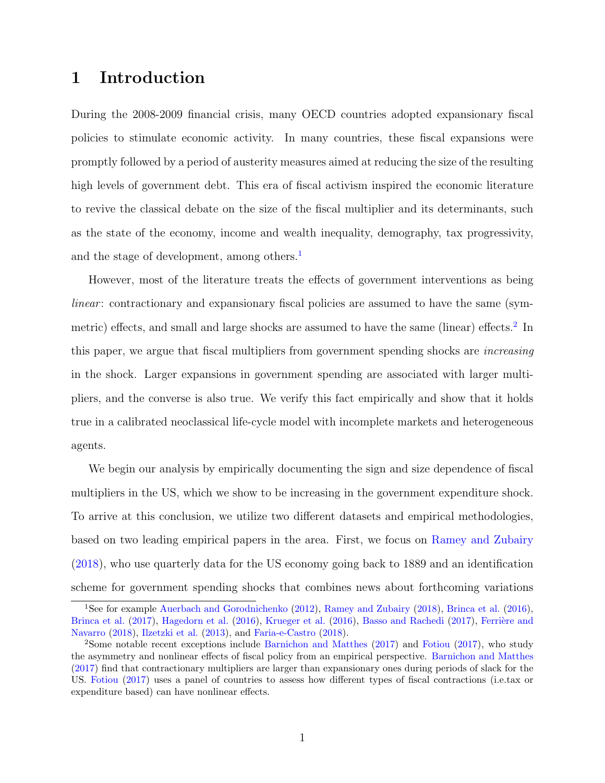# 1 Introduction

During the 2008-2009 financial crisis, many OECD countries adopted expansionary fiscal policies to stimulate economic activity. In many countries, these fiscal expansions were promptly followed by a period of austerity measures aimed at reducing the size of the resulting high levels of government debt. This era of fiscal activism inspired the economic literature to revive the classical debate on the size of the fiscal multiplier and its determinants, such as the state of the economy, income and wealth inequality, demography, tax progressivity, and the stage of development, among others.<sup>[1](#page-1-0)</sup>

However, most of the literature treats the effects of government interventions as being linear: contractionary and expansionary fiscal policies are assumed to have the same (sym-metric) effects, and small and large shocks are assumed to have the same (linear) effects.<sup>[2](#page-1-1)</sup> In this paper, we argue that fiscal multipliers from government spending shocks are increasing in the shock. Larger expansions in government spending are associated with larger multipliers, and the converse is also true. We verify this fact empirically and show that it holds true in a calibrated neoclassical life-cycle model with incomplete markets and heterogeneous agents.

We begin our analysis by empirically documenting the sign and size dependence of fiscal multipliers in the US, which we show to be increasing in the government expenditure shock. To arrive at this conclusion, we utilize two different datasets and empirical methodologies, based on two leading empirical papers in the area. First, we focus on [Ramey and Zubairy](#page-46-0) [\(2018\)](#page-46-0), who use quarterly data for the US economy going back to 1889 and an identification scheme for government spending shocks that combines news about forthcoming variations

<span id="page-1-0"></span><sup>&</sup>lt;sup>1</sup>See for example [Auerbach and Gorodnichenko](#page-44-0) [\(2012\)](#page-44-0), [Ramey and Zubairy](#page-46-0) [\(2018\)](#page-46-0), [Brinca et al.](#page-45-0) [\(2016\)](#page-45-0), [Brinca et al.](#page-45-1) [\(2017\)](#page-44-1), [Hagedorn et al.](#page-45-2) [\(2016\)](#page-46-1), [Krueger et al.](#page-46-1) (2016), [Basso and Rachedi](#page-44-1) (2017), Ferrière and [Navarro](#page-45-3) [\(2018\)](#page-45-3), [Ilzetzki et al.](#page-45-4) [\(2013\)](#page-45-4), and [Faria-e-Castro](#page-45-5) [\(2018\)](#page-45-5).

<span id="page-1-1"></span><sup>2</sup>Some notable recent exceptions include [Barnichon and Matthes](#page-44-2) [\(2017\)](#page-44-2) and [Fotiou](#page-45-6) [\(2017\)](#page-45-6), who study the asymmetry and nonlinear effects of fiscal policy from an empirical perspective. [Barnichon and Matthes](#page-44-2) [\(2017\)](#page-44-2) find that contractionary multipliers are larger than expansionary ones during periods of slack for the US. [Fotiou](#page-45-6) [\(2017\)](#page-45-6) uses a panel of countries to assess how different types of fiscal contractions (i.e.tax or expenditure based) can have nonlinear effects.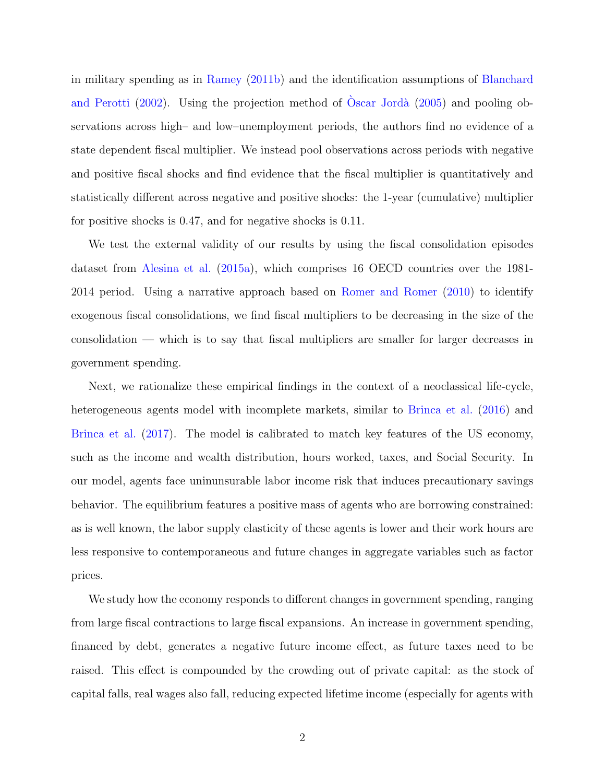in military spending as in [Ramey](#page-46-2) [\(2011b\)](#page-46-2) and the identification assumptions of [Blanchard](#page-44-3) [and Perotti](#page-44-3)  $(2002)$ . Using the projection method of  $\dot{O}$ scar Jordà  $(2005)$  and pooling observations across high– and low–unemployment periods, the authors find no evidence of a state dependent fiscal multiplier. We instead pool observations across periods with negative and positive fiscal shocks and find evidence that the fiscal multiplier is quantitatively and statistically different across negative and positive shocks: the 1-year (cumulative) multiplier for positive shocks is 0.47, and for negative shocks is 0.11.

We test the external validity of our results by using the fiscal consolidation episodes dataset from [Alesina et al.](#page-44-4) [\(2015a\)](#page-44-4), which comprises 16 OECD countries over the 1981- 2014 period. Using a narrative approach based on [Romer and Romer](#page-46-4) [\(2010\)](#page-46-4) to identify exogenous fiscal consolidations, we find fiscal multipliers to be decreasing in the size of the consolidation — which is to say that fiscal multipliers are smaller for larger decreases in government spending.

Next, we rationalize these empirical findings in the context of a neoclassical life-cycle, heterogeneous agents model with incomplete markets, similar to [Brinca et al.](#page-45-0) [\(2016\)](#page-45-0) and [Brinca et al.](#page-45-1) [\(2017\)](#page-45-1). The model is calibrated to match key features of the US economy, such as the income and wealth distribution, hours worked, taxes, and Social Security. In our model, agents face uninunsurable labor income risk that induces precautionary savings behavior. The equilibrium features a positive mass of agents who are borrowing constrained: as is well known, the labor supply elasticity of these agents is lower and their work hours are less responsive to contemporaneous and future changes in aggregate variables such as factor prices.

We study how the economy responds to different changes in government spending, ranging from large fiscal contractions to large fiscal expansions. An increase in government spending, financed by debt, generates a negative future income effect, as future taxes need to be raised. This effect is compounded by the crowding out of private capital: as the stock of capital falls, real wages also fall, reducing expected lifetime income (especially for agents with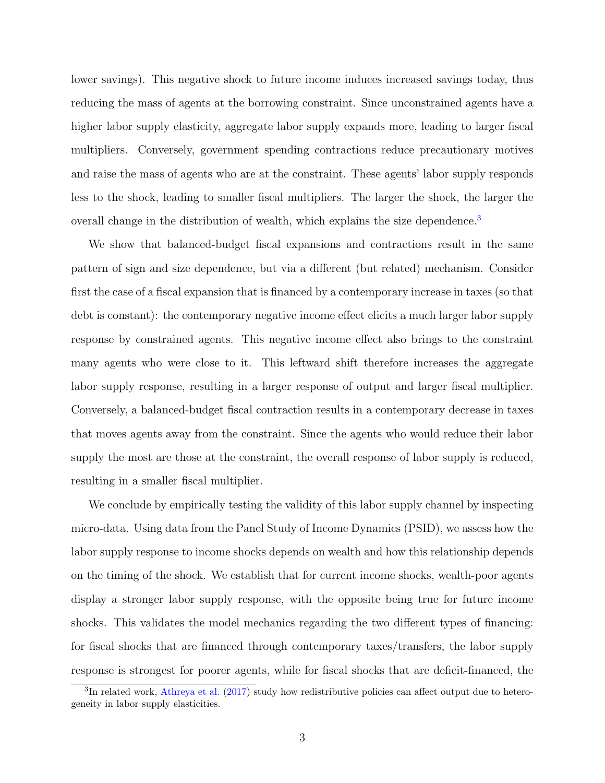lower savings). This negative shock to future income induces increased savings today, thus reducing the mass of agents at the borrowing constraint. Since unconstrained agents have a higher labor supply elasticity, aggregate labor supply expands more, leading to larger fiscal multipliers. Conversely, government spending contractions reduce precautionary motives and raise the mass of agents who are at the constraint. These agents' labor supply responds less to the shock, leading to smaller fiscal multipliers. The larger the shock, the larger the overall change in the distribution of wealth, which explains the size dependence.<sup>[3](#page-3-0)</sup>

We show that balanced-budget fiscal expansions and contractions result in the same pattern of sign and size dependence, but via a different (but related) mechanism. Consider first the case of a fiscal expansion that is financed by a contemporary increase in taxes (so that debt is constant): the contemporary negative income effect elicits a much larger labor supply response by constrained agents. This negative income effect also brings to the constraint many agents who were close to it. This leftward shift therefore increases the aggregate labor supply response, resulting in a larger response of output and larger fiscal multiplier. Conversely, a balanced-budget fiscal contraction results in a contemporary decrease in taxes that moves agents away from the constraint. Since the agents who would reduce their labor supply the most are those at the constraint, the overall response of labor supply is reduced, resulting in a smaller fiscal multiplier.

We conclude by empirically testing the validity of this labor supply channel by inspecting micro-data. Using data from the Panel Study of Income Dynamics (PSID), we assess how the labor supply response to income shocks depends on wealth and how this relationship depends on the timing of the shock. We establish that for current income shocks, wealth-poor agents display a stronger labor supply response, with the opposite being true for future income shocks. This validates the model mechanics regarding the two different types of financing: for fiscal shocks that are financed through contemporary taxes/transfers, the labor supply response is strongest for poorer agents, while for fiscal shocks that are deficit-financed, the

<span id="page-3-0"></span><sup>&</sup>lt;sup>3</sup>In related work, [Athreya et al.](#page-44-5) [\(2017\)](#page-44-5) study how redistributive policies can affect output due to heterogeneity in labor supply elasticities.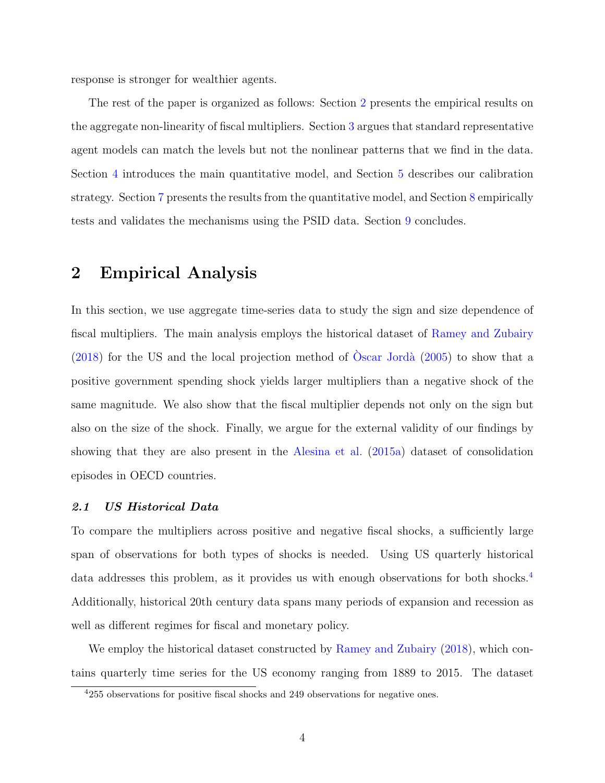response is stronger for wealthier agents.

The rest of the paper is organized as follows: Section [2](#page-4-0) presents the empirical results on the aggregate non-linearity of fiscal multipliers. Section [3](#page-14-0) argues that standard representative agent models can match the levels but not the nonlinear patterns that we find in the data. Section [4](#page-19-0) introduces the main quantitative model, and Section [5](#page-26-0) describes our calibration strategy. Section [7](#page-32-0) presents the results from the quantitative model, and Section [8](#page-39-0) empirically tests and validates the mechanisms using the PSID data. Section [9](#page-42-0) concludes.

## <span id="page-4-0"></span>2 Empirical Analysis

In this section, we use aggregate time-series data to study the sign and size dependence of fiscal multipliers. The main analysis employs the historical dataset of [Ramey and Zubairy](#page-46-0)  $(2018)$  for the US and the local projection method of Oscar Jordà  $(2005)$  to show that a positive government spending shock yields larger multipliers than a negative shock of the same magnitude. We also show that the fiscal multiplier depends not only on the sign but also on the size of the shock. Finally, we argue for the external validity of our findings by showing that they are also present in the [Alesina et al.](#page-44-4) [\(2015a\)](#page-44-4) dataset of consolidation episodes in OECD countries.

#### <span id="page-4-2"></span>2.1 US Historical Data

To compare the multipliers across positive and negative fiscal shocks, a sufficiently large span of observations for both types of shocks is needed. Using US quarterly historical data addresses this problem, as it provides us with enough observations for both shocks.<sup>[4](#page-4-1)</sup> Additionally, historical 20th century data spans many periods of expansion and recession as well as different regimes for fiscal and monetary policy.

We employ the historical dataset constructed by [Ramey and Zubairy](#page-46-0) [\(2018\)](#page-46-0), which contains quarterly time series for the US economy ranging from 1889 to 2015. The dataset

<span id="page-4-1"></span><sup>4</sup>255 observations for positive fiscal shocks and 249 observations for negative ones.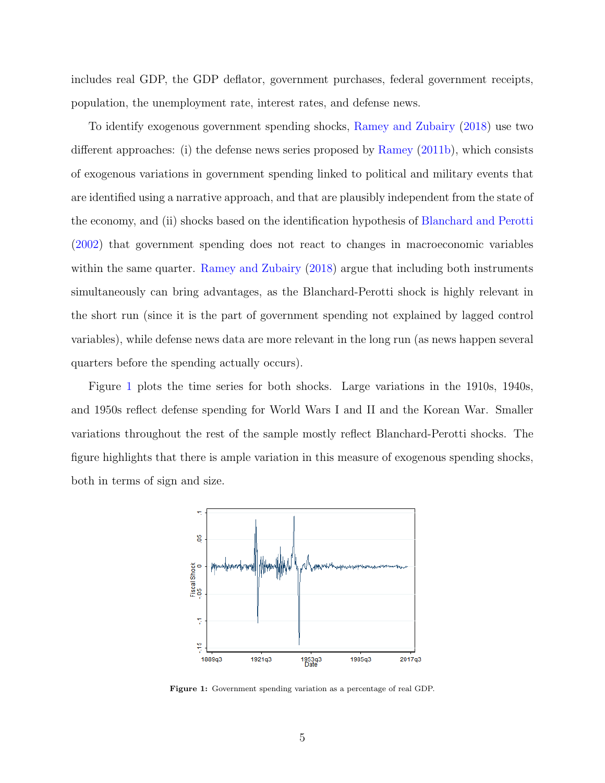includes real GDP, the GDP deflator, government purchases, federal government receipts, population, the unemployment rate, interest rates, and defense news.

To identify exogenous government spending shocks, [Ramey and Zubairy](#page-46-0) [\(2018\)](#page-46-0) use two different approaches: (i) the defense news series proposed by [Ramey](#page-46-2) [\(2011b\)](#page-46-2), which consists of exogenous variations in government spending linked to political and military events that are identified using a narrative approach, and that are plausibly independent from the state of the economy, and (ii) shocks based on the identification hypothesis of [Blanchard and Perotti](#page-44-3) [\(2002\)](#page-44-3) that government spending does not react to changes in macroeconomic variables within the same quarter. [Ramey and Zubairy](#page-46-0) [\(2018\)](#page-46-0) argue that including both instruments simultaneously can bring advantages, as the Blanchard-Perotti shock is highly relevant in the short run (since it is the part of government spending not explained by lagged control variables), while defense news data are more relevant in the long run (as news happen several quarters before the spending actually occurs).

Figure [1](#page-5-0) plots the time series for both shocks. Large variations in the 1910s, 1940s, and 1950s reflect defense spending for World Wars I and II and the Korean War. Smaller variations throughout the rest of the sample mostly reflect Blanchard-Perotti shocks. The figure highlights that there is ample variation in this measure of exogenous spending shocks, both in terms of sign and size.

<span id="page-5-0"></span>

Figure 1: Government spending variation as a percentage of real GDP.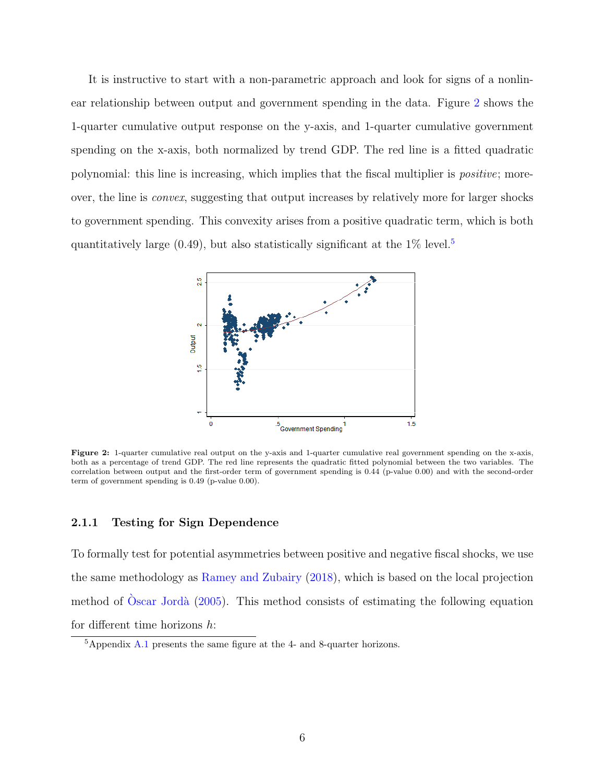It is instructive to start with a non-parametric approach and look for signs of a nonlinear relationship between output and government spending in the data. Figure [2](#page-6-0) shows the 1-quarter cumulative output response on the y-axis, and 1-quarter cumulative government spending on the x-axis, both normalized by trend GDP. The red line is a fitted quadratic polynomial: this line is increasing, which implies that the fiscal multiplier is positive; moreover, the line is convex, suggesting that output increases by relatively more for larger shocks to government spending. This convexity arises from a positive quadratic term, which is both quantitatively large (0.49), but also statistically significant at the  $1\%$  level.<sup>[5](#page-6-1)</sup>

<span id="page-6-0"></span>

Figure 2: 1-quarter cumulative real output on the y-axis and 1-quarter cumulative real government spending on the x-axis, both as a percentage of trend GDP. The red line represents the quadratic fitted polynomial between the two variables. The correlation between output and the first-order term of government spending is 0.44 (p-value 0.00) and with the second-order term of government spending is 0.49 (p-value 0.00).

## 2.1.1 Testing for Sign Dependence

To formally test for potential asymmetries between positive and negative fiscal shocks, we use the same methodology as [Ramey and Zubairy](#page-46-0) [\(2018\)](#page-46-0), which is based on the local projection method of  $\dot{\text{O}}$ scar Jordà [\(2005\)](#page-46-3). This method consists of estimating the following equation for different time horizons  $h$ :

<span id="page-6-1"></span> ${}^{5}$ Appendix [A.1](#page-48-0) presents the same figure at the 4- and 8-quarter horizons.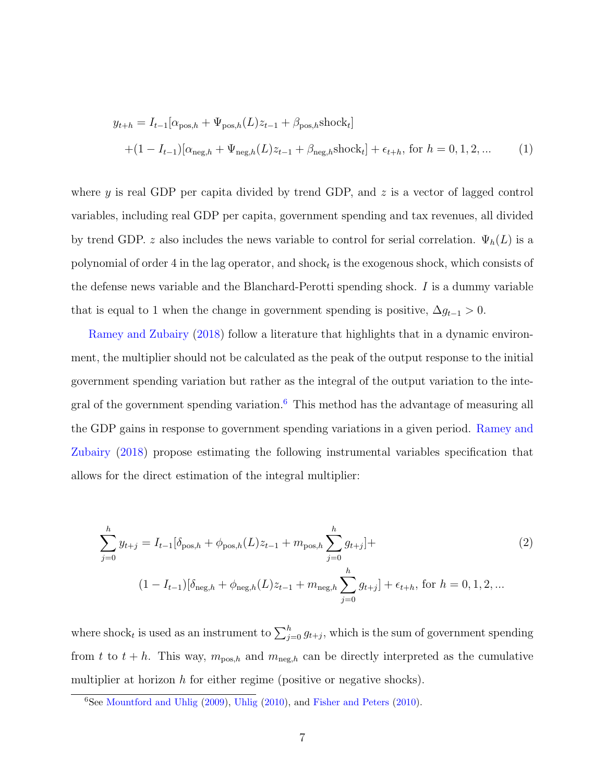$$
y_{t+h} = I_{t-1}[\alpha_{\text{pos},h} + \Psi_{\text{pos},h}(L)z_{t-1} + \beta_{\text{pos},h}\text{shock}_t]
$$
  
+  $(1 - I_{t-1})[\alpha_{\text{neg},h} + \Psi_{\text{neg},h}(L)z_{t-1} + \beta_{\text{neg},h}\text{shock}_t] + \epsilon_{t+h}$ , for  $h = 0, 1, 2, ...$  (1)

where y is real GDP per capita divided by trend GDP, and  $z$  is a vector of lagged control variables, including real GDP per capita, government spending and tax revenues, all divided by trend GDP. z also includes the news variable to control for serial correlation.  $\Psi_h(L)$  is a polynomial of order 4 in the lag operator, and shock<sub>t</sub> is the exogenous shock, which consists of the defense news variable and the Blanchard-Perotti spending shock. I is a dummy variable that is equal to 1 when the change in government spending is positive,  $\Delta g_{t-1} > 0$ .

[Ramey and Zubairy](#page-46-0) [\(2018\)](#page-46-0) follow a literature that highlights that in a dynamic environment, the multiplier should not be calculated as the peak of the output response to the initial government spending variation but rather as the integral of the output variation to the integral of the government spending variation. $6$  This method has the advantage of measuring all the GDP gains in response to government spending variations in a given period. [Ramey and](#page-46-0) [Zubairy](#page-46-0) [\(2018\)](#page-46-0) propose estimating the following instrumental variables specification that allows for the direct estimation of the integral multiplier:

<span id="page-7-1"></span>
$$
\sum_{j=0}^{h} y_{t+j} = I_{t-1}[\delta_{\text{pos},h} + \phi_{\text{pos},h}(L)z_{t-1} + m_{\text{pos},h} \sum_{j=0}^{h} g_{t+j}] +
$$
  

$$
(1 - I_{t-1})[\delta_{\text{neg},h} + \phi_{\text{neg},h}(L)z_{t-1} + m_{\text{neg},h} \sum_{j=0}^{h} g_{t+j}] + \epsilon_{t+h}, \text{ for } h = 0, 1, 2, ...
$$
 (2)

where shock<sub>t</sub> is used as an instrument to  $\sum_{j=0}^{h} g_{t+j}$ , which is the sum of government spending from t to  $t + h$ . This way,  $m_{\text{pos},h}$  and  $m_{\text{neg},h}$  can be directly interpreted as the cumulative multiplier at horizon  $h$  for either regime (positive or negative shocks).

<span id="page-7-0"></span><sup>6</sup>See [Mountford and Uhlig](#page-46-5) [\(2009\)](#page-46-5), [Uhlig](#page-47-0) [\(2010\)](#page-47-0), and [Fisher and Peters](#page-45-7) [\(2010\)](#page-45-7).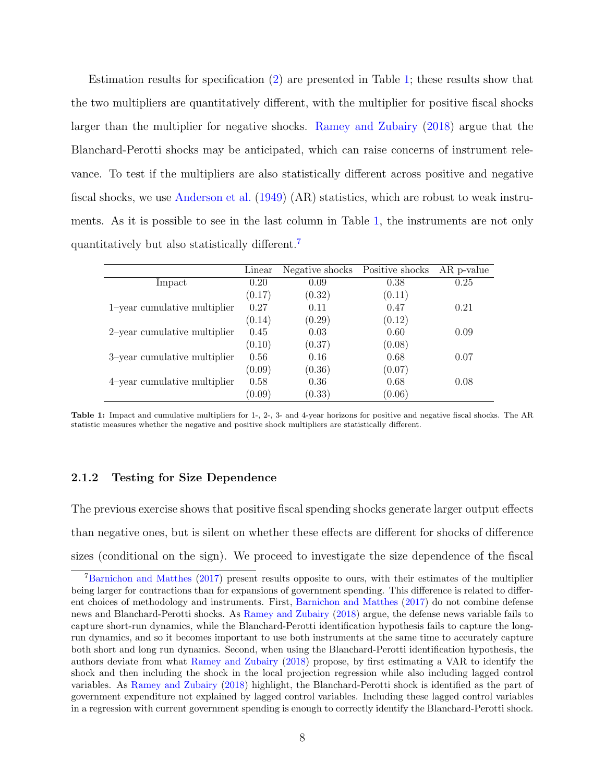Estimation results for specification [\(2\)](#page-7-1) are presented in Table [1;](#page-8-0) these results show that the two multipliers are quantitatively different, with the multiplier for positive fiscal shocks larger than the multiplier for negative shocks. [Ramey and Zubairy](#page-46-0) [\(2018\)](#page-46-0) argue that the Blanchard-Perotti shocks may be anticipated, which can raise concerns of instrument relevance. To test if the multipliers are also statistically different across positive and negative fiscal shocks, we use [Anderson et al.](#page-44-6) [\(1949\)](#page-44-6) (AR) statistics, which are robust to weak instruments. As it is possible to see in the last column in Table [1,](#page-8-0) the instruments are not only quantitatively but also statistically different.[7](#page-8-1)

<span id="page-8-0"></span>

|                                 | Linear | Negative shocks | Positive shocks | AR p-value |
|---------------------------------|--------|-----------------|-----------------|------------|
| Impact                          | 0.20   | 0.09            | 0.38            | 0.25       |
|                                 | (0.17) | (0.32)          | (0.11)          |            |
| 1-year cumulative multiplier    | 0.27   | 0.11            | 0.47            | 0.21       |
|                                 | (0.14) | (0.29)          | (0.12)          |            |
| $2$ -year cumulative multiplier | 0.45   | 0.03            | 0.60            | 0.09       |
|                                 | (0.10) | (0.37)          | (0.08)          |            |
| 3-year cumulative multiplier    | 0.56   | 0.16            | 0.68            | 0.07       |
|                                 | (0.09) | (0.36)          | (0.07)          |            |
| 4-year cumulative multiplier    | 0.58   | 0.36            | 0.68            | 0.08       |
|                                 | (0.09) | (0.33)          | (0.06)          |            |

Table 1: Impact and cumulative multipliers for 1-, 2-, 3- and 4-year horizons for positive and negative fiscal shocks. The AR statistic measures whether the negative and positive shock multipliers are statistically different.

#### 2.1.2 Testing for Size Dependence

The previous exercise shows that positive fiscal spending shocks generate larger output effects than negative ones, but is silent on whether these effects are different for shocks of difference sizes (conditional on the sign). We proceed to investigate the size dependence of the fiscal

<span id="page-8-1"></span><sup>7</sup>[Barnichon and Matthes](#page-44-2) [\(2017\)](#page-44-2) present results opposite to ours, with their estimates of the multiplier being larger for contractions than for expansions of government spending. This difference is related to different choices of methodology and instruments. First, [Barnichon and Matthes](#page-44-2) [\(2017\)](#page-44-2) do not combine defense news and Blanchard-Perotti shocks. As [Ramey and Zubairy](#page-46-0) [\(2018\)](#page-46-0) argue, the defense news variable fails to capture short-run dynamics, while the Blanchard-Perotti identification hypothesis fails to capture the longrun dynamics, and so it becomes important to use both instruments at the same time to accurately capture both short and long run dynamics. Second, when using the Blanchard-Perotti identification hypothesis, the authors deviate from what [Ramey and Zubairy](#page-46-0) [\(2018\)](#page-46-0) propose, by first estimating a VAR to identify the shock and then including the shock in the local projection regression while also including lagged control variables. As [Ramey and Zubairy](#page-46-0) [\(2018\)](#page-46-0) highlight, the Blanchard-Perotti shock is identified as the part of government expenditure not explained by lagged control variables. Including these lagged control variables in a regression with current government spending is enough to correctly identify the Blanchard-Perotti shock.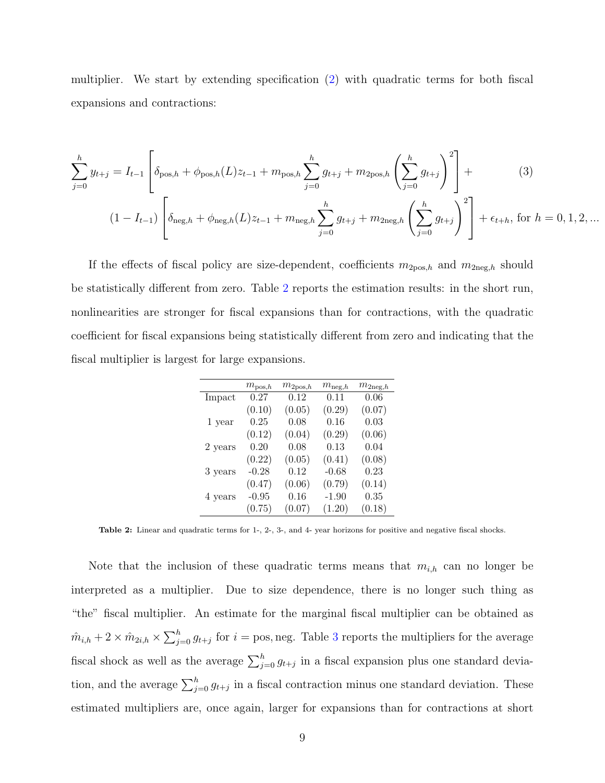multiplier. We start by extending specification [\(2\)](#page-7-1) with quadratic terms for both fiscal expansions and contractions:

$$
\sum_{j=0}^{h} y_{t+j} = I_{t-1} \left[ \delta_{\text{pos},h} + \phi_{\text{pos},h}(L) z_{t-1} + m_{\text{pos},h} \sum_{j=0}^{h} g_{t+j} + m_{\text{2pos},h} \left( \sum_{j=0}^{h} g_{t+j} \right)^2 \right] +
$$
(3)  

$$
(1 - I_{t-1}) \left[ \delta_{\text{neg},h} + \phi_{\text{neg},h}(L) z_{t-1} + m_{\text{neg},h} \sum_{j=0}^{h} g_{t+j} + m_{\text{2neg},h} \left( \sum_{j=0}^{h} g_{t+j} \right)^2 \right] + \epsilon_{t+h}, \text{ for } h = 0, 1, 2, \dots
$$

<span id="page-9-0"></span>If the effects of fiscal policy are size-dependent, coefficients  $m_{2pos,h}$  and  $m_{2neg,h}$  should be statistically different from zero. Table [2](#page-9-0) reports the estimation results: in the short run, nonlinearities are stronger for fiscal expansions than for contractions, with the quadratic coefficient for fiscal expansions being statistically different from zero and indicating that the fiscal multiplier is largest for large expansions.

<span id="page-9-1"></span>

|         | $m_{\mathrm{pos},h}$ | $m_{2\mathrm{pos},h}$ | $m_{\mathrm{neg},h}$ | $m_{2\text{neg},h}$ |
|---------|----------------------|-----------------------|----------------------|---------------------|
| Impact  | 0.27                 | $0.12\,$              | 0.11                 | 0.06                |
|         | (0.10)               | (0.05)                | (0.29)               | (0.07)              |
| 1 year  | 0.25                 | 0.08                  | 0.16                 | 0.03                |
|         | (0.12)               | (0.04)                | (0.29)               | (0.06)              |
| 2 years | 0.20                 | 0.08                  | 0.13                 | 0.04                |
|         | (0.22)               | (0.05)                | (0.41)               | (0.08)              |
| 3 years | $-0.28$              | 0.12                  | $-0.68$              | 0.23                |
|         | (0.47)               | (0.06)                | (0.79)               | (0.14)              |
| 4 years | $-0.95$              | 0.16                  | $-1.90$              | 0.35                |
|         | (0.75)               | (0.07)                | (1.20)               | (0.18)              |

Table 2: Linear and quadratic terms for 1-, 2-, 3-, and 4- year horizons for positive and negative fiscal shocks.

Note that the inclusion of these quadratic terms means that  $m_{i,h}$  can no longer be interpreted as a multiplier. Due to size dependence, there is no longer such thing as "the" fiscal multiplier. An estimate for the marginal fiscal multiplier can be obtained as  $\hat{m}_{i,h} + 2 \times \hat{m}_{2i,h} \times \sum_{j=0}^{h} g_{t+j}$  for  $i = \text{pos}$ , neg. Table [3](#page-10-0) reports the multipliers for the average fiscal shock as well as the average  $\sum_{j=0}^{h} g_{t+j}$  in a fiscal expansion plus one standard deviation, and the average  $\sum_{j=0}^{h} g_{t+j}$  in a fiscal contraction minus one standard deviation. These estimated multipliers are, once again, larger for expansions than for contractions at short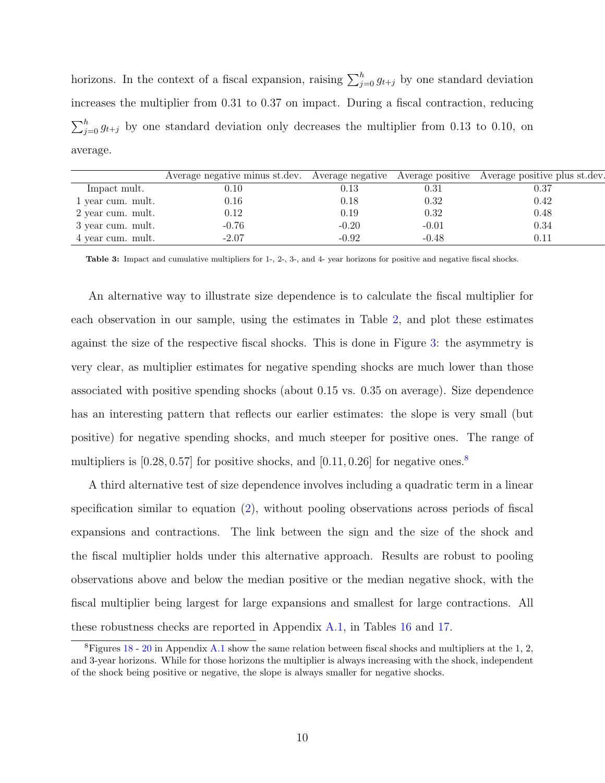horizons. In the context of a fiscal expansion, raising  $\sum_{j=0}^{h} g_{t+j}$  by one standard deviation increases the multiplier from 0.31 to 0.37 on impact. During a fiscal contraction, reducing  $\sum_{j=0}^{h} g_{t+j}$  by one standard deviation only decreases the multiplier from 0.13 to 0.10, on average.

<span id="page-10-0"></span>

|                   | Average negative minus st.dev. Average negative Average positive Average positive plus st.dev. |         |         |            |
|-------------------|------------------------------------------------------------------------------------------------|---------|---------|------------|
| Impact mult.      | 0.10                                                                                           | 0.13    | 0.31    | 0.37       |
| 1 year cum. mult. | 0.16                                                                                           | 0.18    | 0.32    | 0.42       |
| 2 year cum. mult. | 0.12                                                                                           | 0.19    | 0.32    | 0.48       |
| 3 year cum. mult. | $-0.76$                                                                                        | $-0.20$ | $-0.01$ | 0.34       |
| 4 year cum. mult. | $-2.07$                                                                                        | -0.92   | $-0.48$ | $\rm 0.11$ |

Table 3: Impact and cumulative multipliers for 1-, 2-, 3-, and 4- year horizons for positive and negative fiscal shocks.

An alternative way to illustrate size dependence is to calculate the fiscal multiplier for each observation in our sample, using the estimates in Table [2,](#page-9-0) and plot these estimates against the size of the respective fiscal shocks. This is done in Figure [3:](#page-11-0) the asymmetry is very clear, as multiplier estimates for negative spending shocks are much lower than those associated with positive spending shocks (about 0.15 vs. 0.35 on average). Size dependence has an interesting pattern that reflects our earlier estimates: the slope is very small (but positive) for negative spending shocks, and much steeper for positive ones. The range of multipliers is  $[0.28, 0.57]$  $[0.28, 0.57]$  $[0.28, 0.57]$  for positive shocks, and  $[0.11, 0.26]$  for negative ones.<sup>8</sup>

A third alternative test of size dependence involves including a quadratic term in a linear specification similar to equation [\(2\)](#page-7-1), without pooling observations across periods of fiscal expansions and contractions. The link between the sign and the size of the shock and the fiscal multiplier holds under this alternative approach. Results are robust to pooling observations above and below the median positive or the median negative shock, with the fiscal multiplier being largest for large expansions and smallest for large contractions. All these robustness checks are reported in Appendix [A.1,](#page-48-0) in Tables [16](#page-52-0) and [17.](#page-52-1)

<span id="page-10-1"></span> ${}^{8}$ Figures [18](#page-49-0) - [20](#page-50-0) in Appendix [A.1](#page-48-0) show the same relation between fiscal shocks and multipliers at the 1, 2, and 3-year horizons. While for those horizons the multiplier is always increasing with the shock, independent of the shock being positive or negative, the slope is always smaller for negative shocks.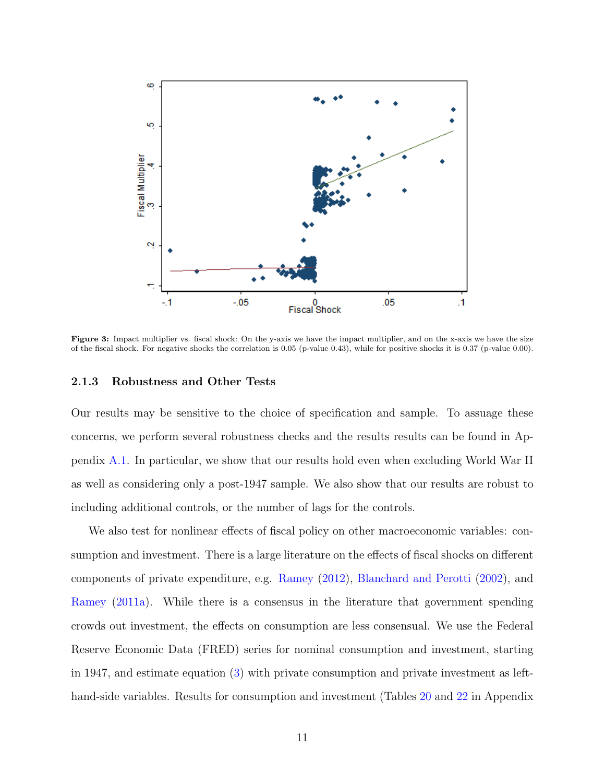<span id="page-11-0"></span>

Figure 3: Impact multiplier vs. fiscal shock: On the y-axis we have the impact multiplier, and on the x-axis we have the size of the fiscal shock. For negative shocks the correlation is 0.05 (p-value 0.43), while for positive shocks it is 0.37 (p-value 0.00).

#### 2.1.3 Robustness and Other Tests

Our results may be sensitive to the choice of specification and sample. To assuage these concerns, we perform several robustness checks and the results results can be found in Appendix [A.1.](#page-48-0) In particular, we show that our results hold even when excluding World War II as well as considering only a post-1947 sample. We also show that our results are robust to including additional controls, or the number of lags for the controls.

We also test for nonlinear effects of fiscal policy on other macroeconomic variables: consumption and investment. There is a large literature on the effects of fiscal shocks on different components of private expenditure, e.g. [Ramey](#page-46-6) [\(2012\)](#page-46-6), [Blanchard and Perotti](#page-44-3) [\(2002\)](#page-44-3), and [Ramey](#page-46-7) [\(2011a\)](#page-46-7). While there is a consensus in the literature that government spending crowds out investment, the effects on consumption are less consensual. We use the Federal Reserve Economic Data (FRED) series for nominal consumption and investment, starting in 1947, and estimate equation [\(3\)](#page-9-1) with private consumption and private investment as lefthand-side variables. Results for consumption and investment (Tables [20](#page-53-0) and [22](#page-54-0) in Appendix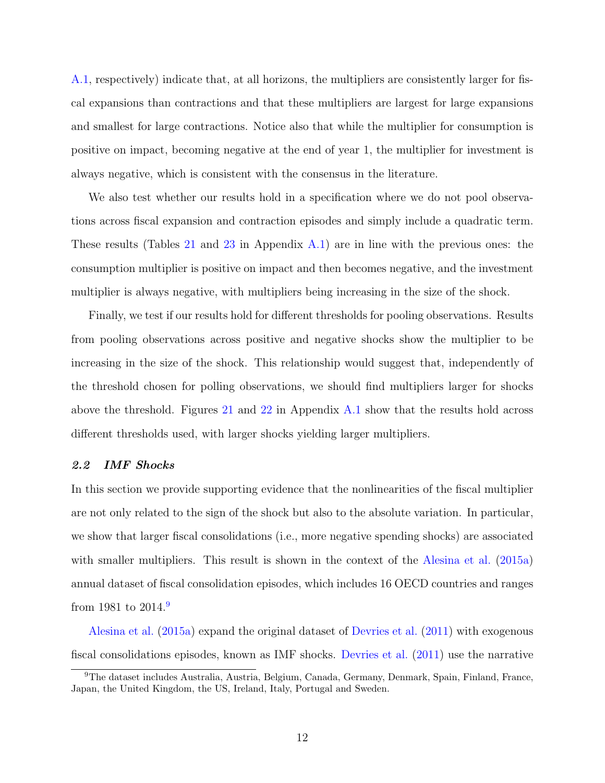[A.1,](#page-48-0) respectively) indicate that, at all horizons, the multipliers are consistently larger for fiscal expansions than contractions and that these multipliers are largest for large expansions and smallest for large contractions. Notice also that while the multiplier for consumption is positive on impact, becoming negative at the end of year 1, the multiplier for investment is always negative, which is consistent with the consensus in the literature.

We also test whether our results hold in a specification where we do not pool observations across fiscal expansion and contraction episodes and simply include a quadratic term. These results (Tables [21](#page-53-1) and [23](#page-54-1) in Appendix [A.1\)](#page-48-0) are in line with the previous ones: the consumption multiplier is positive on impact and then becomes negative, and the investment multiplier is always negative, with multipliers being increasing in the size of the shock.

Finally, we test if our results hold for different thresholds for pooling observations. Results from pooling observations across positive and negative shocks show the multiplier to be increasing in the size of the shock. This relationship would suggest that, independently of the threshold chosen for polling observations, we should find multipliers larger for shocks above the threshold. Figures [21](#page-54-2) and [22](#page-55-0) in Appendix  $A.1$  show that the results hold across different thresholds used, with larger shocks yielding larger multipliers.

#### 2.2 IMF Shocks

In this section we provide supporting evidence that the nonlinearities of the fiscal multiplier are not only related to the sign of the shock but also to the absolute variation. In particular, we show that larger fiscal consolidations (i.e., more negative spending shocks) are associated with smaller multipliers. This result is shown in the context of the [Alesina et al.](#page-44-4) [\(2015a\)](#page-44-4) annual dataset of fiscal consolidation episodes, which includes 16 OECD countries and ranges from 1981 to 2014.[9](#page-12-0)

[Alesina et al.](#page-44-4) [\(2015a\)](#page-44-4) expand the original dataset of [Devries et al.](#page-45-8) [\(2011\)](#page-45-8) with exogenous fiscal consolidations episodes, known as IMF shocks. [Devries et al.](#page-45-8) [\(2011\)](#page-45-8) use the narrative

<span id="page-12-0"></span><sup>9</sup>The dataset includes Australia, Austria, Belgium, Canada, Germany, Denmark, Spain, Finland, France, Japan, the United Kingdom, the US, Ireland, Italy, Portugal and Sweden.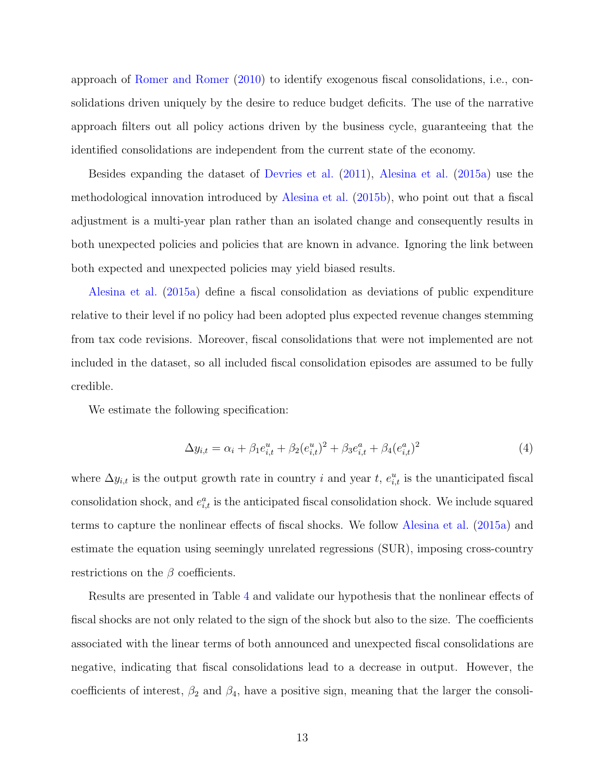approach of [Romer and Romer](#page-46-4) [\(2010\)](#page-46-4) to identify exogenous fiscal consolidations, i.e., consolidations driven uniquely by the desire to reduce budget deficits. The use of the narrative approach filters out all policy actions driven by the business cycle, guaranteeing that the identified consolidations are independent from the current state of the economy.

Besides expanding the dataset of [Devries et al.](#page-45-8) [\(2011\)](#page-45-8), [Alesina et al.](#page-44-4) [\(2015a\)](#page-44-4) use the methodological innovation introduced by [Alesina et al.](#page-44-7) [\(2015b\)](#page-44-7), who point out that a fiscal adjustment is a multi-year plan rather than an isolated change and consequently results in both unexpected policies and policies that are known in advance. Ignoring the link between both expected and unexpected policies may yield biased results.

[Alesina et al.](#page-44-4) [\(2015a\)](#page-44-4) define a fiscal consolidation as deviations of public expenditure relative to their level if no policy had been adopted plus expected revenue changes stemming from tax code revisions. Moreover, fiscal consolidations that were not implemented are not included in the dataset, so all included fiscal consolidation episodes are assumed to be fully credible.

We estimate the following specification:

$$
\Delta y_{i,t} = \alpha_i + \beta_1 e_{i,t}^u + \beta_2 (e_{i,t}^u)^2 + \beta_3 e_{i,t}^a + \beta_4 (e_{i,t}^a)^2 \tag{4}
$$

where  $\Delta y_{i,t}$  is the output growth rate in country i and year t,  $e_{i,t}^u$  is the unanticipated fiscal consolidation shock, and  $e_{i,t}^a$  is the anticipated fiscal consolidation shock. We include squared terms to capture the nonlinear effects of fiscal shocks. We follow [Alesina et al.](#page-44-4) [\(2015a\)](#page-44-4) and estimate the equation using seemingly unrelated regressions (SUR), imposing cross-country restrictions on the  $\beta$  coefficients.

Results are presented in Table [4](#page-14-1) and validate our hypothesis that the nonlinear effects of fiscal shocks are not only related to the sign of the shock but also to the size. The coefficients associated with the linear terms of both announced and unexpected fiscal consolidations are negative, indicating that fiscal consolidations lead to a decrease in output. However, the coefficients of interest,  $\beta_2$  and  $\beta_4$ , have a positive sign, meaning that the larger the consoli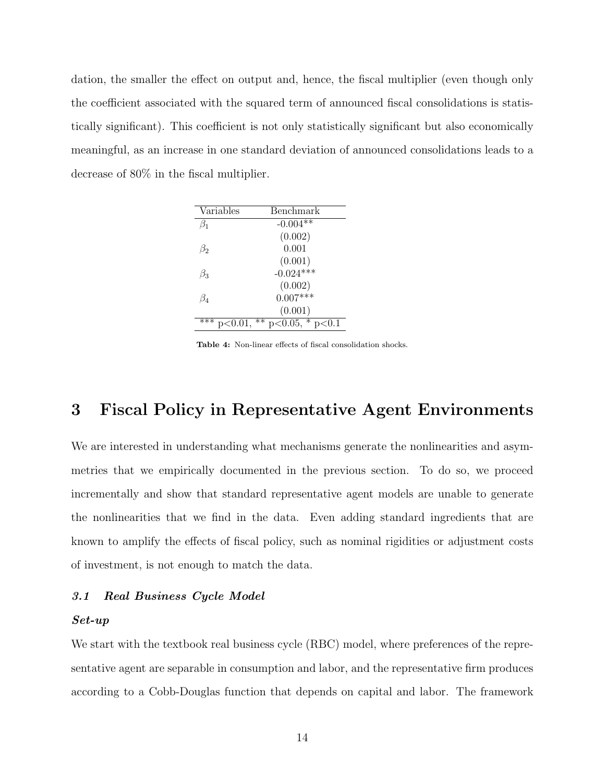dation, the smaller the effect on output and, hence, the fiscal multiplier (even though only the coefficient associated with the squared term of announced fiscal consolidations is statistically significant). This coefficient is not only statistically significant but also economically meaningful, as an increase in one standard deviation of announced consolidations leads to a decrease of 80% in the fiscal multiplier.

<span id="page-14-1"></span>

| Variables            | Benchmark          |
|----------------------|--------------------|
| $\beta_1$            | $-0.004**$         |
|                      | (0.002)            |
| B2                   | 0.001              |
|                      | (0.001)            |
| Bз                   | $-0.024***$        |
|                      | (0.002)            |
| $\beta_4$            | $0.007***$         |
|                      | (0.001)            |
| $p<0.01$ , **<br>*** | $p<0.05$ , $p<0.1$ |

Table 4: Non-linear effects of fiscal consolidation shocks.

# <span id="page-14-0"></span>3 Fiscal Policy in Representative Agent Environments

We are interested in understanding what mechanisms generate the nonlinearities and asymmetries that we empirically documented in the previous section. To do so, we proceed incrementally and show that standard representative agent models are unable to generate the nonlinearities that we find in the data. Even adding standard ingredients that are known to amplify the effects of fiscal policy, such as nominal rigidities or adjustment costs of investment, is not enough to match the data.

#### 3.1 Real Business Cycle Model

#### Set-up

We start with the textbook real business cycle (RBC) model, where preferences of the representative agent are separable in consumption and labor, and the representative firm produces according to a Cobb-Douglas function that depends on capital and labor. The framework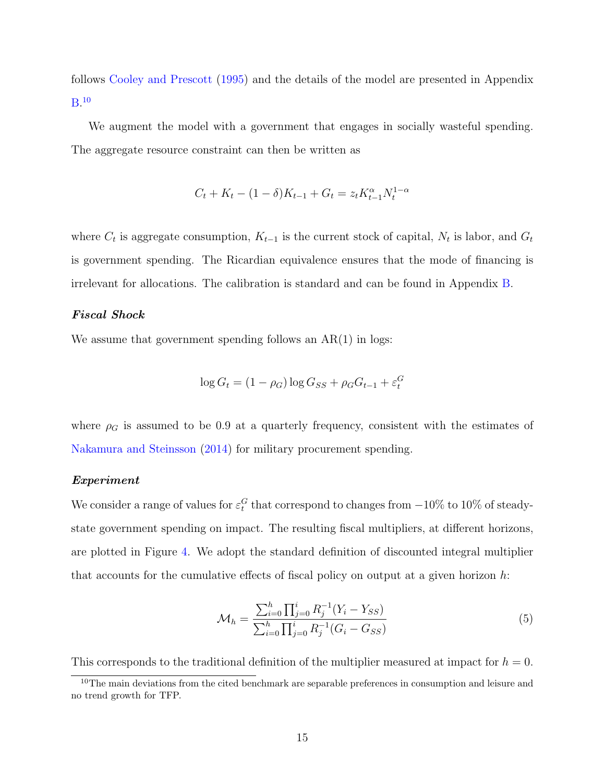follows [Cooley and Prescott](#page-45-9) [\(1995\)](#page-45-9) and the details of the model are presented in Appendix  $\rm B.^{10}$  $\rm B.^{10}$  $\rm B.^{10}$  $\rm B.^{10}$  $\rm B.^{10}$ 

We augment the model with a government that engages in socially wasteful spending. The aggregate resource constraint can then be written as

$$
C_t + K_t - (1 - \delta)K_{t-1} + G_t = z_t K_{t-1}^{\alpha} N_t^{1-\alpha}
$$

where  $C_t$  is aggregate consumption,  $K_{t-1}$  is the current stock of capital,  $N_t$  is labor, and  $G_t$ is government spending. The Ricardian equivalence ensures that the mode of financing is irrelevant for allocations. The calibration is standard and can be found in Appendix [B.](#page-54-3)

### Fiscal Shock

We assume that government spending follows an  $AR(1)$  in logs:

$$
\log G_t = (1 - \rho_G) \log G_{SS} + \rho_G G_{t-1} + \varepsilon_t^G
$$

where  $\rho_G$  is assumed to be 0.9 at a quarterly frequency, consistent with the estimates of [Nakamura and Steinsson](#page-46-8) [\(2014\)](#page-46-8) for military procurement spending.

#### Experiment

We consider a range of values for  $\varepsilon_t^G$  that correspond to changes from  $-10\%$  to  $10\%$  of steadystate government spending on impact. The resulting fiscal multipliers, at different horizons, are plotted in Figure [4.](#page-16-0) We adopt the standard definition of discounted integral multiplier that accounts for the cumulative effects of fiscal policy on output at a given horizon  $h$ :

$$
\mathcal{M}_h = \frac{\sum_{i=0}^h \prod_{j=0}^i R_j^{-1} (Y_i - Y_{SS})}{\sum_{i=0}^h \prod_{j=0}^i R_j^{-1} (G_i - G_{SS})}
$$
(5)

This corresponds to the traditional definition of the multiplier measured at impact for  $h = 0$ .

<span id="page-15-0"></span><sup>&</sup>lt;sup>10</sup>The main deviations from the cited benchmark are separable preferences in consumption and leisure and no trend growth for TFP.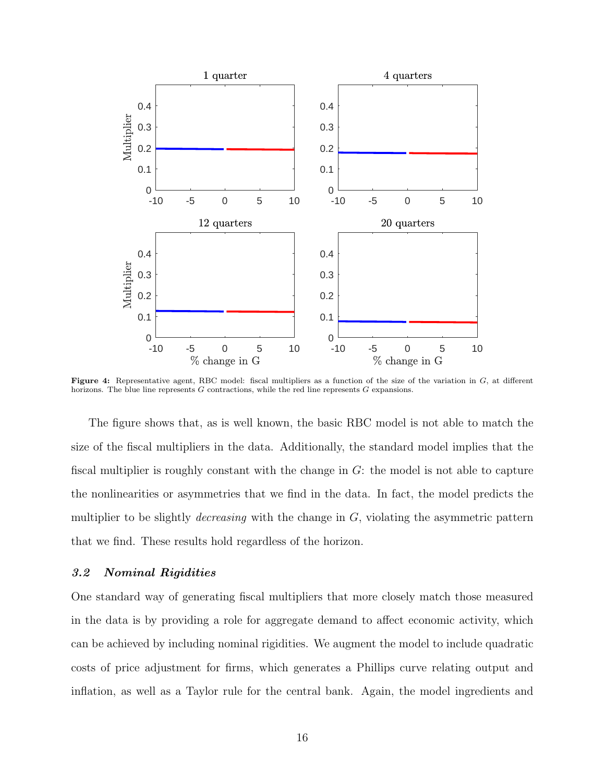<span id="page-16-0"></span>

Figure 4: Representative agent, RBC model: fiscal multipliers as a function of the size of the variation in  $G$ , at different horizons. The blue line represents G contractions, while the red line represents G expansions.

The figure shows that, as is well known, the basic RBC model is not able to match the size of the fiscal multipliers in the data. Additionally, the standard model implies that the fiscal multiplier is roughly constant with the change in  $G$ : the model is not able to capture the nonlinearities or asymmetries that we find in the data. In fact, the model predicts the multiplier to be slightly *decreasing* with the change in  $G$ , violating the asymmetric pattern that we find. These results hold regardless of the horizon.

## 3.2 Nominal Rigidities

One standard way of generating fiscal multipliers that more closely match those measured in the data is by providing a role for aggregate demand to affect economic activity, which can be achieved by including nominal rigidities. We augment the model to include quadratic costs of price adjustment for firms, which generates a Phillips curve relating output and inflation, as well as a Taylor rule for the central bank. Again, the model ingredients and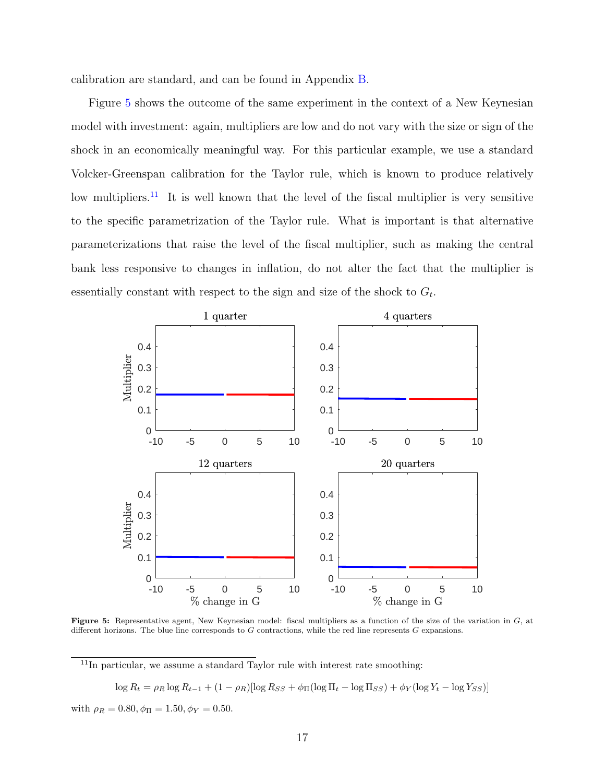calibration are standard, and can be found in Appendix [B.](#page-54-3)

Figure [5](#page-17-0) shows the outcome of the same experiment in the context of a New Keynesian model with investment: again, multipliers are low and do not vary with the size or sign of the shock in an economically meaningful way. For this particular example, we use a standard Volcker-Greenspan calibration for the Taylor rule, which is known to produce relatively low multipliers.<sup>[11](#page-17-1)</sup> It is well known that the level of the fiscal multiplier is very sensitive to the specific parametrization of the Taylor rule. What is important is that alternative parameterizations that raise the level of the fiscal multiplier, such as making the central bank less responsive to changes in inflation, do not alter the fact that the multiplier is essentially constant with respect to the sign and size of the shock to  $G_t$ .

<span id="page-17-0"></span>

Figure 5: Representative agent, New Keynesian model: fiscal multipliers as a function of the size of the variation in G, at different horizons. The blue line corresponds to G contractions, while the red line represents G expansions.

<span id="page-17-1"></span> $11$ In particular, we assume a standard Taylor rule with interest rate smoothing:

$$
\log R_t = \rho_R \log R_{t-1} + (1 - \rho_R) [\log R_{SS} + \phi_{\Pi} (\log \Pi_t - \log \Pi_{SS}) + \phi_Y (\log Y_t - \log Y_{SS})]
$$

with  $\rho_R = 0.80, \phi_{\Pi} = 1.50, \phi_{Y} = 0.50$ .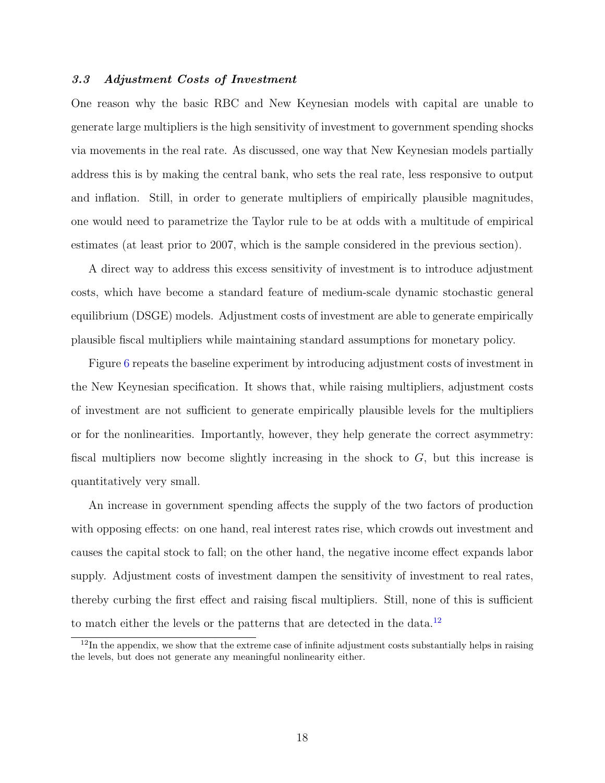#### 3.3 Adjustment Costs of Investment

One reason why the basic RBC and New Keynesian models with capital are unable to generate large multipliers is the high sensitivity of investment to government spending shocks via movements in the real rate. As discussed, one way that New Keynesian models partially address this is by making the central bank, who sets the real rate, less responsive to output and inflation. Still, in order to generate multipliers of empirically plausible magnitudes, one would need to parametrize the Taylor rule to be at odds with a multitude of empirical estimates (at least prior to 2007, which is the sample considered in the previous section).

A direct way to address this excess sensitivity of investment is to introduce adjustment costs, which have become a standard feature of medium-scale dynamic stochastic general equilibrium (DSGE) models. Adjustment costs of investment are able to generate empirically plausible fiscal multipliers while maintaining standard assumptions for monetary policy.

Figure [6](#page-19-1) repeats the baseline experiment by introducing adjustment costs of investment in the New Keynesian specification. It shows that, while raising multipliers, adjustment costs of investment are not sufficient to generate empirically plausible levels for the multipliers or for the nonlinearities. Importantly, however, they help generate the correct asymmetry: fiscal multipliers now become slightly increasing in the shock to  $G$ , but this increase is quantitatively very small.

An increase in government spending affects the supply of the two factors of production with opposing effects: on one hand, real interest rates rise, which crowds out investment and causes the capital stock to fall; on the other hand, the negative income effect expands labor supply. Adjustment costs of investment dampen the sensitivity of investment to real rates, thereby curbing the first effect and raising fiscal multipliers. Still, none of this is sufficient to match either the levels or the patterns that are detected in the data.<sup>[12](#page-18-0)</sup>

<span id="page-18-0"></span> $12$ In the appendix, we show that the extreme case of infinite adjustment costs substantially helps in raising the levels, but does not generate any meaningful nonlinearity either.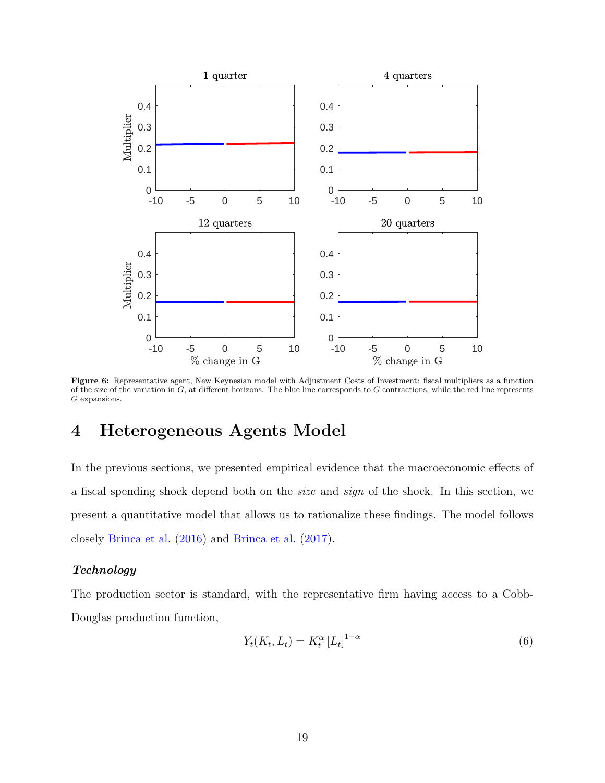<span id="page-19-1"></span>

Figure 6: Representative agent, New Keynesian model with Adjustment Costs of Investment: fiscal multipliers as a function of the size of the variation in  $G$ , at different horizons. The blue line corresponds to  $G$  contractions, while the red line represents G expansions.

# <span id="page-19-0"></span>4 Heterogeneous Agents Model

In the previous sections, we presented empirical evidence that the macroeconomic effects of a fiscal spending shock depend both on the size and sign of the shock. In this section, we present a quantitative model that allows us to rationalize these findings. The model follows closely [Brinca et al.](#page-45-0) [\(2016\)](#page-45-0) and [Brinca et al.](#page-45-1) [\(2017\)](#page-45-1).

## Technology

The production sector is standard, with the representative firm having access to a Cobb-Douglas production function,

$$
Y_t(K_t, L_t) = K_t^{\alpha} \left[ L_t \right]^{1-\alpha} \tag{6}
$$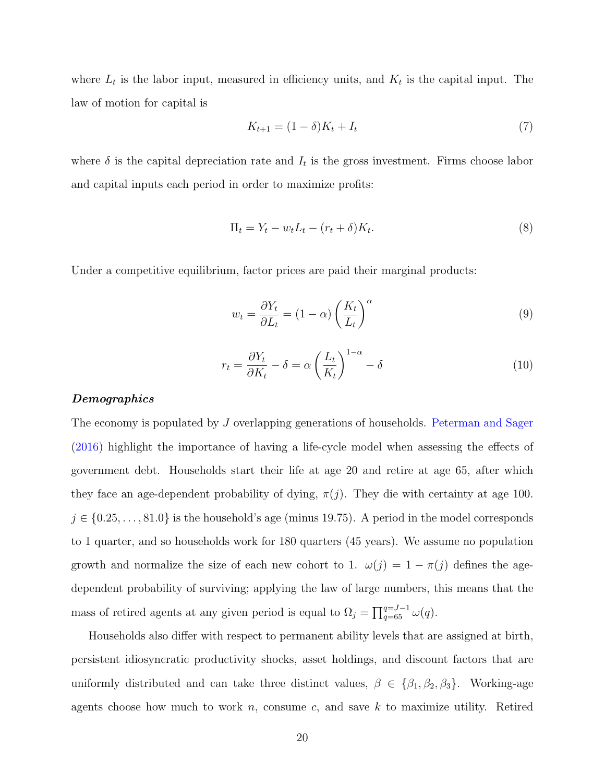where  $L_t$  is the labor input, measured in efficiency units, and  $K_t$  is the capital input. The law of motion for capital is

$$
K_{t+1} = (1 - \delta)K_t + I_t
$$
\n(7)

where  $\delta$  is the capital depreciation rate and  $I_t$  is the gross investment. Firms choose labor and capital inputs each period in order to maximize profits:

$$
\Pi_t = Y_t - w_t L_t - (r_t + \delta) K_t.
$$
\n
$$
(8)
$$

Under a competitive equilibrium, factor prices are paid their marginal products:

$$
w_t = \frac{\partial Y_t}{\partial L_t} = (1 - \alpha) \left(\frac{K_t}{L_t}\right)^{\alpha} \tag{9}
$$

$$
r_t = \frac{\partial Y_t}{\partial K_t} - \delta = \alpha \left(\frac{L_t}{K_t}\right)^{1-\alpha} - \delta \tag{10}
$$

#### **Demographics**

The economy is populated by J overlapping generations of households. [Peterman and Sager](#page-46-9) [\(2016\)](#page-46-9) highlight the importance of having a life-cycle model when assessing the effects of government debt. Households start their life at age 20 and retire at age 65, after which they face an age-dependent probability of dying,  $\pi(j)$ . They die with certainty at age 100.  $j \in \{0.25, \ldots, 81.0\}$  is the household's age (minus 19.75). A period in the model corresponds to 1 quarter, and so households work for 180 quarters (45 years). We assume no population growth and normalize the size of each new cohort to 1.  $\omega(j) = 1 - \pi(j)$  defines the agedependent probability of surviving; applying the law of large numbers, this means that the mass of retired agents at any given period is equal to  $\Omega_j = \prod_{q=65}^{q=J-1} \omega(q)$ .

Households also differ with respect to permanent ability levels that are assigned at birth, persistent idiosyncratic productivity shocks, asset holdings, and discount factors that are uniformly distributed and can take three distinct values,  $\beta \in {\beta_1, \beta_2, \beta_3}$ . Working-age agents choose how much to work  $n$ , consume c, and save k to maximize utility. Retired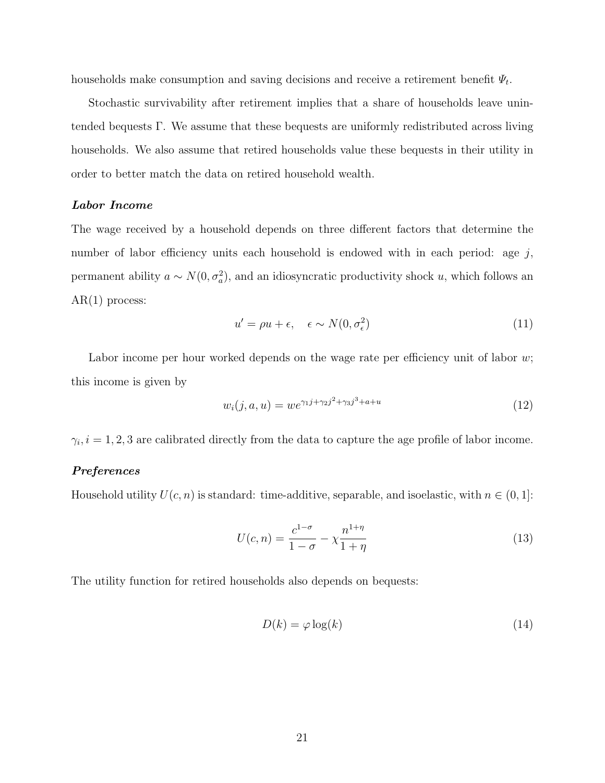households make consumption and saving decisions and receive a retirement benefit  $\Psi_t$ .

Stochastic survivability after retirement implies that a share of households leave unintended bequests  $\Gamma$ . We assume that these bequests are uniformly redistributed across living households. We also assume that retired households value these bequests in their utility in order to better match the data on retired household wealth.

#### Labor Income

The wage received by a household depends on three different factors that determine the number of labor efficiency units each household is endowed with in each period: age  $j$ , permanent ability  $a \sim N(0, \sigma_a^2)$ , and an idiosyncratic productivity shock u, which follows an  $AR(1)$  process:

$$
u' = \rho u + \epsilon, \quad \epsilon \sim N(0, \sigma_{\epsilon}^2)
$$
\n(11)

Labor income per hour worked depends on the wage rate per efficiency unit of labor  $w$ ; this income is given by

<span id="page-21-0"></span>
$$
w_i(j, a, u) = we^{\gamma_1 j + \gamma_2 j^2 + \gamma_3 j^3 + a + u}
$$
\n(12)

 $\gamma_i, i = 1, 2, 3$  are calibrated directly from the data to capture the age profile of labor income.

#### Preferences

Household utility  $U(c, n)$  is standard: time-additive, separable, and isoelastic, with  $n \in (0, 1]$ :

$$
U(c,n) = \frac{c^{1-\sigma}}{1-\sigma} - \chi \frac{n^{1+\eta}}{1+\eta}
$$
\n(13)

The utility function for retired households also depends on bequests:

$$
D(k) = \varphi \log(k) \tag{14}
$$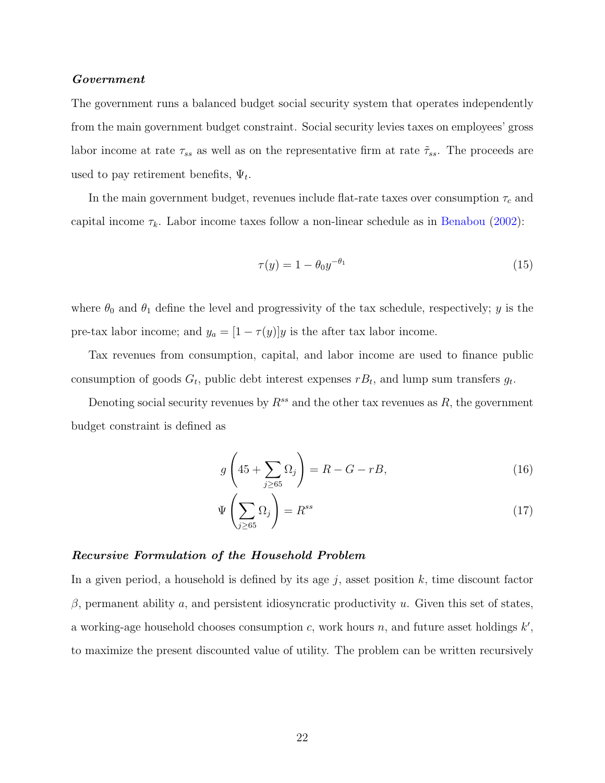#### Government

The government runs a balanced budget social security system that operates independently from the main government budget constraint. Social security levies taxes on employees' gross labor income at rate  $\tau_{ss}$  as well as on the representative firm at rate  $\tilde{\tau}_{ss}$ . The proceeds are used to pay retirement benefits,  $\Psi_t$ .

In the main government budget, revenues include flat-rate taxes over consumption  $\tau_c$  and capital income  $\tau_k$ . Labor income taxes follow a non-linear schedule as in [Benabou](#page-44-8) [\(2002\)](#page-44-8):

$$
\tau(y) = 1 - \theta_0 y^{-\theta_1} \tag{15}
$$

where  $\theta_0$  and  $\theta_1$  define the level and progressivity of the tax schedule, respectively; y is the pre-tax labor income; and  $y_a = [1 - \tau(y)]y$  is the after tax labor income.

Tax revenues from consumption, capital, and labor income are used to finance public consumption of goods  $G_t$ , public debt interest expenses  $rB_t$ , and lump sum transfers  $g_t$ .

Denoting social security revenues by  $R^{ss}$  and the other tax revenues as R, the government budget constraint is defined as

$$
g\left(45+\sum_{j\geq 65}\Omega_j\right) = R - G - rB,\tag{16}
$$

$$
\Psi\left(\sum_{j\geq 65} \Omega_j\right) = R^{ss} \tag{17}
$$

#### Recursive Formulation of the Household Problem

In a given period, a household is defined by its age  $j$ , asset position  $k$ , time discount factor  $β$ , permanent ability a, and persistent idiosyncratic productivity u. Given this set of states, a working-age household chooses consumption  $c$ , work hours  $n$ , and future asset holdings  $k'$ , to maximize the present discounted value of utility. The problem can be written recursively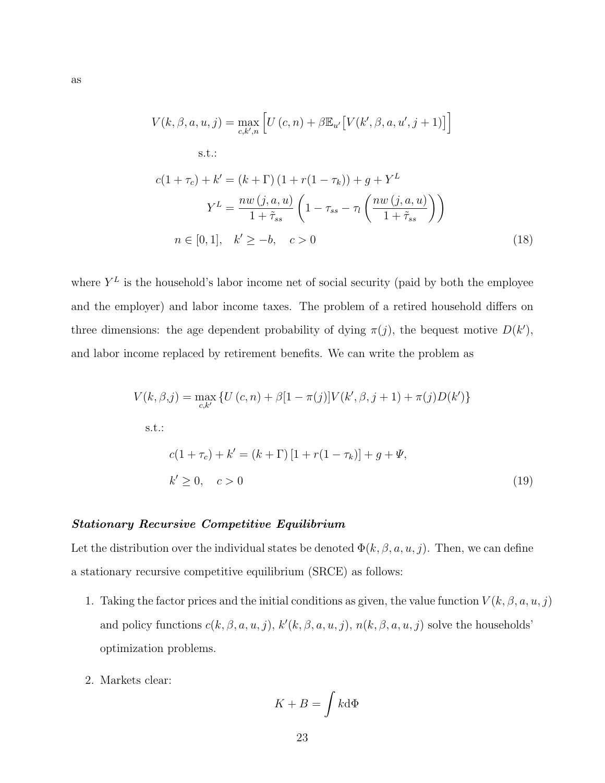$$
V(k, \beta, a, u, j) = \max_{c, k', n} \left[ U(c, n) + \beta \mathbb{E}_{u'} \left[ V(k', \beta, a, u', j + 1) \right] \right]
$$
  
s.t.:  

$$
c(1 + \tau_c) + k' = (k + \Gamma) (1 + r(1 - \tau_k)) + g + Y^L
$$

$$
Y^L = \frac{nw (j, a, u)}{1 + \tilde{\tau}_{ss}} \left( 1 - \tau_{ss} - \tau_l \left( \frac{nw (j, a, u)}{1 + \tilde{\tau}_{ss}} \right) \right)
$$

$$
n \in [0, 1], \quad k' \ge -b, \quad c > 0 \tag{18}
$$

where  $Y^L$  is the household's labor income net of social security (paid by both the employee and the employer) and labor income taxes. The problem of a retired household differs on three dimensions: the age dependent probability of dying  $\pi(j)$ , the bequest motive  $D(k')$ , and labor income replaced by retirement benefits. We can write the problem as

$$
V(k, \beta, j) = \max_{c, k'} \{ U(c, n) + \beta [1 - \pi(j)] V(k', \beta, j + 1) + \pi(j) D(k') \}
$$
  
s.t.:  

$$
c(1 + \tau_c) + k' = (k + \Gamma) [1 + r(1 - \tau_k)] + g + \Psi,
$$
  

$$
k' \ge 0, \quad c > 0
$$
 (19)

#### Stationary Recursive Competitive Equilibrium

Let the distribution over the individual states be denoted  $\Phi(k, \beta, a, u, j)$ . Then, we can define a stationary recursive competitive equilibrium (SRCE) as follows:

- 1. Taking the factor prices and the initial conditions as given, the value function  $V(k, \beta, a, u, j)$ and policy functions  $c(k, \beta, a, u, j)$ ,  $k'(k, \beta, a, u, j)$ ,  $n(k, \beta, a, u, j)$  solve the households' optimization problems.
- 2. Markets clear:

$$
K+B=\int k{\rm d}\Phi
$$

as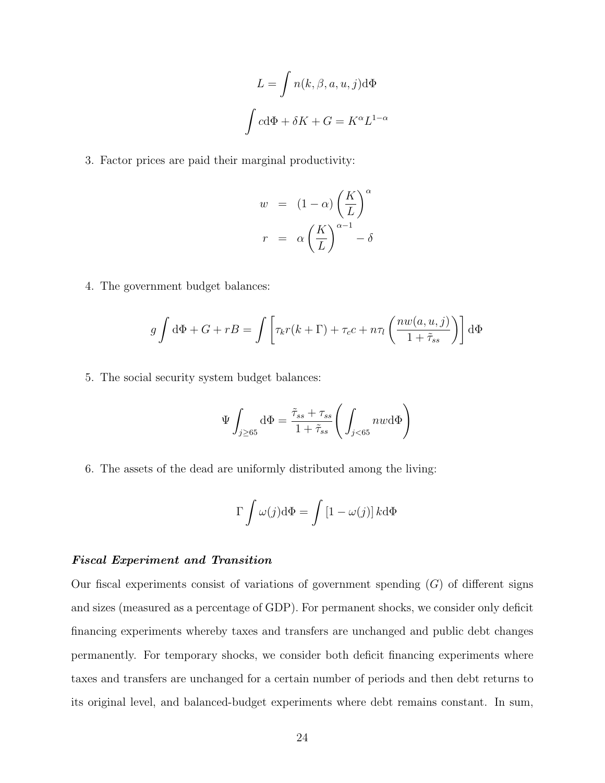$$
L = \int n(k, \beta, a, u, j) d\Phi
$$

$$
\int c d\Phi + \delta K + G = K^{\alpha} L^{1-\alpha}
$$

3. Factor prices are paid their marginal productivity:

$$
w = (1 - \alpha) \left(\frac{K}{L}\right)^{\alpha}
$$

$$
r = \alpha \left(\frac{K}{L}\right)^{\alpha - 1} - \delta
$$

4. The government budget balances:

$$
g \int d\Phi + G + rB = \int \left[ \tau_k r(k+\Gamma) + \tau_c c + n\tau_l \left( \frac{n w(a,u,j)}{1+\tilde{\tau}_{ss}} \right) \right] d\Phi
$$

5. The social security system budget balances:

$$
\Psi \int_{j \geq 65} d\Phi = \frac{\tilde{\tau}_{ss} + \tau_{ss}}{1 + \tilde{\tau}_{ss}} \Bigg( \int_{j < 65} n w d\Phi \Bigg)
$$

6. The assets of the dead are uniformly distributed among the living:

$$
\Gamma \int \omega(j) \mathrm{d}\Phi = \int \left[1 - \omega(j)\right] k \mathrm{d}\Phi
$$

## Fiscal Experiment and Transition

Our fiscal experiments consist of variations of government spending  $(G)$  of different signs and sizes (measured as a percentage of GDP). For permanent shocks, we consider only deficit financing experiments whereby taxes and transfers are unchanged and public debt changes permanently. For temporary shocks, we consider both deficit financing experiments where taxes and transfers are unchanged for a certain number of periods and then debt returns to its original level, and balanced-budget experiments where debt remains constant. In sum,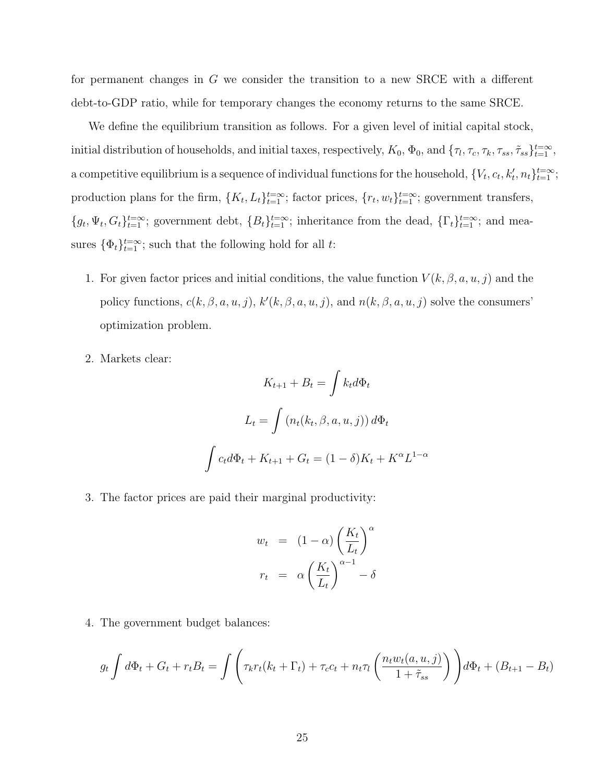for permanent changes in G we consider the transition to a new SRCE with a different debt-to-GDP ratio, while for temporary changes the economy returns to the same SRCE.

We define the equilibrium transition as follows. For a given level of initial capital stock, initial distribution of households, and initial taxes, respectively,  $K_0$ ,  $\Phi_0$ , and  $\{\tau_l, \tau_c, \tau_k, \tau_{ss}, \tilde{\tau}_{ss}\}_{t=1}^{t=\infty}$ , a competitive equilibrium is a sequence of individual functions for the household,  $\{V_t, c_t, k'_t, n_t\}_{t=1}^{t=\infty}$ ; production plans for the firm,  $\{K_t, L_t\}_{t=1}^{t=\infty}$ ; factor prices,  $\{r_t, w_t\}_{t=1}^{t=\infty}$ ; government transfers,  ${g_t, \Psi_t, G_t}_{t=1}^{t=\infty}$ ; government debt,  ${B_t}_{t=1}^{t=\infty}$ ; inheritance from the dead,  ${\{\Gamma_t\}}_{t=1}^{t=\infty}$ ; and measures  $\{\Phi_t\}_{t=1}^{t=\infty}$ ; such that the following hold for all t:

- 1. For given factor prices and initial conditions, the value function  $V(k, \beta, a, u, j)$  and the policy functions,  $c(k, \beta, a, u, j)$ ,  $k'(k, \beta, a, u, j)$ , and  $n(k, \beta, a, u, j)$  solve the consumers' optimization problem.
- 2. Markets clear:

$$
K_{t+1} + B_t = \int k_t d\Phi_t
$$

$$
L_t = \int (n_t(k_t, \beta, a, u, j)) d\Phi_t
$$

$$
\int c_t d\Phi_t + K_{t+1} + G_t = (1 - \delta)K_t + K^{\alpha}L^{1-\alpha}
$$

3. The factor prices are paid their marginal productivity:

$$
w_t = (1 - \alpha) \left(\frac{K_t}{L_t}\right)^{\alpha}
$$

$$
r_t = \alpha \left(\frac{K_t}{L_t}\right)^{\alpha - 1} - \delta
$$

4. The government budget balances:

$$
g_t \int d\Phi_t + G_t + r_t B_t = \int \left( \tau_k r_t (k_t + \Gamma_t) + \tau_c c_t + n_t \tau_l \left( \frac{n_t w_t (a, u, j)}{1 + \tilde{\tau}_{ss}} \right) \right) d\Phi_t + (B_{t+1} - B_t)
$$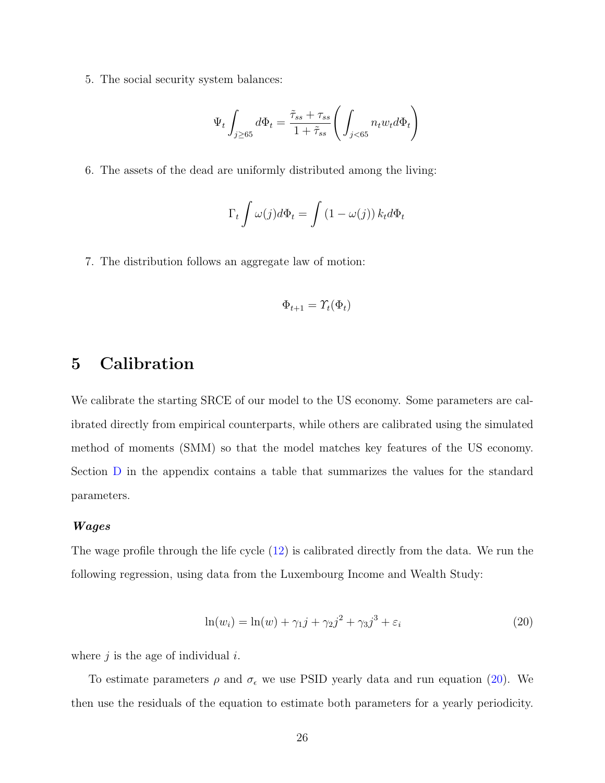5. The social security system balances:

$$
\Psi_t \int_{j \geq 65} d\Phi_t = \frac{\tilde{\tau}_{ss} + \tau_{ss}}{1 + \tilde{\tau}_{ss}} \Bigg( \int_{j < 65} n_t w_t d\Phi_t \Bigg)
$$

6. The assets of the dead are uniformly distributed among the living:

$$
\Gamma_t \int \omega(j) d\Phi_t = \int (1 - \omega(j)) k_t d\Phi_t
$$

7. The distribution follows an aggregate law of motion:

$$
\Phi_{t+1} = \Upsilon_t(\Phi_t)
$$

# <span id="page-26-0"></span>5 Calibration

We calibrate the starting SRCE of our model to the US economy. Some parameters are calibrated directly from empirical counterparts, while others are calibrated using the simulated method of moments (SMM) so that the model matches key features of the US economy. Section [D](#page-65-0) in the appendix contains a table that summarizes the values for the standard parameters.

#### Wages

The wage profile through the life cycle [\(12\)](#page-21-0) is calibrated directly from the data. We run the following regression, using data from the Luxembourg Income and Wealth Study:

<span id="page-26-1"></span>
$$
\ln(w_i) = \ln(w) + \gamma_1 j + \gamma_2 j^2 + \gamma_3 j^3 + \varepsilon_i \tag{20}
$$

where  $j$  is the age of individual  $i$ .

To estimate parameters  $\rho$  and  $\sigma_{\epsilon}$  we use PSID yearly data and run equation [\(20\)](#page-26-1). We then use the residuals of the equation to estimate both parameters for a yearly periodicity.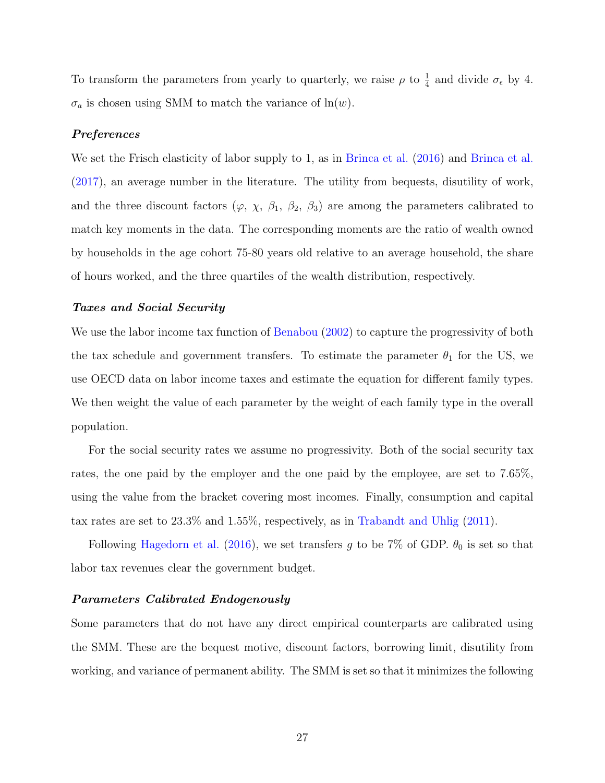To transform the parameters from yearly to quarterly, we raise  $\rho$  to  $\frac{1}{4}$  and divide  $\sigma_{\epsilon}$  by 4.  $\sigma_a$  is chosen using SMM to match the variance of  $ln(w)$ .

#### Preferences

We set the Frisch elasticity of labor supply to 1, as in [Brinca et al.](#page-45-1) [\(2016\)](#page-45-0) and Brinca et al. [\(2017\)](#page-45-1), an average number in the literature. The utility from bequests, disutility of work, and the three discount factors ( $\varphi$ ,  $\chi$ ,  $\beta_1$ ,  $\beta_2$ ,  $\beta_3$ ) are among the parameters calibrated to match key moments in the data. The corresponding moments are the ratio of wealth owned by households in the age cohort 75-80 years old relative to an average household, the share of hours worked, and the three quartiles of the wealth distribution, respectively.

#### Taxes and Social Security

We use the labor income tax function of [Benabou](#page-44-8) [\(2002\)](#page-44-8) to capture the progressivity of both the tax schedule and government transfers. To estimate the parameter  $\theta_1$  for the US, we use OECD data on labor income taxes and estimate the equation for different family types. We then weight the value of each parameter by the weight of each family type in the overall population.

For the social security rates we assume no progressivity. Both of the social security tax rates, the one paid by the employer and the one paid by the employee, are set to 7.65%, using the value from the bracket covering most incomes. Finally, consumption and capital tax rates are set to 23.3% and 1.55%, respectively, as in [Trabandt and Uhlig](#page-47-1) [\(2011\)](#page-47-1).

Following [Hagedorn et al.](#page-45-2) [\(2016\)](#page-45-2), we set transfers g to be 7% of GDP.  $\theta_0$  is set so that labor tax revenues clear the government budget.

## Parameters Calibrated Endogenously

Some parameters that do not have any direct empirical counterparts are calibrated using the SMM. These are the bequest motive, discount factors, borrowing limit, disutility from working, and variance of permanent ability. The SMM is set so that it minimizes the following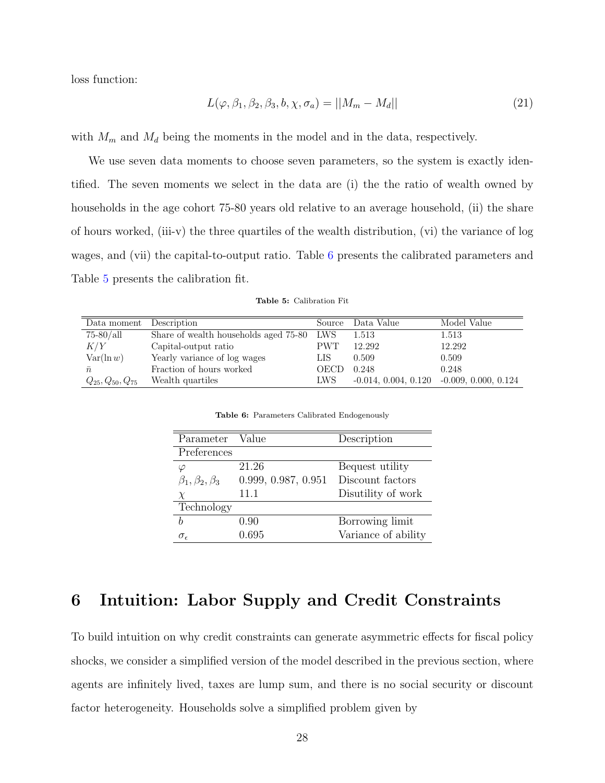loss function:

$$
L(\varphi, \beta_1, \beta_2, \beta_3, b, \chi, \sigma_a) = ||M_m - M_d|| \tag{21}
$$

with  $M_m$  and  $M_d$  being the moments in the model and in the data, respectively.

We use seven data moments to choose seven parameters, so the system is exactly identified. The seven moments we select in the data are (i) the the ratio of wealth owned by households in the age cohort 75-80 years old relative to an average household, (ii) the share of hours worked, (iii-v) the three quartiles of the wealth distribution, (vi) the variance of log wages, and (vii) the capital-to-output ratio. Table [6](#page-28-0) presents the calibrated parameters and Table [5](#page-28-1) presents the calibration fit.

Table 5: Calibration Fit

<span id="page-28-1"></span><span id="page-28-0"></span>

| Data moment            | Description                               | Source | Data Value | Model Value                                 |
|------------------------|-------------------------------------------|--------|------------|---------------------------------------------|
| $75-80/all$            | Share of wealth households aged 75-80 LWS |        | 1.513      | 1.513                                       |
| K/Y                    | Capital-output ratio                      | PWT.   | 12.292     | 12.292                                      |
| $Var(\ln w)$           | Yearly variance of log wages              | LIS    | 0.509      | 0.509                                       |
| $\bar{n}$              | Fraction of hours worked                  | OECD   | 0.248      | 0.248                                       |
| $Q_{25},Q_{50},Q_{75}$ | Wealth quartiles                          | LWS.   |            | $-0.014, 0.004, 0.120 -0.009, 0.000, 0.124$ |

Table 6: Parameters Calibrated Endogenously

| Parameter Value             |                     | Description         |
|-----------------------------|---------------------|---------------------|
| Preferences                 |                     |                     |
| $\varphi$                   | 21.26               | Bequest utility     |
| $\beta_1, \beta_2, \beta_3$ | 0.999, 0.987, 0.951 | Discount factors    |
| X                           | 11.1                | Disutility of work  |
| Technology                  |                     |                     |
| Ь                           | 0.90                | Borrowing limit     |
| $\sigma_{\epsilon}$         | 0.695               | Variance of ability |

# 6 Intuition: Labor Supply and Credit Constraints

To build intuition on why credit constraints can generate asymmetric effects for fiscal policy shocks, we consider a simplified version of the model described in the previous section, where agents are infinitely lived, taxes are lump sum, and there is no social security or discount factor heterogeneity. Households solve a simplified problem given by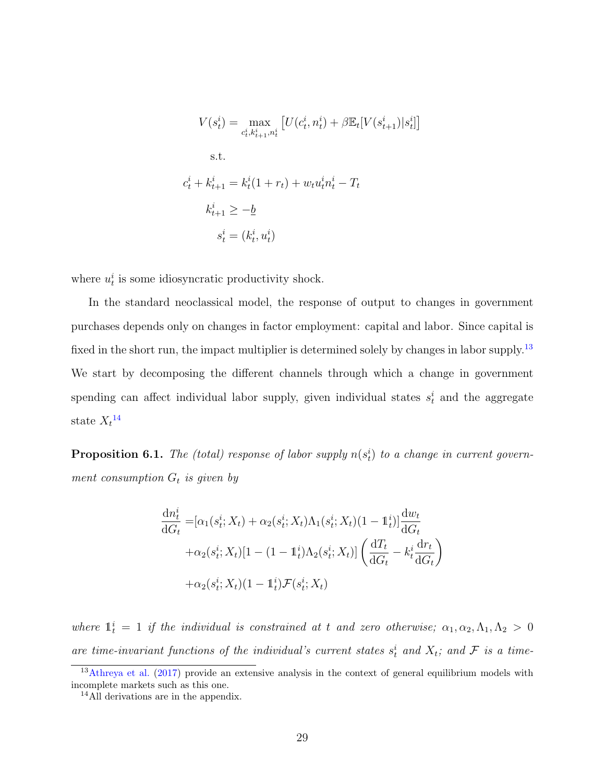$$
V(s_t^i) = \max_{c_t^i, k_{t+1}^i, n_t^i} \left[ U(c_t^i, n_t^i) + \beta \mathbb{E}_t[V(s_{t+1}^i) | s_t^i] \right]
$$
  
s.t.  

$$
c_t^i + k_{t+1}^i = k_t^i (1 + r_t) + w_t u_t^i n_t^i - T_t
$$
  

$$
k_{t+1}^i \ge -\underline{b}
$$
  

$$
s_t^i = (k_t^i, u_t^i)
$$

where  $u_t^i$  is some idiosyncratic productivity shock.

In the standard neoclassical model, the response of output to changes in government purchases depends only on changes in factor employment: capital and labor. Since capital is fixed in the short run, the impact multiplier is determined solely by changes in labor supply.<sup>[13](#page-29-0)</sup> We start by decomposing the different channels through which a change in government spending can affect individual labor supply, given individual states  $s_t^i$  and the aggregate state  $X_t$ <sup>[14](#page-29-1)</sup>

**Proposition 6.1.** The (total) response of labor supply  $n(s_t^i)$  to a change in current government consumption  $G_t$  is given by

$$
\frac{dn_t^i}{dG_t} = [\alpha_1(s_t^i; X_t) + \alpha_2(s_t^i; X_t)\Lambda_1(s_t^i; X_t)(1 - \mathbb{1}_t^i)]\frac{dw_t}{dG_t}
$$

$$
+ \alpha_2(s_t^i; X_t)[1 - (1 - \mathbb{1}_t^i)\Lambda_2(s_t^i; X_t)] \left(\frac{dT_t}{dG_t} - k_t^i \frac{dr_t}{dG_t}\right)
$$

$$
+ \alpha_2(s_t^i; X_t)(1 - \mathbb{1}_t^i)\mathcal{F}(s_t^i; X_t)
$$

where  $\mathbb{1}_t^i = 1$  if the individual is constrained at t and zero otherwise;  $\alpha_1, \alpha_2, \Lambda_1, \Lambda_2 > 0$ are time-invariant functions of the individual's current states  $s_t^i$  and  $X_t$ ; and  $\mathcal F$  is a time-

<span id="page-29-0"></span><sup>&</sup>lt;sup>13</sup>[Athreya et al.](#page-44-5) [\(2017\)](#page-44-5) provide an extensive analysis in the context of general equilibrium models with incomplete markets such as this one.

<span id="page-29-1"></span><sup>14</sup>All derivations are in the appendix.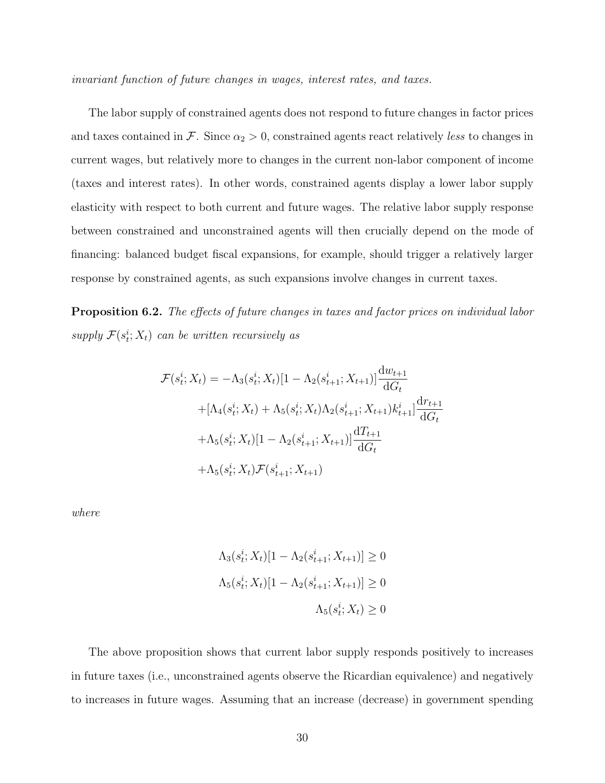invariant function of future changes in wages, interest rates, and taxes.

The labor supply of constrained agents does not respond to future changes in factor prices and taxes contained in F. Since  $\alpha_2 > 0$ , constrained agents react relatively less to changes in current wages, but relatively more to changes in the current non-labor component of income (taxes and interest rates). In other words, constrained agents display a lower labor supply elasticity with respect to both current and future wages. The relative labor supply response between constrained and unconstrained agents will then crucially depend on the mode of financing: balanced budget fiscal expansions, for example, should trigger a relatively larger response by constrained agents, as such expansions involve changes in current taxes.

Proposition 6.2. The effects of future changes in taxes and factor prices on individual labor supply  $\mathcal{F}(s_t^i; X_t)$  can be written recursively as

$$
\mathcal{F}(s_t^i; X_t) = -\Lambda_3(s_t^i; X_t)[1 - \Lambda_2(s_{t+1}^i; X_{t+1})] \frac{dw_{t+1}}{dG_t}
$$
  
+ 
$$
[\Lambda_4(s_t^i; X_t) + \Lambda_5(s_t^i; X_t)\Lambda_2(s_{t+1}^i; X_{t+1})k_{t+1}^i] \frac{dr_{t+1}}{dG_t}
$$
  
+ 
$$
\Lambda_5(s_t^i; X_t)[1 - \Lambda_2(s_{t+1}^i; X_{t+1})] \frac{dT_{t+1}}{dG_t}
$$
  
+ 
$$
\Lambda_5(s_t^i; X_t)\mathcal{F}(s_{t+1}^i; X_{t+1})
$$

where

$$
\Lambda_3(s_t^i; X_t)[1 - \Lambda_2(s_{t+1}^i; X_{t+1})] \ge 0
$$
  

$$
\Lambda_5(s_t^i; X_t)[1 - \Lambda_2(s_{t+1}^i; X_{t+1})] \ge 0
$$
  

$$
\Lambda_5(s_t^i; X_t) \ge 0
$$

The above proposition shows that current labor supply responds positively to increases in future taxes (i.e., unconstrained agents observe the Ricardian equivalence) and negatively to increases in future wages. Assuming that an increase (decrease) in government spending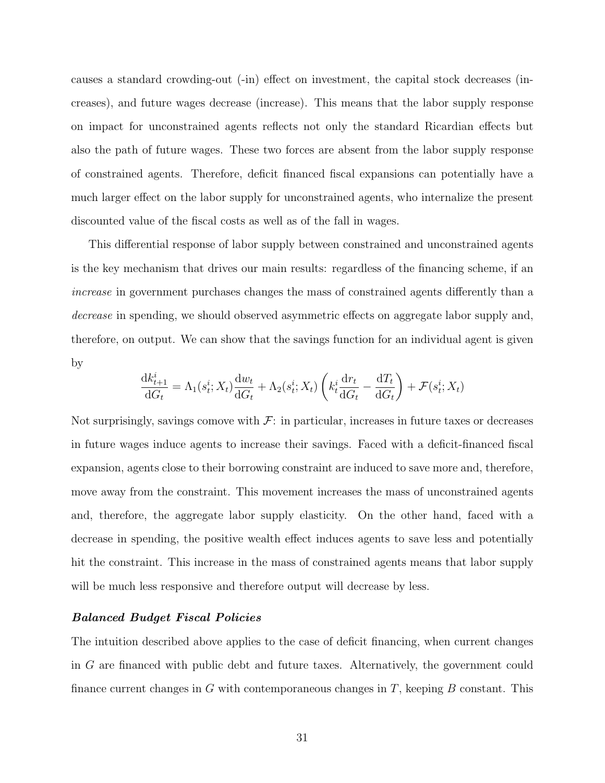causes a standard crowding-out (-in) effect on investment, the capital stock decreases (increases), and future wages decrease (increase). This means that the labor supply response on impact for unconstrained agents reflects not only the standard Ricardian effects but also the path of future wages. These two forces are absent from the labor supply response of constrained agents. Therefore, deficit financed fiscal expansions can potentially have a much larger effect on the labor supply for unconstrained agents, who internalize the present discounted value of the fiscal costs as well as of the fall in wages.

This differential response of labor supply between constrained and unconstrained agents is the key mechanism that drives our main results: regardless of the financing scheme, if an increase in government purchases changes the mass of constrained agents differently than a decrease in spending, we should observed asymmetric effects on aggregate labor supply and, therefore, on output. We can show that the savings function for an individual agent is given by

$$
\frac{\mathrm{d}k_{t+1}^i}{\mathrm{d}G_t} = \Lambda_1(s_t^i; X_t) \frac{\mathrm{d}w_t}{\mathrm{d}G_t} + \Lambda_2(s_t^i; X_t) \left(k_t^i \frac{\mathrm{d}r_t}{\mathrm{d}G_t} - \frac{\mathrm{d}T_t}{\mathrm{d}G_t}\right) + \mathcal{F}(s_t^i; X_t)
$$

Not surprisingly, savings comove with  $\mathcal{F}$ : in particular, increases in future taxes or decreases in future wages induce agents to increase their savings. Faced with a deficit-financed fiscal expansion, agents close to their borrowing constraint are induced to save more and, therefore, move away from the constraint. This movement increases the mass of unconstrained agents and, therefore, the aggregate labor supply elasticity. On the other hand, faced with a decrease in spending, the positive wealth effect induces agents to save less and potentially hit the constraint. This increase in the mass of constrained agents means that labor supply will be much less responsive and therefore output will decrease by less.

#### Balanced Budget Fiscal Policies

The intuition described above applies to the case of deficit financing, when current changes in G are financed with public debt and future taxes. Alternatively, the government could finance current changes in G with contemporaneous changes in  $T$ , keeping  $B$  constant. This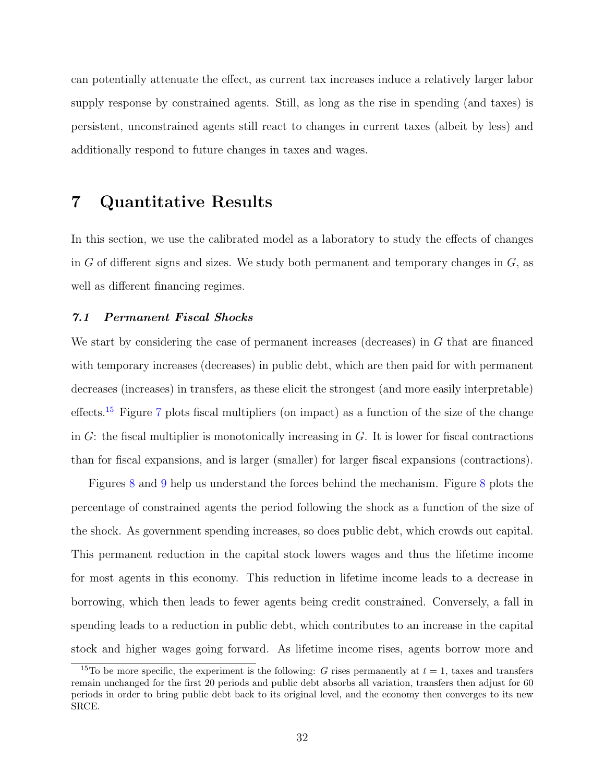can potentially attenuate the effect, as current tax increases induce a relatively larger labor supply response by constrained agents. Still, as long as the rise in spending (and taxes) is persistent, unconstrained agents still react to changes in current taxes (albeit by less) and additionally respond to future changes in taxes and wages.

## <span id="page-32-0"></span>7 Quantitative Results

In this section, we use the calibrated model as a laboratory to study the effects of changes in G of different signs and sizes. We study both permanent and temporary changes in  $G$ , as well as different financing regimes.

#### 7.1 Permanent Fiscal Shocks

We start by considering the case of permanent increases (decreases) in G that are financed with temporary increases (decreases) in public debt, which are then paid for with permanent decreases (increases) in transfers, as these elicit the strongest (and more easily interpretable) effects.<sup>[15](#page-32-1)</sup> Figure [7](#page-33-0) plots fiscal multipliers (on impact) as a function of the size of the change in  $G$ : the fiscal multiplier is monotonically increasing in  $G$ . It is lower for fiscal contractions than for fiscal expansions, and is larger (smaller) for larger fiscal expansions (contractions).

Figures [8](#page-33-1) and [9](#page-34-0) help us understand the forces behind the mechanism. Figure [8](#page-33-1) plots the percentage of constrained agents the period following the shock as a function of the size of the shock. As government spending increases, so does public debt, which crowds out capital. This permanent reduction in the capital stock lowers wages and thus the lifetime income for most agents in this economy. This reduction in lifetime income leads to a decrease in borrowing, which then leads to fewer agents being credit constrained. Conversely, a fall in spending leads to a reduction in public debt, which contributes to an increase in the capital stock and higher wages going forward. As lifetime income rises, agents borrow more and

<span id="page-32-1"></span><sup>&</sup>lt;sup>15</sup>To be more specific, the experiment is the following: G rises permanently at  $t = 1$ , taxes and transfers remain unchanged for the first 20 periods and public debt absorbs all variation, transfers then adjust for 60 periods in order to bring public debt back to its original level, and the economy then converges to its new SRCE.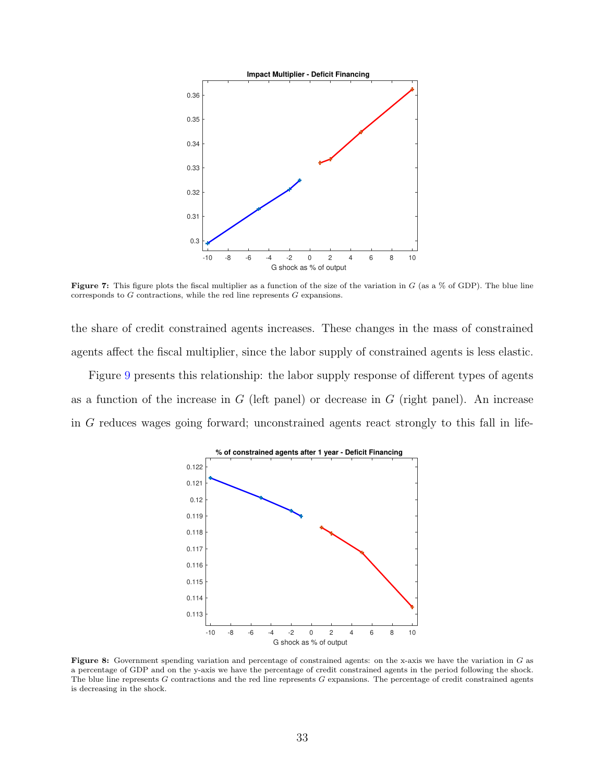<span id="page-33-0"></span>

**Figure 7:** This figure plots the fiscal multiplier as a function of the size of the variation in  $G$  (as a  $\%$  of GDP). The blue line corresponds to G contractions, while the red line represents G expansions.

the share of credit constrained agents increases. These changes in the mass of constrained agents affect the fiscal multiplier, since the labor supply of constrained agents is less elastic.

<span id="page-33-1"></span>Figure [9](#page-34-0) presents this relationship: the labor supply response of different types of agents as a function of the increase in  $G$  (left panel) or decrease in  $G$  (right panel). An increase in G reduces wages going forward; unconstrained agents react strongly to this fall in life-



**Figure 8:** Government spending variation and percentage of constrained agents: on the x-axis we have the variation in  $G$  as a percentage of GDP and on the y-axis we have the percentage of credit constrained agents in the period following the shock. The blue line represents  $G$  contractions and the red line represents  $G$  expansions. The percentage of credit constrained agents is decreasing in the shock.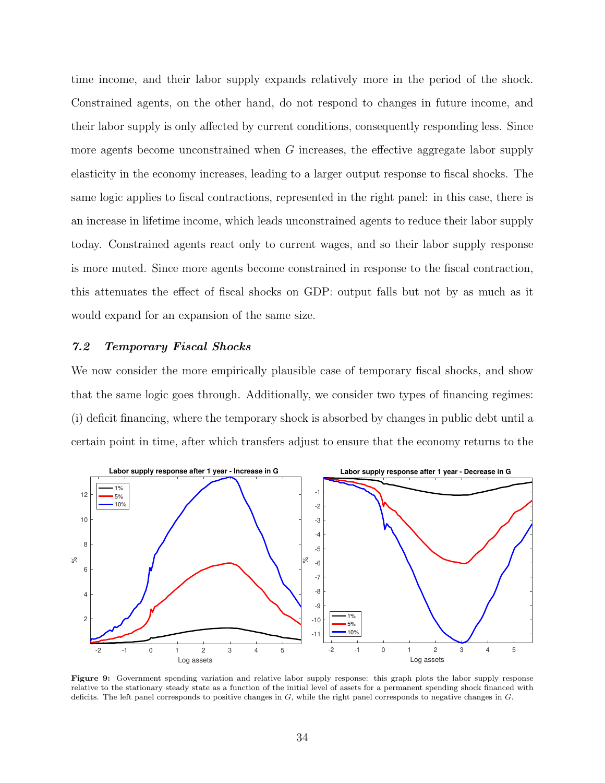time income, and their labor supply expands relatively more in the period of the shock. Constrained agents, on the other hand, do not respond to changes in future income, and their labor supply is only affected by current conditions, consequently responding less. Since more agents become unconstrained when  $G$  increases, the effective aggregate labor supply elasticity in the economy increases, leading to a larger output response to fiscal shocks. The same logic applies to fiscal contractions, represented in the right panel: in this case, there is an increase in lifetime income, which leads unconstrained agents to reduce their labor supply today. Constrained agents react only to current wages, and so their labor supply response is more muted. Since more agents become constrained in response to the fiscal contraction, this attenuates the effect of fiscal shocks on GDP: output falls but not by as much as it would expand for an expansion of the same size.

## 7.2 Temporary Fiscal Shocks

We now consider the more empirically plausible case of temporary fiscal shocks, and show that the same logic goes through. Additionally, we consider two types of financing regimes: (i) deficit financing, where the temporary shock is absorbed by changes in public debt until a certain point in time, after which transfers adjust to ensure that the economy returns to the

<span id="page-34-0"></span>

Figure 9: Government spending variation and relative labor supply response: this graph plots the labor supply response relative to the stationary steady state as a function of the initial level of assets for a permanent spending shock financed with deficits. The left panel corresponds to positive changes in G, while the right panel corresponds to negative changes in G.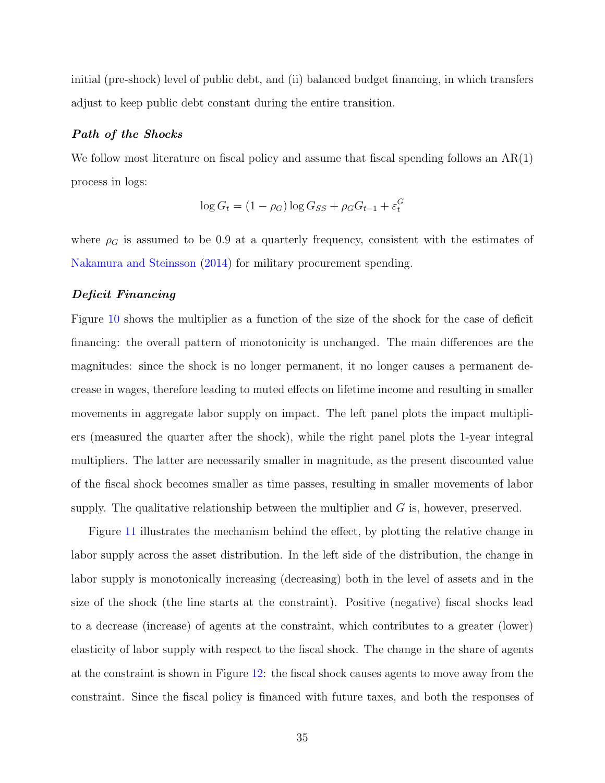initial (pre-shock) level of public debt, and (ii) balanced budget financing, in which transfers adjust to keep public debt constant during the entire transition.

#### Path of the Shocks

We follow most literature on fiscal policy and assume that fiscal spending follows an  $AR(1)$ process in logs:

$$
\log G_t = (1 - \rho_G) \log G_{SS} + \rho_G G_{t-1} + \varepsilon_t^G
$$

where  $\rho_G$  is assumed to be 0.9 at a quarterly frequency, consistent with the estimates of [Nakamura and Steinsson](#page-46-8) [\(2014\)](#page-46-8) for military procurement spending.

#### Deficit Financing

Figure [10](#page-36-0) shows the multiplier as a function of the size of the shock for the case of deficit financing: the overall pattern of monotonicity is unchanged. The main differences are the magnitudes: since the shock is no longer permanent, it no longer causes a permanent decrease in wages, therefore leading to muted effects on lifetime income and resulting in smaller movements in aggregate labor supply on impact. The left panel plots the impact multipliers (measured the quarter after the shock), while the right panel plots the 1-year integral multipliers. The latter are necessarily smaller in magnitude, as the present discounted value of the fiscal shock becomes smaller as time passes, resulting in smaller movements of labor supply. The qualitative relationship between the multiplier and  $G$  is, however, preserved.

Figure [11](#page-36-1) illustrates the mechanism behind the effect, by plotting the relative change in labor supply across the asset distribution. In the left side of the distribution, the change in labor supply is monotonically increasing (decreasing) both in the level of assets and in the size of the shock (the line starts at the constraint). Positive (negative) fiscal shocks lead to a decrease (increase) of agents at the constraint, which contributes to a greater (lower) elasticity of labor supply with respect to the fiscal shock. The change in the share of agents at the constraint is shown in Figure [12:](#page-37-0) the fiscal shock causes agents to move away from the constraint. Since the fiscal policy is financed with future taxes, and both the responses of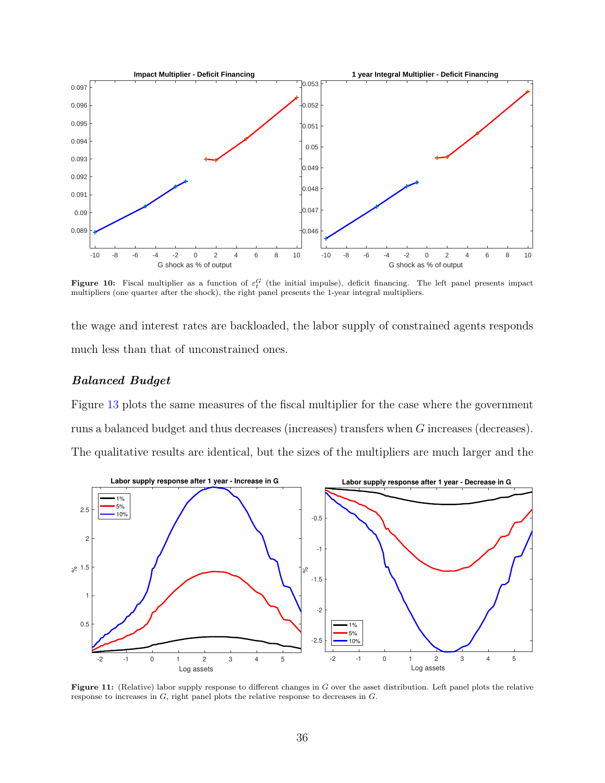<span id="page-36-0"></span>

**Figure 10:** Fiscal multiplier as a function of  $\varepsilon_t^G$  (the initial impulse), deficit financing. The left panel presents impact multipliers (one quarter after the shock), the right panel presents the 1-year integral multipliers.

the wage and interest rates are backloaded, the labor supply of constrained agents responds much less than that of unconstrained ones.

## Balanced Budget

Figure [13](#page-37-1) plots the same measures of the fiscal multiplier for the case where the government runs a balanced budget and thus decreases (increases) transfers when G increases (decreases). The qualitative results are identical, but the sizes of the multipliers are much larger and the

<span id="page-36-1"></span>

Figure 11: (Relative) labor supply response to different changes in G over the asset distribution. Left panel plots the relative response to increases in G, right panel plots the relative response to decreases in G.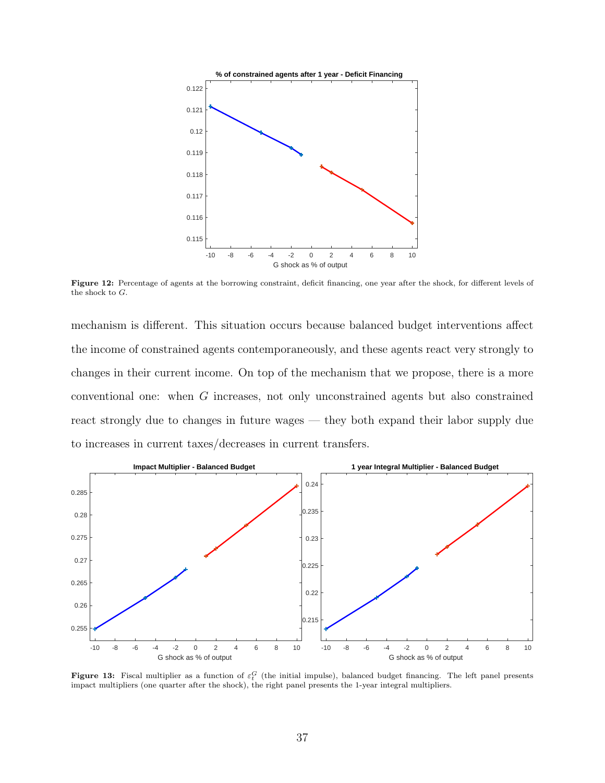<span id="page-37-0"></span>

Figure 12: Percentage of agents at the borrowing constraint, deficit financing, one year after the shock, for different levels of the shock to G.

mechanism is different. This situation occurs because balanced budget interventions affect the income of constrained agents contemporaneously, and these agents react very strongly to changes in their current income. On top of the mechanism that we propose, there is a more conventional one: when G increases, not only unconstrained agents but also constrained react strongly due to changes in future wages — they both expand their labor supply due to increases in current taxes/decreases in current transfers.

<span id="page-37-1"></span>

**Figure 13:** Fiscal multiplier as a function of  $\varepsilon_t^G$  (the initial impulse), balanced budget financing. The left panel presents impact multipliers (one quarter after the shock), the right panel presents the 1-year integral multipliers.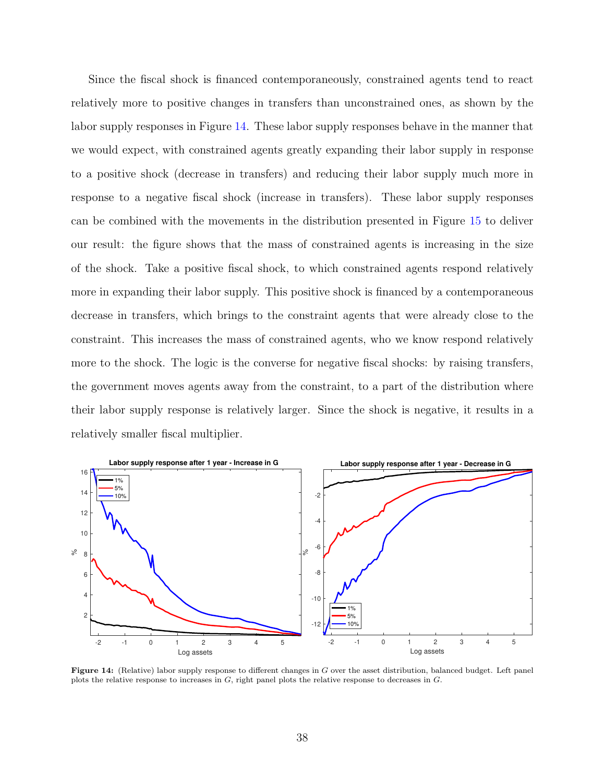Since the fiscal shock is financed contemporaneously, constrained agents tend to react relatively more to positive changes in transfers than unconstrained ones, as shown by the labor supply responses in Figure [14.](#page-38-0) These labor supply responses behave in the manner that we would expect, with constrained agents greatly expanding their labor supply in response to a positive shock (decrease in transfers) and reducing their labor supply much more in response to a negative fiscal shock (increase in transfers). These labor supply responses can be combined with the movements in the distribution presented in Figure [15](#page-39-1) to deliver our result: the figure shows that the mass of constrained agents is increasing in the size of the shock. Take a positive fiscal shock, to which constrained agents respond relatively more in expanding their labor supply. This positive shock is financed by a contemporaneous decrease in transfers, which brings to the constraint agents that were already close to the constraint. This increases the mass of constrained agents, who we know respond relatively more to the shock. The logic is the converse for negative fiscal shocks: by raising transfers, the government moves agents away from the constraint, to a part of the distribution where their labor supply response is relatively larger. Since the shock is negative, it results in a relatively smaller fiscal multiplier.

<span id="page-38-0"></span>

Figure 14: (Relative) labor supply response to different changes in G over the asset distribution, balanced budget. Left panel plots the relative response to increases in G, right panel plots the relative response to decreases in G.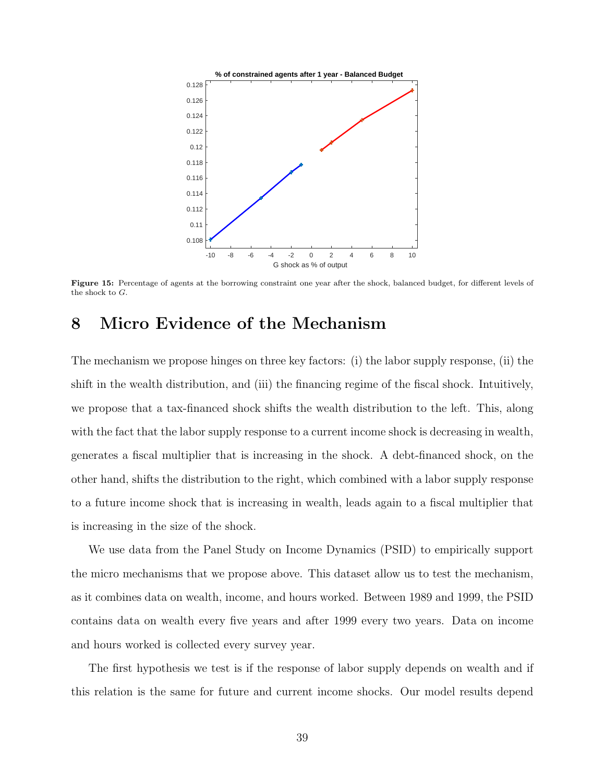<span id="page-39-1"></span>

Figure 15: Percentage of agents at the borrowing constraint one year after the shock, balanced budget, for different levels of the shock to G.

# <span id="page-39-0"></span>8 Micro Evidence of the Mechanism

The mechanism we propose hinges on three key factors: (i) the labor supply response, (ii) the shift in the wealth distribution, and (iii) the financing regime of the fiscal shock. Intuitively, we propose that a tax-financed shock shifts the wealth distribution to the left. This, along with the fact that the labor supply response to a current income shock is decreasing in wealth, generates a fiscal multiplier that is increasing in the shock. A debt-financed shock, on the other hand, shifts the distribution to the right, which combined with a labor supply response to a future income shock that is increasing in wealth, leads again to a fiscal multiplier that is increasing in the size of the shock.

We use data from the Panel Study on Income Dynamics (PSID) to empirically support the micro mechanisms that we propose above. This dataset allow us to test the mechanism, as it combines data on wealth, income, and hours worked. Between 1989 and 1999, the PSID contains data on wealth every five years and after 1999 every two years. Data on income and hours worked is collected every survey year.

The first hypothesis we test is if the response of labor supply depends on wealth and if this relation is the same for future and current income shocks. Our model results depend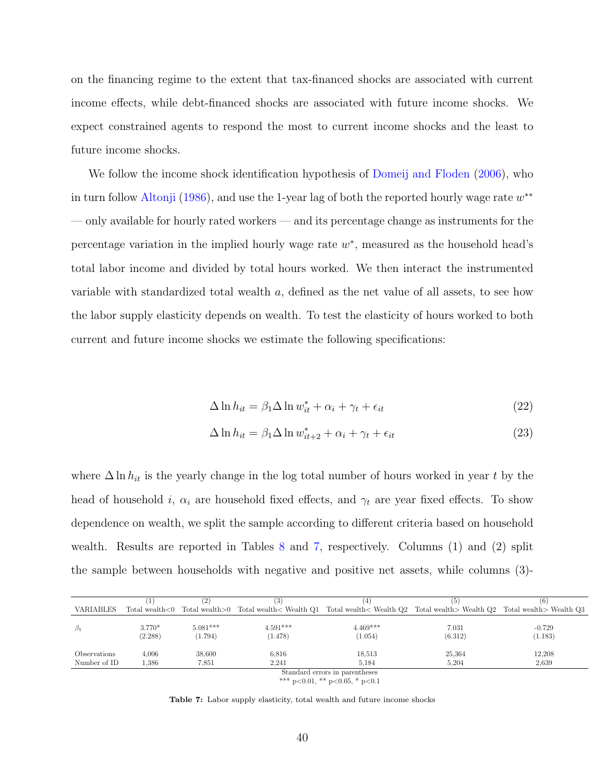on the financing regime to the extent that tax-financed shocks are associated with current income effects, while debt-financed shocks are associated with future income shocks. We expect constrained agents to respond the most to current income shocks and the least to future income shocks.

We follow the income shock identification hypothesis of [Domeij and Floden](#page-45-10) [\(2006\)](#page-45-10), who in turn follow [Altonji](#page-44-9) [\(1986\)](#page-44-9), and use the 1-year lag of both the reported hourly wage rate  $w^{**}$ — only available for hourly rated workers — and its percentage change as instruments for the percentage variation in the implied hourly wage rate  $w^*$ , measured as the household head's total labor income and divided by total hours worked. We then interact the instrumented variable with standardized total wealth a, defined as the net value of all assets, to see how the labor supply elasticity depends on wealth. To test the elasticity of hours worked to both current and future income shocks we estimate the following specifications:

$$
\Delta \ln h_{it} = \beta_1 \Delta \ln w_{it}^* + \alpha_i + \gamma_t + \epsilon_{it}
$$
\n(22)

$$
\Delta \ln h_{it} = \beta_1 \Delta \ln w_{it+2}^* + \alpha_i + \gamma_t + \epsilon_{it}
$$
\n(23)

where  $\Delta \ln h_{it}$  is the yearly change in the log total number of hours worked in year t by the head of household i,  $\alpha_i$  are household fixed effects, and  $\gamma_t$  are year fixed effects. To show dependence on wealth, we split the sample according to different criteria based on household wealth. Results are reported in Tables [8](#page-41-0) and [7,](#page-40-0) respectively. Columns (1) and (2) split the sample between households with negative and positive net assets, while columns (3)-

<span id="page-40-0"></span>

|                                |                     |                       | (3)                   |                                                                                                                               | 6 I              | (6)                 |  |
|--------------------------------|---------------------|-----------------------|-----------------------|-------------------------------------------------------------------------------------------------------------------------------|------------------|---------------------|--|
| VARIABLES                      |                     |                       |                       | Total wealth<0 Total wealth>0 Total wealth< Wealth Q1 Total wealth< Wealth Q2 Total wealth> Wealth Q2 Total wealth> Wealth Q3 |                  |                     |  |
| $\beta_1$                      | $3.770*$<br>(2.288) | $5.081***$<br>(1.794) | $4.591***$<br>(1.478) | $4.469***$<br>(1.054)                                                                                                         | 7.031<br>(6.312) | $-0.729$<br>(1.183) |  |
| <i>Observations</i>            | 4,006               | 38.600                | 6,816                 | 18,513                                                                                                                        | 25,364           | 12,208              |  |
| Number of ID                   | .386                | 7,851                 | 2.241                 | 5.184                                                                                                                         | 5.204            | 2,639               |  |
| Standard errors in parentheses |                     |                       |                       |                                                                                                                               |                  |                     |  |

\*\*\* p<0.01, \*\* p<0.05, \* p<0.1

Table 7: Labor supply elasticity, total wealth and future income shocks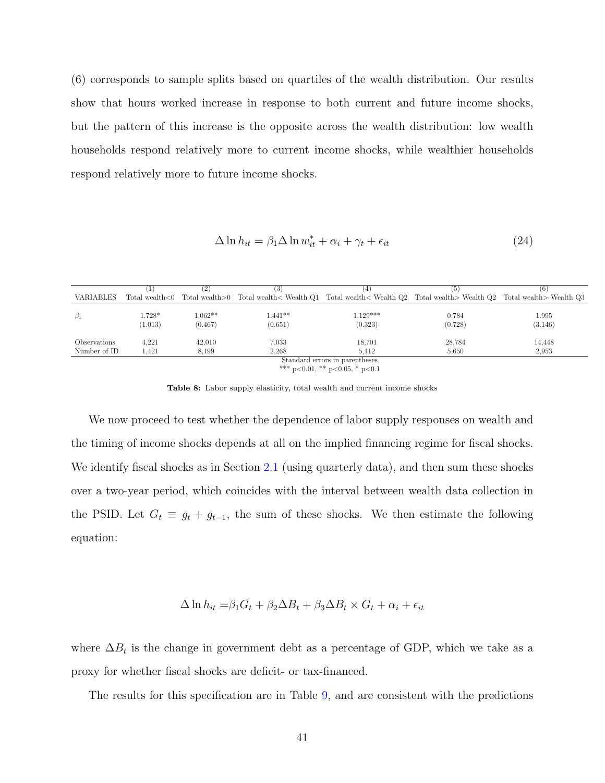(6) corresponds to sample splits based on quartiles of the wealth distribution. Our results show that hours worked increase in response to both current and future income shocks, but the pattern of this increase is the opposite across the wealth distribution: low wealth households respond relatively more to current income shocks, while wealthier households respond relatively more to future income shocks.

$$
\Delta \ln h_{it} = \beta_1 \Delta \ln w_{it}^* + \alpha_i + \gamma_t + \epsilon_{it}
$$
\n(24)

<span id="page-41-0"></span>

|                                |                     | 2                    | (3)                  | (4                                                                                                                            | '5)              | (6)              |
|--------------------------------|---------------------|----------------------|----------------------|-------------------------------------------------------------------------------------------------------------------------------|------------------|------------------|
| VARIABLES                      |                     |                      |                      | Total wealth<0 Total wealth>0 Total wealth< Wealth Q1 Total wealth< Wealth Q2 Total wealth> Wealth Q2 Total wealth> Wealth Q3 |                  |                  |
| $\beta_1$                      | $1.728*$<br>(1.013) | $1.062**$<br>(0.467) | $1.441**$<br>(0.651) | $1.129***$<br>(0.323)                                                                                                         | 0.784<br>(0.728) | 1.995<br>(3.146) |
| Observations<br>Number of ID   | 4,221<br>1.421      | 42,010<br>8,199      | 7.033<br>2,268       | 18,701<br>5.112                                                                                                               | 28,784<br>5,650  | 14,448<br>2,953  |
| Standard errors in parentheses |                     |                      |                      |                                                                                                                               |                  |                  |

\*\*\* p<0.01, \*\* p<0.05, \* p<0.1

Table 8: Labor supply elasticity, total wealth and current income shocks

We now proceed to test whether the dependence of labor supply responses on wealth and the timing of income shocks depends at all on the implied financing regime for fiscal shocks. We identify fiscal shocks as in Section [2.1](#page-4-2) (using quarterly data), and then sum these shocks over a two-year period, which coincides with the interval between wealth data collection in the PSID. Let  $G_t \equiv g_t + g_{t-1}$ , the sum of these shocks. We then estimate the following equation:

$$
\Delta \ln h_{it} = \beta_1 G_t + \beta_2 \Delta B_t + \beta_3 \Delta B_t \times G_t + \alpha_i + \epsilon_{it}
$$

where  $\Delta B_t$  is the change in government debt as a percentage of GDP, which we take as a proxy for whether fiscal shocks are deficit- or tax-financed.

The results for this specification are in Table [9,](#page-42-1) and are consistent with the predictions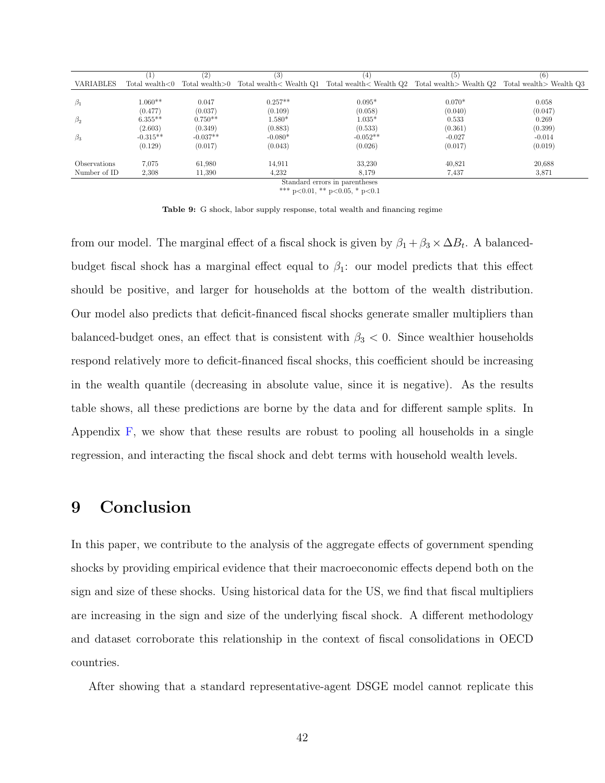<span id="page-42-1"></span>

|                  |                    | (2)        | (3)       | 4                                                                                                                   | (5)      | (6)      |
|------------------|--------------------|------------|-----------|---------------------------------------------------------------------------------------------------------------------|----------|----------|
| <b>VARIABLES</b> | Total wealth $< 0$ |            |           | Total wealth >0 Total wealth < Wealth Q1 Total wealth < Wealth Q2 Total wealth > Wealth Q2 Total wealth > Wealth Q3 |          |          |
|                  |                    |            |           |                                                                                                                     |          |          |
| $\beta_1$        | $1.060**$          | 0.047      | $0.257**$ | $0.095*$                                                                                                            | $0.070*$ | 0.058    |
|                  | (0.477)            | (0.037)    | (0.109)   | (0.058)                                                                                                             | (0.040)  | (0.047)  |
| $\beta_2$        | $6.355**$          | $0.750**$  | $1.580*$  | $1.035*$                                                                                                            | 0.533    | 0.269    |
|                  | (2.603)            | (0.349)    | (0.883)   | (0.533)                                                                                                             | (0.361)  | (0.399)  |
| $\beta_3$        | $-0.315**$         | $-0.037**$ | $-0.080*$ | $-0.052**$                                                                                                          | $-0.027$ | $-0.014$ |
|                  | (0.129)            | (0.017)    | (0.043)   | (0.026)                                                                                                             | (0.017)  | (0.019)  |
|                  |                    |            |           |                                                                                                                     |          |          |
| Observations     | 7.075              | 61,980     | 14,911    | 33,230                                                                                                              | 40,821   | 20,688   |
| Number of ID     | 2,308              | 11,390     | 4,232     | 8,179                                                                                                               | 7.437    | 3,871    |
|                  |                    |            |           | Standard errors in parentheses                                                                                      |          |          |

\*\*\* p<0.01, \*\* p<0.05, \* p<0.1

Table 9: G shock, labor supply response, total wealth and financing regime

from our model. The marginal effect of a fiscal shock is given by  $\beta_1 + \beta_3 \times \Delta B_t$ . A balancedbudget fiscal shock has a marginal effect equal to  $\beta_1$ : our model predicts that this effect should be positive, and larger for households at the bottom of the wealth distribution. Our model also predicts that deficit-financed fiscal shocks generate smaller multipliers than balanced-budget ones, an effect that is consistent with  $\beta_3$  < 0. Since wealthier households respond relatively more to deficit-financed fiscal shocks, this coefficient should be increasing in the wealth quantile (decreasing in absolute value, since it is negative). As the results table shows, all these predictions are borne by the data and for different sample splits. In Appendix [F,](#page-67-0) we show that these results are robust to pooling all households in a single regression, and interacting the fiscal shock and debt terms with household wealth levels.

## <span id="page-42-0"></span>9 Conclusion

In this paper, we contribute to the analysis of the aggregate effects of government spending shocks by providing empirical evidence that their macroeconomic effects depend both on the sign and size of these shocks. Using historical data for the US, we find that fiscal multipliers are increasing in the sign and size of the underlying fiscal shock. A different methodology and dataset corroborate this relationship in the context of fiscal consolidations in OECD countries.

After showing that a standard representative-agent DSGE model cannot replicate this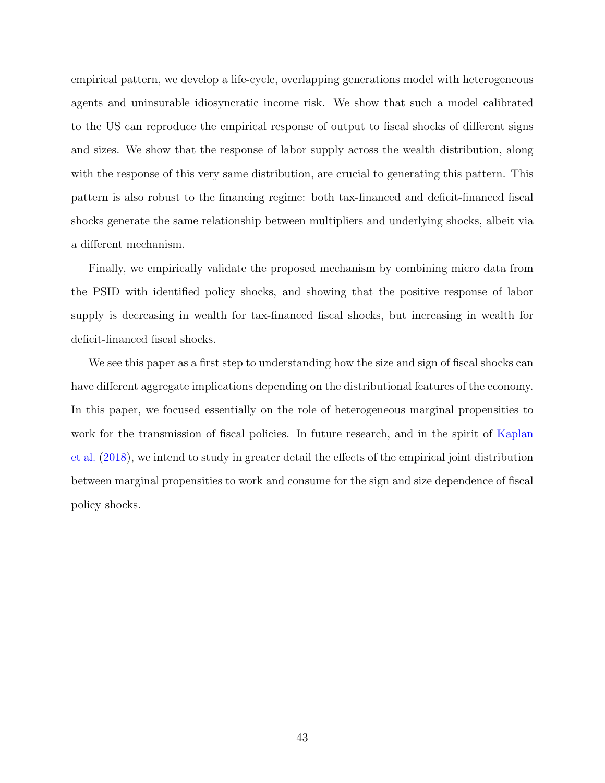empirical pattern, we develop a life-cycle, overlapping generations model with heterogeneous agents and uninsurable idiosyncratic income risk. We show that such a model calibrated to the US can reproduce the empirical response of output to fiscal shocks of different signs and sizes. We show that the response of labor supply across the wealth distribution, along with the response of this very same distribution, are crucial to generating this pattern. This pattern is also robust to the financing regime: both tax-financed and deficit-financed fiscal shocks generate the same relationship between multipliers and underlying shocks, albeit via a different mechanism.

Finally, we empirically validate the proposed mechanism by combining micro data from the PSID with identified policy shocks, and showing that the positive response of labor supply is decreasing in wealth for tax-financed fiscal shocks, but increasing in wealth for deficit-financed fiscal shocks.

We see this paper as a first step to understanding how the size and sign of fiscal shocks can have different aggregate implications depending on the distributional features of the economy. In this paper, we focused essentially on the role of heterogeneous marginal propensities to work for the transmission of fiscal policies. In future research, and in the spirit of [Kaplan](#page-46-10) [et al.](#page-46-10) [\(2018\)](#page-46-10), we intend to study in greater detail the effects of the empirical joint distribution between marginal propensities to work and consume for the sign and size dependence of fiscal policy shocks.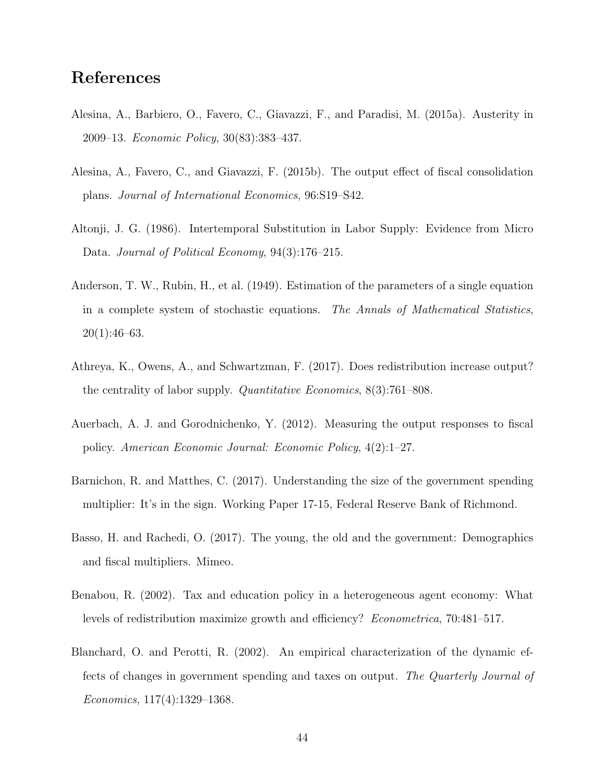# References

- <span id="page-44-4"></span>Alesina, A., Barbiero, O., Favero, C., Giavazzi, F., and Paradisi, M. (2015a). Austerity in 2009–13. Economic Policy, 30(83):383–437.
- <span id="page-44-7"></span>Alesina, A., Favero, C., and Giavazzi, F. (2015b). The output effect of fiscal consolidation plans. Journal of International Economics, 96:S19–S42.
- <span id="page-44-9"></span>Altonji, J. G. (1986). Intertemporal Substitution in Labor Supply: Evidence from Micro Data. Journal of Political Economy, 94(3):176–215.
- <span id="page-44-6"></span>Anderson, T. W., Rubin, H., et al. (1949). Estimation of the parameters of a single equation in a complete system of stochastic equations. The Annals of Mathematical Statistics,  $20(1):46-63.$
- <span id="page-44-5"></span>Athreya, K., Owens, A., and Schwartzman, F. (2017). Does redistribution increase output? the centrality of labor supply. Quantitative Economics, 8(3):761–808.
- <span id="page-44-0"></span>Auerbach, A. J. and Gorodnichenko, Y. (2012). Measuring the output responses to fiscal policy. American Economic Journal: Economic Policy, 4(2):1–27.
- <span id="page-44-2"></span>Barnichon, R. and Matthes, C. (2017). Understanding the size of the government spending multiplier: It's in the sign. Working Paper 17-15, Federal Reserve Bank of Richmond.
- <span id="page-44-1"></span>Basso, H. and Rachedi, O. (2017). The young, the old and the government: Demographics and fiscal multipliers. Mimeo.
- <span id="page-44-8"></span>Benabou, R. (2002). Tax and education policy in a heterogeneous agent economy: What levels of redistribution maximize growth and efficiency? Econometrica, 70:481–517.
- <span id="page-44-3"></span>Blanchard, O. and Perotti, R. (2002). An empirical characterization of the dynamic effects of changes in government spending and taxes on output. The Quarterly Journal of Economics, 117(4):1329–1368.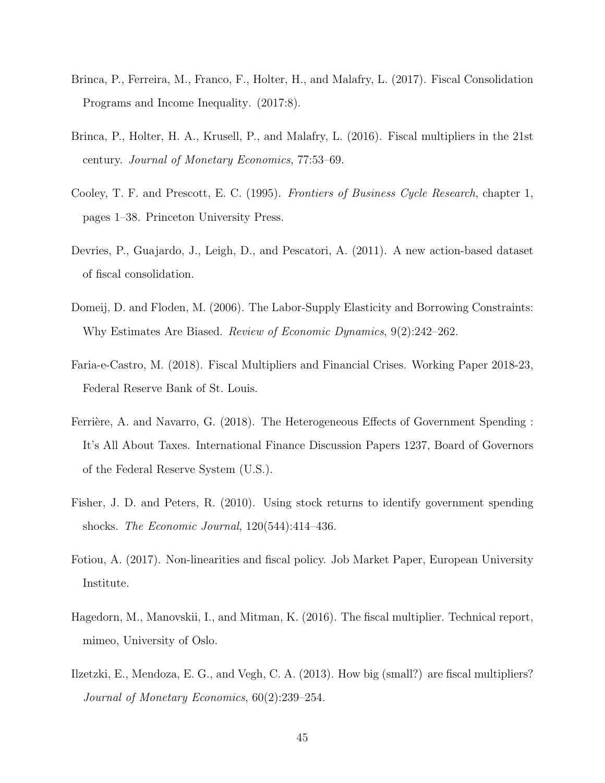- <span id="page-45-1"></span>Brinca, P., Ferreira, M., Franco, F., Holter, H., and Malafry, L. (2017). Fiscal Consolidation Programs and Income Inequality. (2017:8).
- <span id="page-45-0"></span>Brinca, P., Holter, H. A., Krusell, P., and Malafry, L. (2016). Fiscal multipliers in the 21st century. Journal of Monetary Economics, 77:53–69.
- <span id="page-45-9"></span>Cooley, T. F. and Prescott, E. C. (1995). Frontiers of Business Cycle Research, chapter 1, pages 1–38. Princeton University Press.
- <span id="page-45-8"></span>Devries, P., Guajardo, J., Leigh, D., and Pescatori, A. (2011). A new action-based dataset of fiscal consolidation.
- <span id="page-45-10"></span>Domeij, D. and Floden, M. (2006). The Labor-Supply Elasticity and Borrowing Constraints: Why Estimates Are Biased. Review of Economic Dynamics, 9(2):242–262.
- <span id="page-45-5"></span>Faria-e-Castro, M. (2018). Fiscal Multipliers and Financial Crises. Working Paper 2018-23, Federal Reserve Bank of St. Louis.
- <span id="page-45-3"></span>Ferrière, A. and Navarro, G. (2018). The Heterogeneous Effects of Government Spending : It's All About Taxes. International Finance Discussion Papers 1237, Board of Governors of the Federal Reserve System (U.S.).
- <span id="page-45-7"></span>Fisher, J. D. and Peters, R. (2010). Using stock returns to identify government spending shocks. The Economic Journal, 120(544):414–436.
- <span id="page-45-6"></span>Fotiou, A. (2017). Non-linearities and fiscal policy. Job Market Paper, European University Institute.
- <span id="page-45-2"></span>Hagedorn, M., Manovskii, I., and Mitman, K. (2016). The fiscal multiplier. Technical report, mimeo, University of Oslo.
- <span id="page-45-4"></span>Ilzetzki, E., Mendoza, E. G., and Vegh, C. A. (2013). How big (small?) are fiscal multipliers? Journal of Monetary Economics, 60(2):239–254.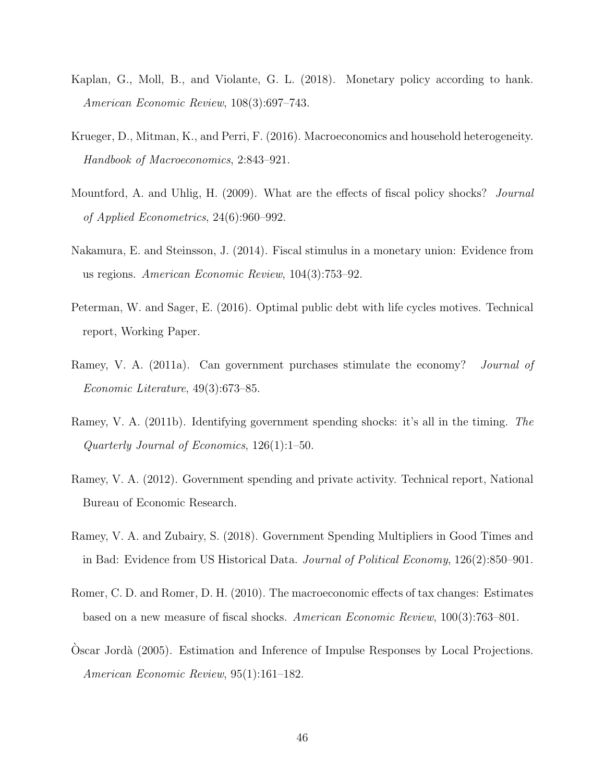- <span id="page-46-10"></span>Kaplan, G., Moll, B., and Violante, G. L. (2018). Monetary policy according to hank. American Economic Review, 108(3):697–743.
- <span id="page-46-1"></span>Krueger, D., Mitman, K., and Perri, F. (2016). Macroeconomics and household heterogeneity. Handbook of Macroeconomics, 2:843–921.
- <span id="page-46-5"></span>Mountford, A. and Uhlig, H. (2009). What are the effects of fiscal policy shocks? Journal of Applied Econometrics, 24(6):960–992.
- <span id="page-46-8"></span>Nakamura, E. and Steinsson, J. (2014). Fiscal stimulus in a monetary union: Evidence from us regions. American Economic Review, 104(3):753–92.
- <span id="page-46-9"></span>Peterman, W. and Sager, E. (2016). Optimal public debt with life cycles motives. Technical report, Working Paper.
- <span id="page-46-7"></span>Ramey, V. A. (2011a). Can government purchases stimulate the economy? *Journal of* Economic Literature, 49(3):673–85.
- <span id="page-46-2"></span>Ramey, V. A. (2011b). Identifying government spending shocks: it's all in the timing. The Quarterly Journal of Economics, 126(1):1–50.
- <span id="page-46-6"></span>Ramey, V. A. (2012). Government spending and private activity. Technical report, National Bureau of Economic Research.
- <span id="page-46-0"></span>Ramey, V. A. and Zubairy, S. (2018). Government Spending Multipliers in Good Times and in Bad: Evidence from US Historical Data. Journal of Political Economy, 126(2):850–901.
- <span id="page-46-4"></span>Romer, C. D. and Romer, D. H. (2010). The macroeconomic effects of tax changes: Estimates based on a new measure of fiscal shocks. American Economic Review, 100(3):763–801.
- <span id="page-46-3"></span>Oscar Jord`a (2005). Estimation and Inference of Impulse Responses by Local Projections. ` American Economic Review, 95(1):161–182.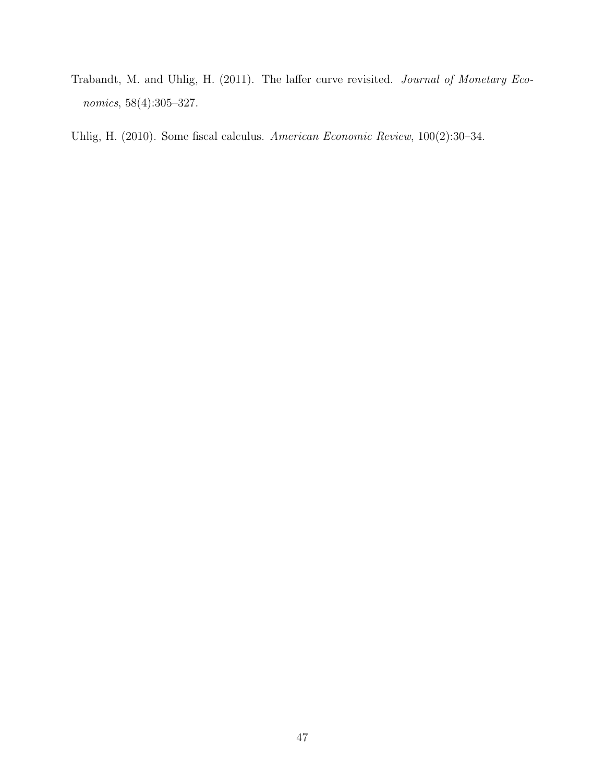<span id="page-47-1"></span>Trabandt, M. and Uhlig, H. (2011). The laffer curve revisited. Journal of Monetary Economics, 58(4):305–327.

<span id="page-47-0"></span>Uhlig, H. (2010). Some fiscal calculus. American Economic Review, 100(2):30–34.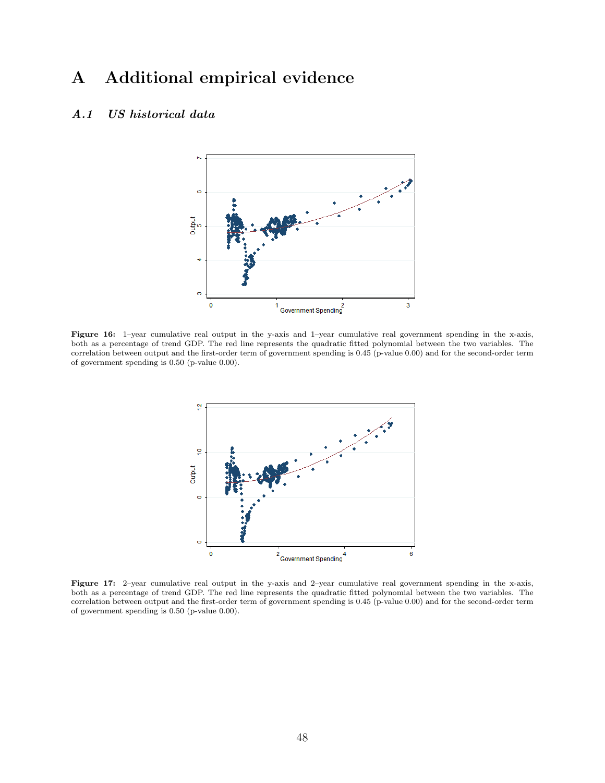# A Additional empirical evidence

## <span id="page-48-0"></span>A.1 US historical data



Figure 16: 1–year cumulative real output in the y-axis and 1–year cumulative real government spending in the x-axis, both as a percentage of trend GDP. The red line represents the quadratic fitted polynomial between the two variables. The correlation between output and the first-order term of government spending is 0.45 (p-value 0.00) and for the second-order term of government spending is 0.50 (p-value 0.00).



Figure 17: 2–year cumulative real output in the y-axis and 2–year cumulative real government spending in the x-axis, both as a percentage of trend GDP. The red line represents the quadratic fitted polynomial between the two variables. The correlation between output and the first-order term of government spending is 0.45 (p-value 0.00) and for the second-order term of government spending is 0.50 (p-value 0.00).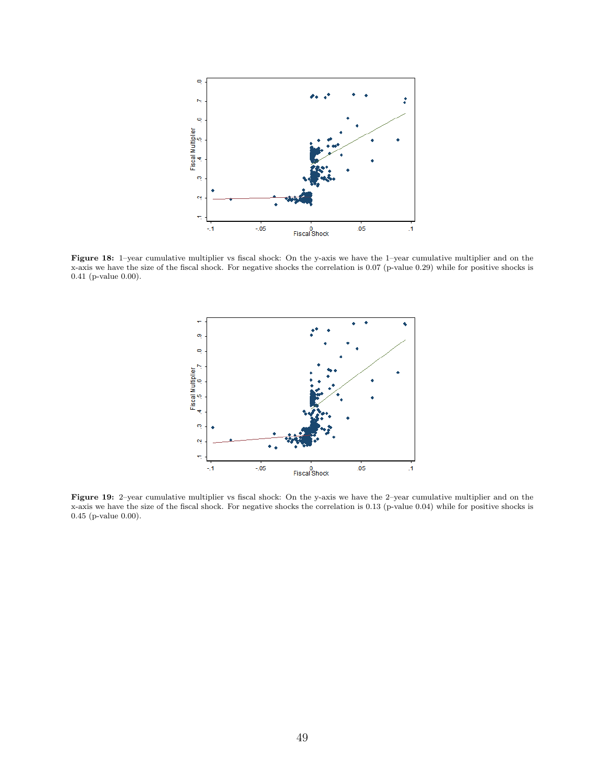<span id="page-49-0"></span>

Figure 18: 1–year cumulative multiplier vs fiscal shock: On the y-axis we have the 1–year cumulative multiplier and on the x-axis we have the size of the fiscal shock. For negative shocks the correlation is 0.07 (p-value 0.29) while for positive shocks is 0.41 (p-value 0.00).



Figure 19: 2–year cumulative multiplier vs fiscal shock: On the y-axis we have the 2–year cumulative multiplier and on the x-axis we have the size of the fiscal shock. For negative shocks the correlation is 0.13 (p-value 0.04) while for positive shocks is 0.45 (p-value 0.00).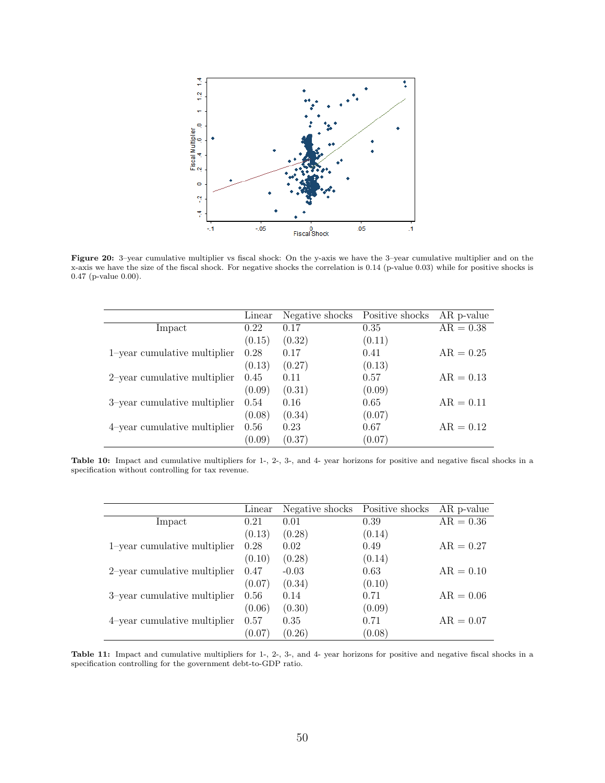<span id="page-50-0"></span>

Figure 20: 3–year cumulative multiplier vs fiscal shock: On the y-axis we have the 3–year cumulative multiplier and on the x-axis we have the size of the fiscal shock. For negative shocks the correlation is 0.14 (p-value 0.03) while for positive shocks is 0.47 (p-value 0.00).

|                              | Linear | Negative shocks | Positive shocks | AR p-value  |
|------------------------------|--------|-----------------|-----------------|-------------|
| Impact                       | 0.22   | 0.17            | 0.35            | $AR = 0.38$ |
|                              | (0.15) | (0.32)          | (0.11)          |             |
| 1-year cumulative multiplier | 0.28   | 0.17            | 0.41            | $AR = 0.25$ |
|                              | (0.13) | (0.27)          | (0.13)          |             |
| 2-year cumulative multiplier | 0.45   | 0.11            | 0.57            | $AR = 0.13$ |
|                              | (0.09) | (0.31)          | (0.09)          |             |
| 3-year cumulative multiplier | 0.54   | 0.16            | 0.65            | $AR = 0.11$ |
|                              | (0.08) | (0.34)          | (0.07)          |             |
| 4-year cumulative multiplier | 0.56   | 0.23            | 0.67            | $AR = 0.12$ |
|                              | (0.09) | (0.37)          | (0.07)          |             |

Table 10: Impact and cumulative multipliers for 1-, 2-, 3-, and 4- year horizons for positive and negative fiscal shocks in a specification without controlling for tax revenue.

|                                 | Linear | Negative shocks | Positive shocks | AR p-value  |
|---------------------------------|--------|-----------------|-----------------|-------------|
| Impact                          | 0.21   | 0.01            | 0.39            | $AR = 0.36$ |
|                                 | (0.13) | (0.28)          | (0.14)          |             |
| 1-year cumulative multiplier    | 0.28   | 0.02            | 0.49            | $AR = 0.27$ |
|                                 | (0.10) | (0.28)          | (0.14)          |             |
| $2$ -year cumulative multiplier | 0.47   | $-0.03$         | 0.63            | $AR = 0.10$ |
|                                 | (0.07) | (0.34)          | (0.10)          |             |
| 3-year cumulative multiplier    | 0.56   | 0.14            | 0.71            | $AR = 0.06$ |
|                                 | (0.06) | (0.30)          | (0.09)          |             |
| 4-year cumulative multiplier    | 0.57   | 0.35            | 0.71            | $AR = 0.07$ |
|                                 | (0.07) | (0.26)          | (0.08)          |             |

Table 11: Impact and cumulative multipliers for 1-, 2-, 3-, and 4- year horizons for positive and negative fiscal shocks in a specification controlling for the government debt-to-GDP ratio.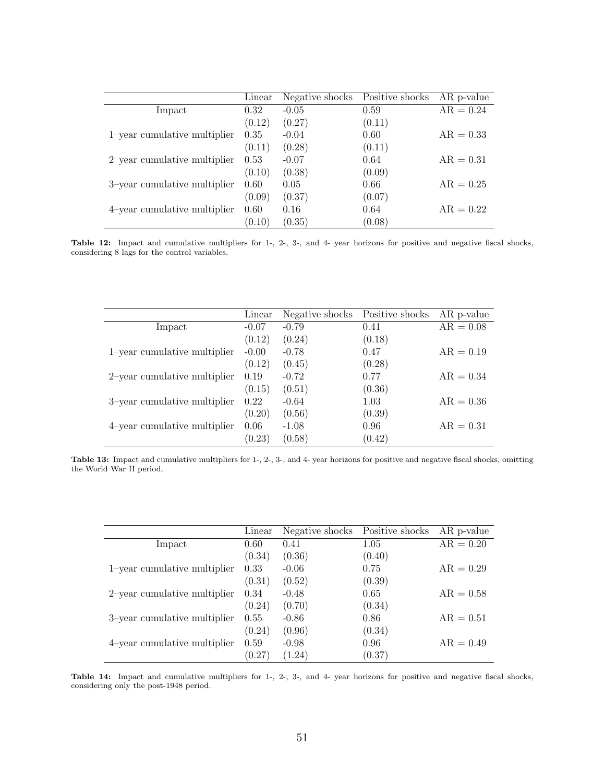|                              | Linear | Negative shocks | Positive shocks | AR p-value  |
|------------------------------|--------|-----------------|-----------------|-------------|
| Impact                       | 0.32   | $-0.05$         | 0.59            | $AR = 0.24$ |
|                              | (0.12) | (0.27)          | (0.11)          |             |
| 1-year cumulative multiplier | 0.35   | $-0.04$         | 0.60            | $AR = 0.33$ |
|                              | (0.11) | (0.28)          | (0.11)          |             |
| 2-year cumulative multiplier | 0.53   | $-0.07$         | 0.64            | $AR = 0.31$ |
|                              | (0.10) | (0.38)          | (0.09)          |             |
| 3-year cumulative multiplier | 0.60   | 0.05            | 0.66            | $AR = 0.25$ |
|                              | (0.09) | (0.37)          | (0.07)          |             |
| 4-year cumulative multiplier | 0.60   | 0.16            | 0.64            | $AR = 0.22$ |
|                              | (0.10) | (0.35)          | (0.08)          |             |

Table 12: Impact and cumulative multipliers for 1-, 2-, 3-, and 4- year horizons for positive and negative fiscal shocks, considering 8 lags for the control variables.

|                              | Linear  | Negative shocks | Positive shocks | AR p-value  |
|------------------------------|---------|-----------------|-----------------|-------------|
| Impact                       | $-0.07$ | $-0.79$         | 0.41            | $AR = 0.08$ |
|                              | (0.12)  | (0.24)          | (0.18)          |             |
| 1-year cumulative multiplier | $-0.00$ | $-0.78$         | 0.47            | $AR = 0.19$ |
|                              | (0.12)  | (0.45)          | (0.28)          |             |
| 2-year cumulative multiplier | 0.19    | $-0.72$         | 0.77            | $AR = 0.34$ |
|                              | (0.15)  | (0.51)          | (0.36)          |             |
| 3-year cumulative multiplier | 0.22    | $-0.64$         | 1.03            | $AR = 0.36$ |
|                              | (0.20)  | (0.56)          | (0.39)          |             |
| 4-year cumulative multiplier | 0.06    | $-1.08$         | 0.96            | $AR = 0.31$ |
|                              | (0.23)  | (0.58)          | (0.42)          |             |

Table 13: Impact and cumulative multipliers for 1-, 2-, 3-, and 4- year horizons for positive and negative fiscal shocks, omitting the World War II period.

|                              | Linear | Negative shocks | Positive shocks | AR p-value  |
|------------------------------|--------|-----------------|-----------------|-------------|
| Impact                       | 0.60   | 0.41            | 1.05            | $AR = 0.20$ |
|                              | (0.34) | (0.36)          | (0.40)          |             |
| 1-year cumulative multiplier | 0.33   | $-0.06$         | 0.75            | $AR = 0.29$ |
|                              | (0.31) | (0.52)          | (0.39)          |             |
| 2-year cumulative multiplier | 0.34   | $-0.48$         | 0.65            | $AR = 0.58$ |
|                              | (0.24) | (0.70)          | (0.34)          |             |
| 3-year cumulative multiplier | 0.55   | $-0.86$         | 0.86            | $AR = 0.51$ |
|                              | (0.24) | (0.96)          | (0.34)          |             |
| 4-year cumulative multiplier | 0.59   | $-0.98$         | 0.96            | $AR = 0.49$ |
|                              | (0.27) | (1.24)          | (0.37)          |             |

Table 14: Impact and cumulative multipliers for 1-, 2-, 3-, and 4- year horizons for positive and negative fiscal shocks, considering only the post-1948 period.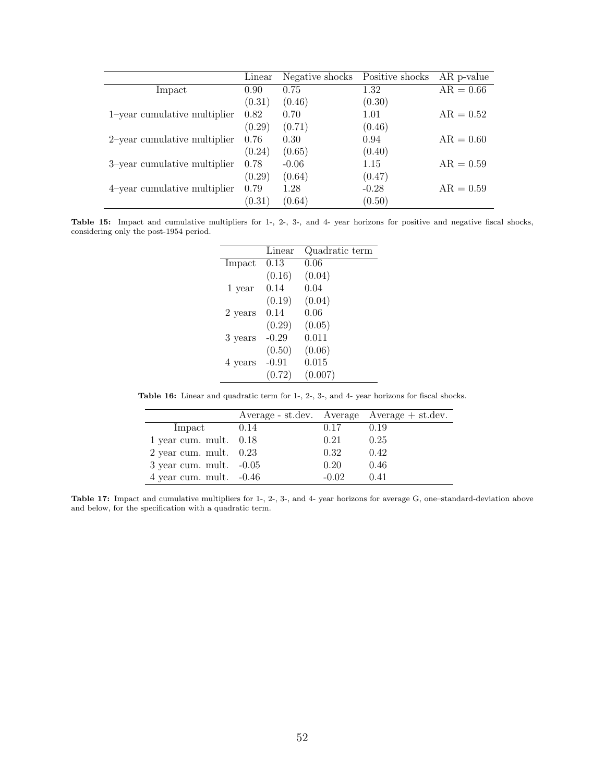|                              | Linear | Negative shocks | Positive shocks | AR p-value  |
|------------------------------|--------|-----------------|-----------------|-------------|
| Impact                       | 0.90   | 0.75            | 1.32            | $AR = 0.66$ |
|                              | (0.31) | (0.46)          | (0.30)          |             |
| 1-year cumulative multiplier | 0.82   | 0.70            | 1.01            | $AR = 0.52$ |
|                              | (0.29) | (0.71)          | (0.46)          |             |
| 2-year cumulative multiplier | 0.76   | 0.30            | 0.94            | $AR = 0.60$ |
|                              | (0.24) | (0.65)          | (0.40)          |             |
| 3-year cumulative multiplier | 0.78   | $-0.06$         | 1.15            | $AR = 0.59$ |
|                              | (0.29) | (0.64)          | (0.47)          |             |
| 4-year cumulative multiplier | 0.79   | 1.28            | $-0.28$         | $AR = 0.59$ |
|                              | (0.31) | (0.64)          | (0.50)          |             |

<span id="page-52-0"></span>Table 15: Impact and cumulative multipliers for 1-, 2-, 3-, and 4- year horizons for positive and negative fiscal shocks, considering only the post-1954 period.

|         | Linear  | Quadratic term |
|---------|---------|----------------|
| Impact  | 0.13    | 0.06           |
|         | (0.16)  | (0.04)         |
| 1 year  | 0.14    | 0.04           |
|         | (0.19)  | (0.04)         |
| 2 years | 0.14    | 0.06           |
|         | (0.29)  | (0.05)         |
| 3 years | $-0.29$ | 0.011          |
|         | (0.50)  | (0.06)         |
| 4 years | $-0.91$ | 0.015          |
|         | (0.72)  | (0.007)        |

<span id="page-52-1"></span>Table 16: Linear and quadratic term for 1-, 2-, 3-, and 4- year horizons for fiscal shocks.

|                             |      |         | $Average - st. dev. Average Average + st. dev.$ |
|-----------------------------|------|---------|-------------------------------------------------|
| Impact                      | 0.14 | 0.17    | 0.19                                            |
| $1$ year cum. mult. $0.18$  |      | 0.21    | 0.25                                            |
| $2$ year cum. mult. $0.23$  |      | 0.32    | 0.42                                            |
| $3$ year cum. mult. $-0.05$ |      | 0.20    | 0.46                                            |
| $4$ year cum. mult. $-0.46$ |      | $-0.02$ | 0.41                                            |

Table 17: Impact and cumulative multipliers for 1-, 2-, 3-, and 4- year horizons for average G, one–standard-deviation above and below, for the specification with a quadratic term.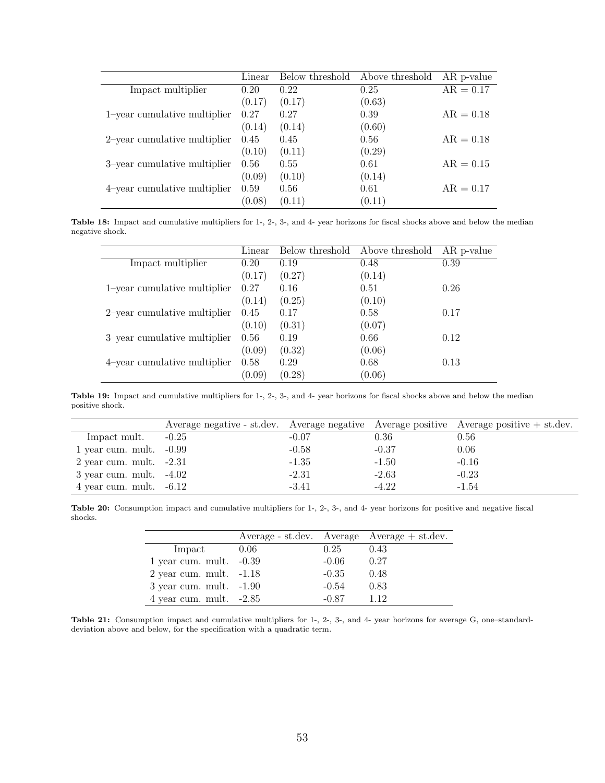|                              | Linear | Below threshold | Above threshold | AR p-value  |
|------------------------------|--------|-----------------|-----------------|-------------|
| Impact multiplier            | 0.20   | 0.22            | 0.25            | $AR = 0.17$ |
|                              | (0.17) | (0.17)          | (0.63)          |             |
| 1-year cumulative multiplier | 0.27   | 0.27            | 0.39            | $AR = 0.18$ |
|                              | (0.14) | (0.14)          | (0.60)          |             |
| 2-year cumulative multiplier | 0.45   | 0.45            | 0.56            | $AR = 0.18$ |
|                              | (0.10) | (0.11)          | (0.29)          |             |
| 3-year cumulative multiplier | 0.56   | 0.55            | 0.61            | $AR = 0.15$ |
|                              | (0.09) | (0.10)          | (0.14)          |             |
| 4-year cumulative multiplier | 0.59   | 0.56            | 0.61            | $AR = 0.17$ |
|                              | (0.08) | (0.11)          | (0.11)          |             |

Table 18: Impact and cumulative multipliers for 1-, 2-, 3-, and 4- year horizons for fiscal shocks above and below the median negative shock.

|                              | Linear | Below threshold | Above threshold | AR p-value |
|------------------------------|--------|-----------------|-----------------|------------|
| Impact multiplier            | 0.20   | 0.19            | 0.48            | 0.39       |
|                              | (0.17) | (0.27)          | (0.14)          |            |
| 1-year cumulative multiplier | 0.27   | 0.16            | 0.51            | 0.26       |
|                              | (0.14) | (0.25)          | (0.10)          |            |
| 2-year cumulative multiplier | 0.45   | 0.17            | 0.58            | 0.17       |
|                              | (0.10) | (0.31)          | (0.07)          |            |
| 3-year cumulative multiplier | 0.56   | 0.19            | 0.66            | 0.12       |
|                              | (0.09) | (0.32)          | (0.06)          |            |
| 4-year cumulative multiplier | 0.58   | 0.29            | 0.68            | 0.13       |
|                              | (0.09) | (0.28)          | (0.06)          |            |

Table 19: Impact and cumulative multipliers for 1-, 2-, 3-, and 4- year horizons for fiscal shocks above and below the median positive shock.

<span id="page-53-0"></span>

|                             |         |         |         | Average negative - st.dev. Average negative Average positive Average positive + st.dev. |
|-----------------------------|---------|---------|---------|-----------------------------------------------------------------------------------------|
| Impact mult.                | $-0.25$ | $-0.07$ | 0.36    | 0.56                                                                                    |
| 1 year cum. mult. $-0.99$   |         | $-0.58$ | $-0.37$ | 0.06                                                                                    |
| $2$ year cum. mult. $-2.31$ |         | $-1.35$ | $-1.50$ | $-0.16$                                                                                 |
| $3$ year cum. mult. $-4.02$ |         | $-2.31$ | $-2.63$ | $-0.23$                                                                                 |
| 4 year cum. mult. $-6.12$   |         | $-3.41$ | $-4.22$ | $-1.54$                                                                                 |

<span id="page-53-1"></span>Table 20: Consumption impact and cumulative multipliers for 1-, 2-, 3-, and 4- year horizons for positive and negative fiscal shocks.

|                             |      |         | $Average - st. dev. Average Average + st. dev.$ |
|-----------------------------|------|---------|-------------------------------------------------|
| Impact                      | 0.06 | 0.25    | -0.43                                           |
| 1 year cum. mult. $-0.39$   |      | $-0.06$ | 0.27                                            |
| 2 year cum. mult. $-1.18$   |      | $-0.35$ | 0.48                                            |
| $3$ year cum. mult. $-1.90$ |      | $-0.54$ | 0.83                                            |
| 4 year cum. mult. $-2.85$   |      | $-0.87$ | 1 1 2                                           |

Table 21: Consumption impact and cumulative multipliers for 1-, 2-, 3-, and 4- year horizons for average G, one–standarddeviation above and below, for the specification with a quadratic term.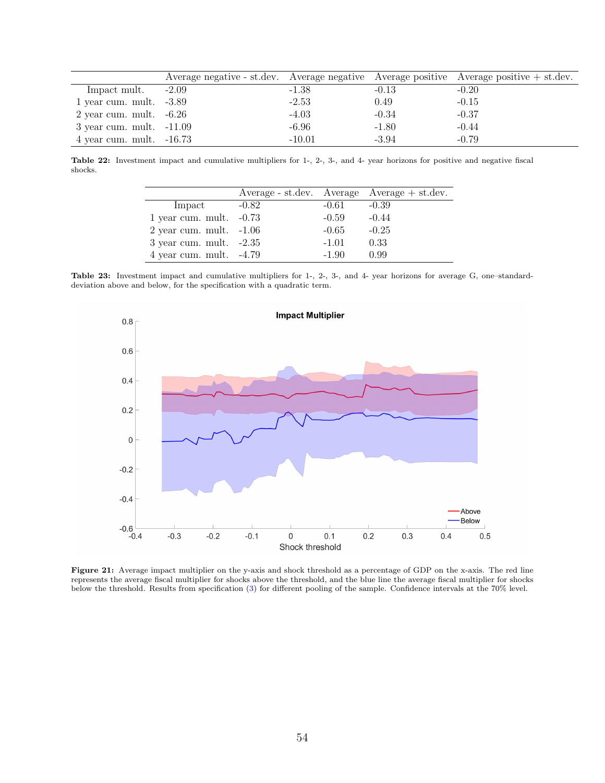<span id="page-54-0"></span>

|                              |         |          |         | Average negative - st.dev. Average negative Average positive Average positive $+$ st.dev. |
|------------------------------|---------|----------|---------|-------------------------------------------------------------------------------------------|
| Impact mult.                 | $-2.09$ | $-1.38$  | $-0.13$ | $-0.20$                                                                                   |
| 1 year cum. mult. $-3.89$    |         | $-2.53$  | 0.49    | $-0.15$                                                                                   |
| $2$ year cum. mult. $-6.26$  |         | $-4.03$  | $-0.34$ | $-0.37$                                                                                   |
| $3$ year cum. mult. $-11.09$ |         | $-6.96$  | $-1.80$ | $-0.44$                                                                                   |
| $4$ year cum. mult. $-16.73$ |         | $-10.01$ | $-3.94$ | $-0.79$                                                                                   |

<span id="page-54-1"></span>Table 22: Investment impact and cumulative multipliers for 1-, 2-, 3-, and 4- year horizons for positive and negative fiscal shocks.

|                             |         |         | $Average - st. dev. Average Average + st. dev.$ |
|-----------------------------|---------|---------|-------------------------------------------------|
| Impact                      | $-0.82$ | $-0.61$ | $-0.39$                                         |
| 1 year cum. mult. $-0.73$   |         | $-0.59$ | $-0.44$                                         |
| $2$ year cum. mult. $-1.06$ |         | $-0.65$ | $-0.25$                                         |
| $3$ year cum. mult. $-2.35$ |         | $-1.01$ | 0.33                                            |
| 4 year cum. mult. $-4.79$   |         | $-1.90$ | 0.99                                            |

<span id="page-54-2"></span>Table 23: Investment impact and cumulative multipliers for 1-, 2-, 3-, and 4- year horizons for average G, one–standarddeviation above and below, for the specification with a quadratic term.



<span id="page-54-3"></span>Figure 21: Average impact multiplier on the y-axis and shock threshold as a percentage of GDP on the x-axis. The red line represents the average fiscal multiplier for shocks above the threshold, and the blue line the average fiscal multiplier for shocks below the threshold. Results from specification [\(3\)](#page-9-1) for different pooling of the sample. Confidence intervals at the 70% level.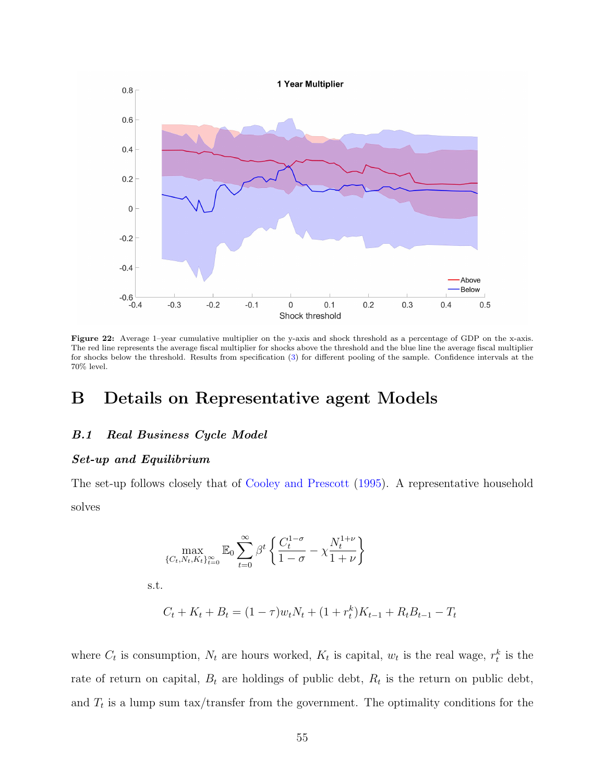<span id="page-55-0"></span>

Figure 22: Average 1–year cumulative multiplier on the y-axis and shock threshold as a percentage of GDP on the x-axis. The red line represents the average fiscal multiplier for shocks above the threshold and the blue line the average fiscal multiplier for shocks below the threshold. Results from specification [\(3\)](#page-9-1) for different pooling of the sample. Confidence intervals at the 70% level.

# B Details on Representative agent Models

## B.1 Real Business Cycle Model

#### Set-up and Equilibrium

The set-up follows closely that of [Cooley and Prescott](#page-45-9) [\(1995\)](#page-45-9). A representative household solves

$$
\max_{\{C_t, N_t, K_t\}_{t=0}^\infty} \mathbb{E}_0 \sum_{t=0}^\infty \beta^t \left\{ \frac{C_t^{1-\sigma}}{1-\sigma} - \chi \frac{N_t^{1+\nu}}{1+\nu} \right\}
$$

s.t.

$$
C_t + K_t + B_t = (1 - \tau)w_tN_t + (1 + r_t^k)K_{t-1} + R_tB_{t-1} - T_t
$$

where  $C_t$  is consumption,  $N_t$  are hours worked,  $K_t$  is capital,  $w_t$  is the real wage,  $r_t^k$  is the rate of return on capital,  $B_t$  are holdings of public debt,  $R_t$  is the return on public debt, and  $T_t$  is a lump sum tax/transfer from the government. The optimality conditions for the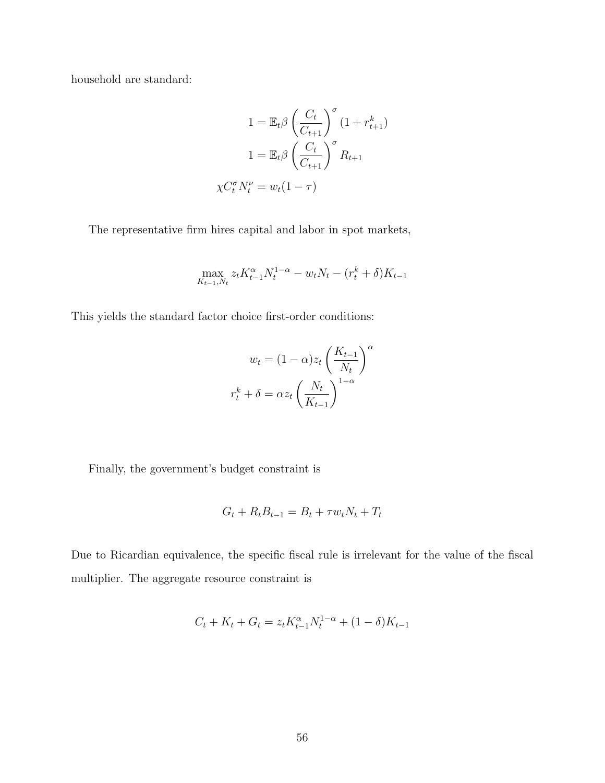household are standard:

$$
1 = \mathbb{E}_t \beta \left(\frac{C_t}{C_{t+1}}\right)^{\sigma} (1 + r_{t+1}^k)
$$

$$
1 = \mathbb{E}_t \beta \left(\frac{C_t}{C_{t+1}}\right)^{\sigma} R_{t+1}
$$

$$
\chi C_t^{\sigma} N_t^{\nu} = w_t (1 - \tau)
$$

The representative firm hires capital and labor in spot markets,

$$
\max_{K_{t-1}, N_t} z_t K_{t-1}^{\alpha} N_t^{1-\alpha} - w_t N_t - (r_t^k + \delta) K_{t-1}
$$

This yields the standard factor choice first-order conditions:

$$
w_t = (1 - \alpha)z_t \left(\frac{K_{t-1}}{N_t}\right)^{\alpha}
$$

$$
r_t^k + \delta = \alpha z_t \left(\frac{N_t}{K_{t-1}}\right)^{1-\alpha}
$$

Finally, the government's budget constraint is

$$
G_t + R_t B_{t-1} = B_t + \tau w_t N_t + T_t
$$

Due to Ricardian equivalence, the specific fiscal rule is irrelevant for the value of the fiscal multiplier. The aggregate resource constraint is

$$
C_t + K_t + G_t = z_t K_{t-1}^{\alpha} N_t^{1-\alpha} + (1-\delta) K_{t-1}
$$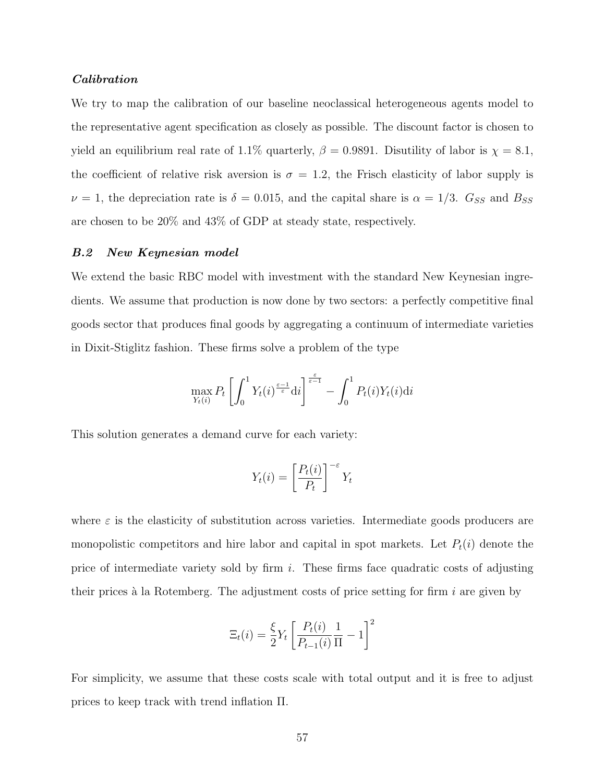### Calibration

We try to map the calibration of our baseline neoclassical heterogeneous agents model to the representative agent specification as closely as possible. The discount factor is chosen to yield an equilibrium real rate of 1.1% quarterly,  $\beta = 0.9891$ . Disutility of labor is  $\chi = 8.1$ , the coefficient of relative risk aversion is  $\sigma = 1.2$ , the Frisch elasticity of labor supply is  $\nu = 1$ , the depreciation rate is  $\delta = 0.015$ , and the capital share is  $\alpha = 1/3$ .  $G_{SS}$  and  $B_{SS}$ are chosen to be 20% and 43% of GDP at steady state, respectively.

#### B.2 New Keynesian model

We extend the basic RBC model with investment with the standard New Keynesian ingredients. We assume that production is now done by two sectors: a perfectly competitive final goods sector that produces final goods by aggregating a continuum of intermediate varieties in Dixit-Stiglitz fashion. These firms solve a problem of the type

$$
\max_{Y_t(i)} P_t \left[ \int_0^1 Y_t(i)^{\frac{\varepsilon-1}{\varepsilon}} \mathrm{d}i \right]^{\frac{\varepsilon}{\varepsilon-1}} - \int_0^1 P_t(i) Y_t(i) \mathrm{d}i
$$

This solution generates a demand curve for each variety:

$$
Y_t(i) = \left[\frac{P_t(i)}{P_t}\right]^{-\varepsilon} Y_t
$$

where  $\varepsilon$  is the elasticity of substitution across varieties. Intermediate goods producers are monopolistic competitors and hire labor and capital in spot markets. Let  $P_t(i)$  denote the price of intermediate variety sold by firm  $i$ . These firms face quadratic costs of adjusting their prices à la Rotemberg. The adjustment costs of price setting for firm  $i$  are given by

$$
\Xi_t(i) = \frac{\xi}{2} Y_t \left[ \frac{P_t(i)}{P_{t-1}(i)} \frac{1}{\Pi} - 1 \right]^2
$$

For simplicity, we assume that these costs scale with total output and it is free to adjust prices to keep track with trend inflation Π.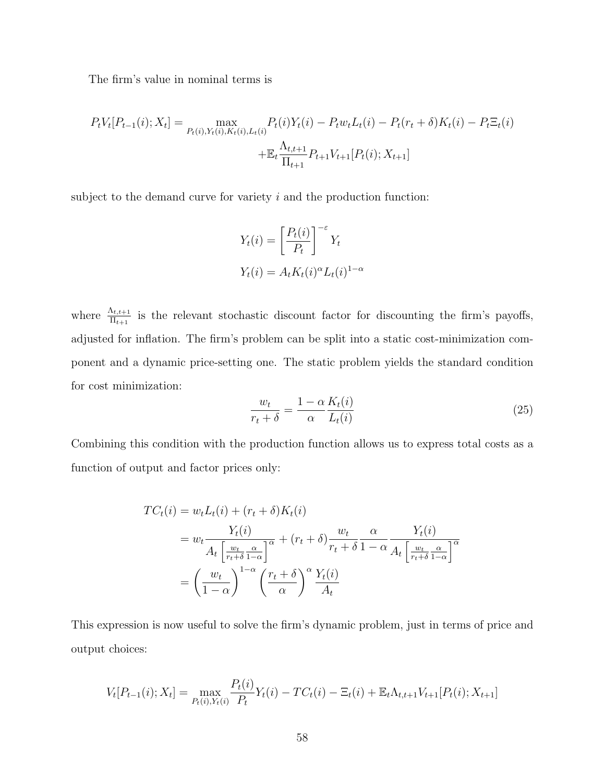The firm's value in nominal terms is

$$
P_t V_t[P_{t-1}(i); X_t] = \max_{P_t(i), Y_t(i), K_t(i), L_t(i)} P_t(i) Y_t(i) - P_t w_t L_t(i) - P_t(r_t + \delta) K_t(i) - P_t \Xi_t(i)
$$

$$
+ \mathbb{E}_t \frac{\Lambda_{t,t+1}}{\Pi_{t+1}} P_{t+1} V_{t+1}[P_t(i); X_{t+1}]
$$

subject to the demand curve for variety  $i$  and the production function:

$$
Y_t(i) = \left[\frac{P_t(i)}{P_t}\right]^{-\varepsilon} Y_t
$$
  

$$
Y_t(i) = A_t K_t(i)^{\alpha} L_t(i)^{1-\alpha}
$$

where  $\frac{\Lambda_{t,t+1}}{\Pi_{t+1}}$  is the relevant stochastic discount factor for discounting the firm's payoffs, adjusted for inflation. The firm's problem can be split into a static cost-minimization component and a dynamic price-setting one. The static problem yields the standard condition for cost minimization:

$$
\frac{w_t}{r_t + \delta} = \frac{1 - \alpha}{\alpha} \frac{K_t(i)}{L_t(i)}\tag{25}
$$

Combining this condition with the production function allows us to express total costs as a function of output and factor prices only:

$$
TC_t(i) = w_t L_t(i) + (r_t + \delta) K_t(i)
$$
  
= 
$$
w_t \frac{Y_t(i)}{A_t \left[\frac{w_t}{r_t + \delta} \frac{\alpha}{1 - \alpha}\right]^{\alpha}} + (r_t + \delta) \frac{w_t}{r_t + \delta} \frac{\alpha}{1 - \alpha} \frac{Y_t(i)}{A_t \left[\frac{w_t}{r_t + \delta} \frac{\alpha}{1 - \alpha}\right]^{\alpha}}
$$
  
= 
$$
\left(\frac{w_t}{1 - \alpha}\right)^{1 - \alpha} \left(\frac{r_t + \delta}{\alpha}\right)^{\alpha} \frac{Y_t(i)}{A_t}
$$

This expression is now useful to solve the firm's dynamic problem, just in terms of price and output choices:

$$
V_t[P_{t-1}(i); X_t] = \max_{P_t(i), Y_t(i)} \frac{P_t(i)}{P_t} Y_t(i) - TC_t(i) - \Xi_t(i) + \mathbb{E}_t \Lambda_{t,t+1} V_{t+1}[P_t(i); X_{t+1}]
$$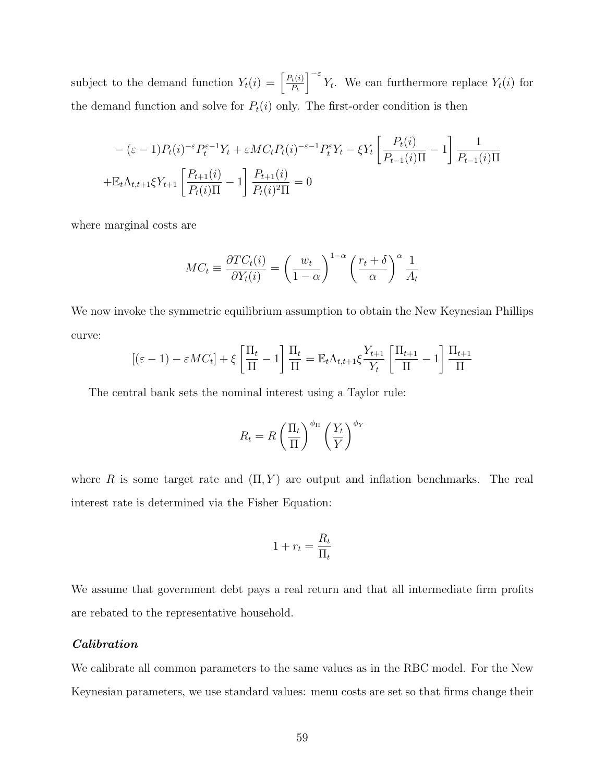subject to the demand function  $Y_t(i) = \begin{bmatrix} P_t(i) \\ P_t(n) \end{bmatrix}$  $P_t$  $\int_{0}^{-\varepsilon} Y_t$ . We can furthermore replace  $Y_t(i)$  for the demand function and solve for  $P_t(i)$  only. The first-order condition is then

$$
-(\varepsilon - 1)P_t(i)^{-\varepsilon}P_t^{\varepsilon - 1}Y_t + \varepsilon MC_t P_t(i)^{-\varepsilon - 1}P_t^{\varepsilon}Y_t - \xi Y_t \left[\frac{P_t(i)}{P_{t-1}(i)\Pi} - 1\right] \frac{1}{P_{t-1}(i)\Pi}
$$

$$
+ \mathbb{E}_t \Lambda_{t,t+1} \xi Y_{t+1} \left[\frac{P_{t+1}(i)}{P_t(i)\Pi} - 1\right] \frac{P_{t+1}(i)}{P_t(i)^2\Pi} = 0
$$

where marginal costs are

$$
MC_t \equiv \frac{\partial TC_t(i)}{\partial Y_t(i)} = \left(\frac{w_t}{1-\alpha}\right)^{1-\alpha} \left(\frac{r_t + \delta}{\alpha}\right)^{\alpha} \frac{1}{A_t}
$$

We now invoke the symmetric equilibrium assumption to obtain the New Keynesian Phillips curve:

$$
[(\varepsilon - 1) - \varepsilon MC_t] + \xi \left[ \frac{\Pi_t}{\Pi} - 1 \right] \frac{\Pi_t}{\Pi} = \mathbb{E}_t \Lambda_{t,t+1} \xi \frac{Y_{t+1}}{Y_t} \left[ \frac{\Pi_{t+1}}{\Pi} - 1 \right] \frac{\Pi_{t+1}}{\Pi}
$$

The central bank sets the nominal interest using a Taylor rule:

$$
R_t = R \left(\frac{\Pi_t}{\Pi}\right)^{\phi_{\Pi}} \left(\frac{Y_t}{Y}\right)^{\phi_Y}
$$

where R is some target rate and  $(\Pi, Y)$  are output and inflation benchmarks. The real interest rate is determined via the Fisher Equation:

$$
1 + r_t = \frac{R_t}{\Pi_t}
$$

We assume that government debt pays a real return and that all intermediate firm profits are rebated to the representative household.

#### Calibration

We calibrate all common parameters to the same values as in the RBC model. For the New Keynesian parameters, we use standard values: menu costs are set so that firms change their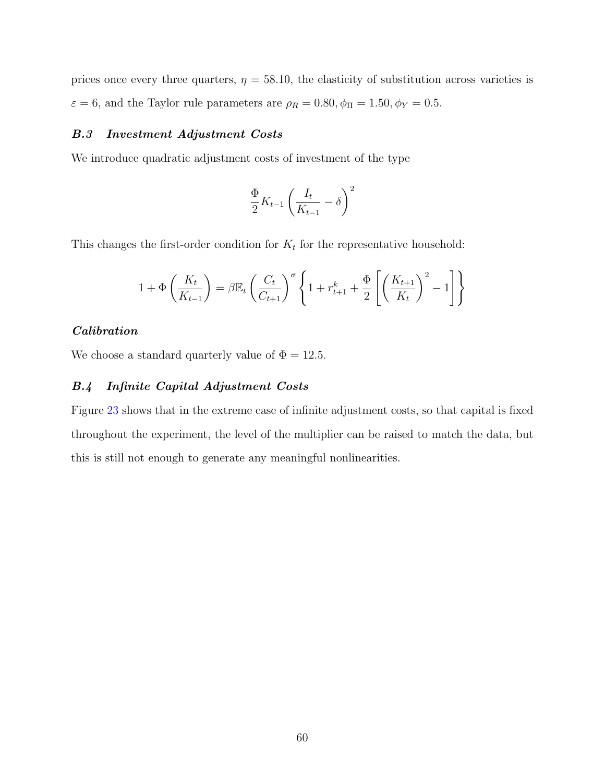prices once every three quarters,  $\eta = 58.10$ , the elasticity of substitution across varieties is  $\varepsilon=6,$  and the Taylor rule parameters are  $\rho_R=0.80, \phi_\Pi=1.50, \phi_Y=0.5.$ 

#### B.3 Investment Adjustment Costs

We introduce quadratic adjustment costs of investment of the type

$$
\frac{\Phi}{2}K_{t-1}\left(\frac{I_t}{K_{t-1}}-\delta\right)^2
$$

This changes the first-order condition for  $K_t$  for the representative household:

$$
1 + \Phi\left(\frac{K_t}{K_{t-1}}\right) = \beta \mathbb{E}_t \left(\frac{C_t}{C_{t+1}}\right)^{\sigma} \left\{1 + r_{t+1}^k + \frac{\Phi}{2} \left[\left(\frac{K_{t+1}}{K_t}\right)^2 - 1\right]\right\}
$$

## Calibration

We choose a standard quarterly value of  $\Phi = 12.5$ .

## B.4 Infinite Capital Adjustment Costs

Figure [23](#page-61-0) shows that in the extreme case of infinite adjustment costs, so that capital is fixed throughout the experiment, the level of the multiplier can be raised to match the data, but this is still not enough to generate any meaningful nonlinearities.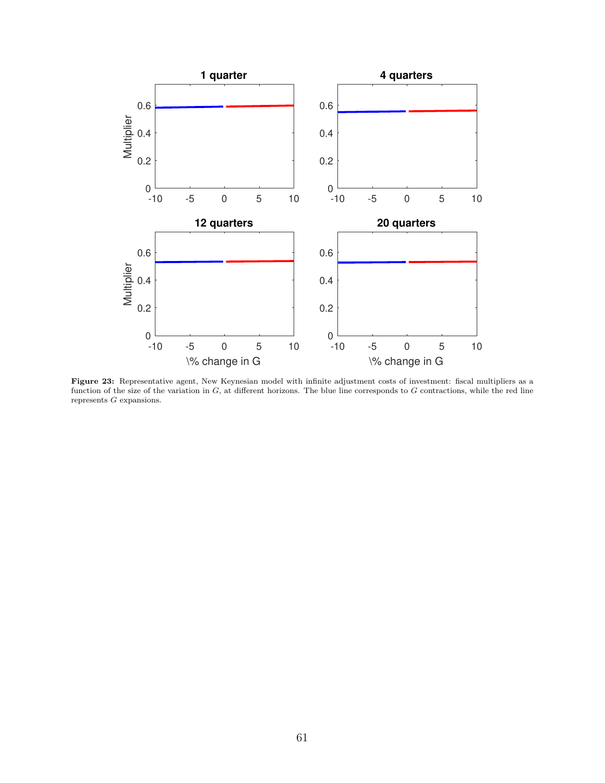<span id="page-61-0"></span>

Figure 23: Representative agent, New Keynesian model with infinite adjustment costs of investment: fiscal multipliers as a function of the size of the variation in  $G$ , at different horizons. The blue line corresponds to  $G$  contractions, while the red line represents  $G$  expansions.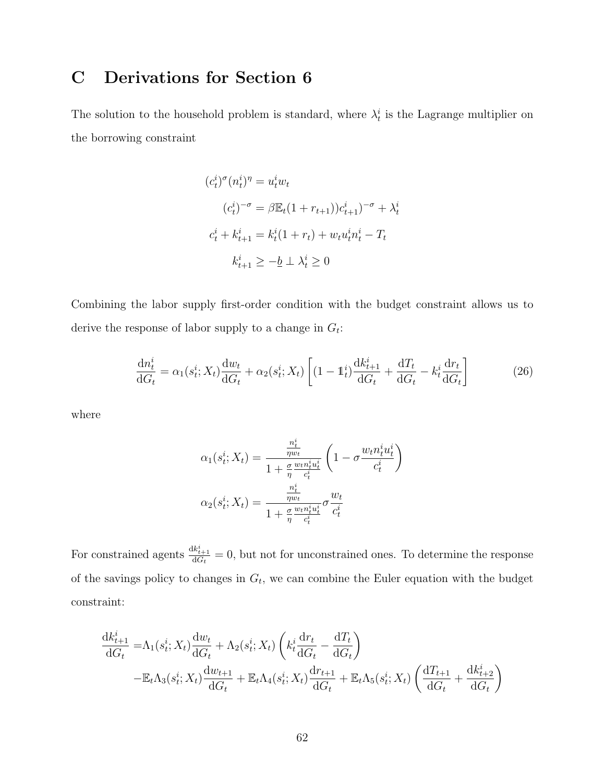# C Derivations for Section 6

The solution to the household problem is standard, where  $\lambda_t^i$  is the Lagrange multiplier on the borrowing constraint

$$
(c_t^i)^\sigma (n_t^i)^\eta = u_t^i w_t
$$
  
\n
$$
(c_t^i)^{-\sigma} = \beta \mathbb{E}_t (1 + r_{t+1}) c_{t+1}^i)^{-\sigma} + \lambda_t^i
$$
  
\n
$$
c_t^i + k_{t+1}^i = k_t^i (1 + r_t) + w_t u_t^i n_t^i - T_t
$$
  
\n
$$
k_{t+1}^i \ge -\underline{b} \perp \lambda_t^i \ge 0
$$

Combining the labor supply first-order condition with the budget constraint allows us to derive the response of labor supply to a change in  $G_t$ :

<span id="page-62-0"></span>
$$
\frac{\mathrm{d}n_t^i}{\mathrm{d}G_t} = \alpha_1(s_t^i; X_t) \frac{\mathrm{d}w_t}{\mathrm{d}G_t} + \alpha_2(s_t^i; X_t) \left[ (1 - \mathbb{1}_t^i) \frac{\mathrm{d}k_{t+1}^i}{\mathrm{d}G_t} + \frac{\mathrm{d}T_t}{\mathrm{d}G_t} - k_t^i \frac{\mathrm{d}r_t}{\mathrm{d}G_t} \right] \tag{26}
$$

where

$$
\alpha_1(s_t^i; X_t) = \frac{\frac{n_t^i}{\eta w_t}}{1 + \frac{\sigma}{\eta} \frac{w_t n_t^i u_t^i}{c_t^i}} \left(1 - \sigma \frac{w_t n_t^i u_t^i}{c_t^i}\right)
$$

$$
\alpha_2(s_t^i; X_t) = \frac{\frac{n_t^i}{\eta w_t}}{1 + \frac{\sigma}{\eta} \frac{w_t n_t^i u_t^i}{c_t^i}} \sigma \frac{w_t}{c_t^i}
$$

For constrained agents  $\frac{dk_{t+1}^i}{dG_t} = 0$ , but not for unconstrained ones. To determine the response of the savings policy to changes in  $G_t$ , we can combine the Euler equation with the budget constraint:

$$
\frac{\mathrm{d}k_{t+1}^i}{\mathrm{d}G_t} = \Lambda_1(s_t^i; X_t) \frac{\mathrm{d}w_t}{\mathrm{d}G_t} + \Lambda_2(s_t^i; X_t) \left(k_t^i \frac{\mathrm{d}r_t}{\mathrm{d}G_t} - \frac{\mathrm{d}T_t}{\mathrm{d}G_t}\right)
$$
\n
$$
-\mathbb{E}_t \Lambda_3(s_t^i; X_t) \frac{\mathrm{d}w_{t+1}}{\mathrm{d}G_t} + \mathbb{E}_t \Lambda_4(s_t^i; X_t) \frac{\mathrm{d}r_{t+1}}{\mathrm{d}G_t} + \mathbb{E}_t \Lambda_5(s_t^i; X_t) \left(\frac{\mathrm{d}T_{t+1}}{\mathrm{d}G_t} + \frac{\mathrm{d}k_{t+2}^i}{\mathrm{d}G_t}\right)
$$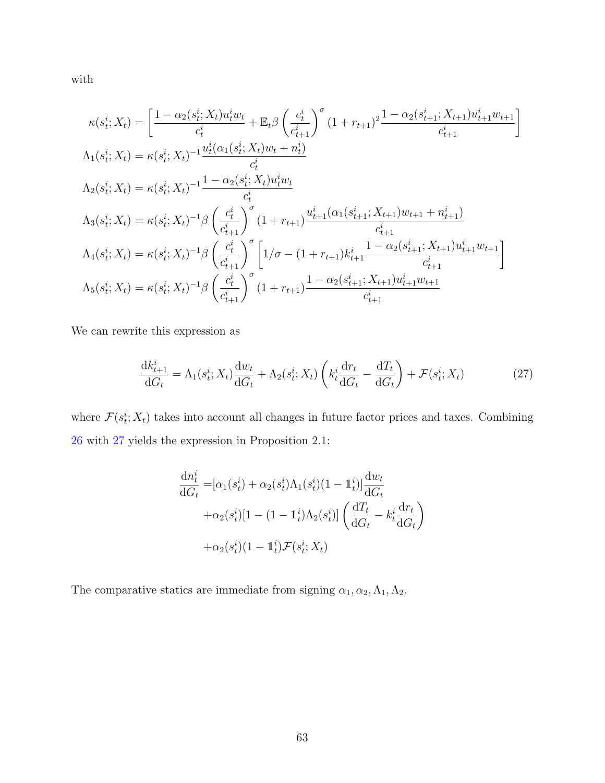with

$$
\kappa(s_t^i; X_t) = \left[\frac{1 - \alpha_2(s_t^i; X_t)u_t^iw_t}{c_t^i} + \mathbb{E}_t \beta \left(\frac{c_t^i}{c_{t+1}^i}\right)^\sigma (1 + r_{t+1})^2 \frac{1 - \alpha_2(s_{t+1}^i; X_{t+1})u_{t+1}^i w_{t+1}}{c_{t+1}^i}\right]
$$
\n
$$
\Lambda_1(s_t^i; X_t) = \kappa(s_t^i; X_t)^{-1} \frac{u_t^i(\alpha_1(s_t^i; X_t)w_t + n_t^i)}{c_t^i}
$$
\n
$$
\Lambda_2(s_t^i; X_t) = \kappa(s_t^i; X_t)^{-1} \frac{1 - \alpha_2(s_t^i; X_t)u_t^iw_t}{c_t^i}
$$
\n
$$
\Lambda_3(s_t^i; X_t) = \kappa(s_t^i; X_t)^{-1} \beta \left(\frac{c_t^i}{c_{t+1}^i}\right)^\sigma (1 + r_{t+1}) \frac{u_{t+1}^i(\alpha_1(s_{t+1}^i; X_{t+1})w_{t+1} + n_{t+1}^i)}{c_{t+1}^i}
$$
\n
$$
\Lambda_4(s_t^i; X_t) = \kappa(s_t^i; X_t)^{-1} \beta \left(\frac{c_t^i}{c_{t+1}^i}\right)^\sigma \left[1/\sigma - (1 + r_{t+1})k_{t+1}^i \frac{1 - \alpha_2(s_{t+1}^i; X_{t+1})u_{t+1}^i w_{t+1}}{c_{t+1}^i}\right]
$$
\n
$$
\Lambda_5(s_t^i; X_t) = \kappa(s_t^i; X_t)^{-1} \beta \left(\frac{c_t^i}{c_{t+1}^i}\right)^\sigma (1 + r_{t+1}) \frac{1 - \alpha_2(s_{t+1}^i; X_{t+1})u_{t+1}^i w_{t+1}}{c_{t+1}^i}
$$

We can rewrite this expression as

<span id="page-63-0"></span>
$$
\frac{\mathrm{d}k_{t+1}^i}{\mathrm{d}G_t} = \Lambda_1(s_t^i; X_t) \frac{\mathrm{d}w_t}{\mathrm{d}G_t} + \Lambda_2(s_t^i; X_t) \left(k_t^i \frac{\mathrm{d}r_t}{\mathrm{d}G_t} - \frac{\mathrm{d}T_t}{\mathrm{d}G_t}\right) + \mathcal{F}(s_t^i; X_t)
$$
(27)

where  $\mathcal{F}(s_t^i; X_t)$  takes into account all changes in future factor prices and taxes. Combining [26](#page-62-0) with [27](#page-63-0) yields the expression in Proposition 2.1:

$$
\frac{dn_t^i}{dG_t} = [\alpha_1(s_t^i) + \alpha_2(s_t^i)\Lambda_1(s_t^i)(1 - \mathbb{1}_t^i)] \frac{dw_t}{dG_t}
$$

$$
+ \alpha_2(s_t^i)[1 - (1 - \mathbb{1}_t^i)\Lambda_2(s_t^i)] \left(\frac{dT_t}{dG_t} - k_t^i \frac{dr_t}{dG_t}\right)
$$

$$
+ \alpha_2(s_t^i)(1 - \mathbb{1}_t^i)\mathcal{F}(s_t^i; X_t)
$$

The comparative statics are immediate from signing  $\alpha_1, \alpha_2, \Lambda_1, \Lambda_2$ .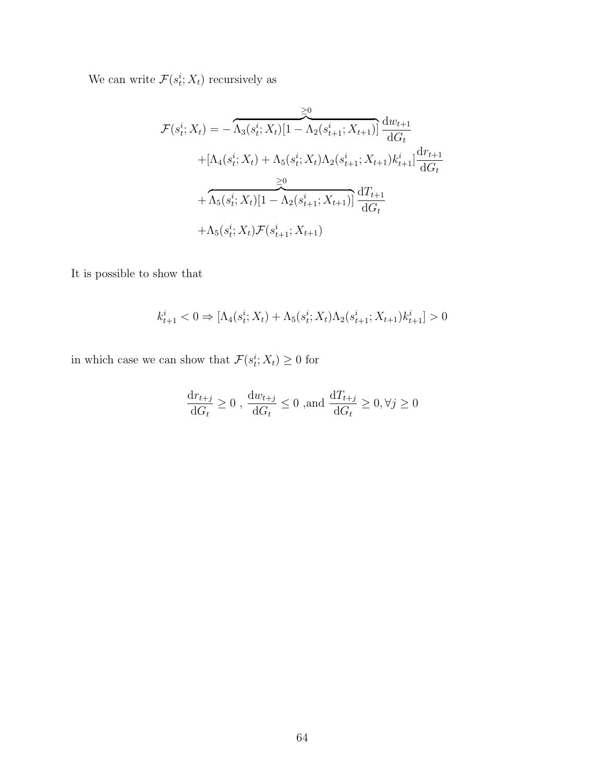We can write  $\mathcal{F}(s_t^i; X_t)$  recursively as

$$
\mathcal{F}(s_t^i; X_t) = -\overbrace{\Lambda_3(s_t^i; X_t)[1 - \Lambda_2(s_{t+1}^i; X_{t+1})]}^{\geq 0} \frac{dw_{t+1}}{dG_t}
$$
\n
$$
+[\Lambda_4(s_t^i; X_t) + \Lambda_5(s_t^i; X_t)\Lambda_2(s_{t+1}^i; X_{t+1})k_{t+1}^i] \frac{dr_{t+1}}{dG_t}
$$
\n
$$
+ \overbrace{\Lambda_5(s_t^i; X_t)[1 - \Lambda_2(s_{t+1}^i; X_{t+1})]}^{\geq 0} \frac{dT_{t+1}}{dG_t}
$$
\n
$$
+ \Lambda_5(s_t^i; X_t)\mathcal{F}(s_{t+1}^i; X_{t+1})
$$

It is possible to show that

$$
k^i_{t+1} < 0 \Rightarrow [\Lambda_4(s^i_t; X_t) + \Lambda_5(s^i_t; X_t) \Lambda_2(s^i_{t+1}; X_{t+1}) k^i_{t+1}] > 0
$$

in which case we can show that  $\mathcal{F}(s_t^i; X_t) \geq 0$  for

$$
\frac{\mathrm{d}r_{t+j}}{\mathrm{d}G_t} \ge 0 \ , \ \frac{\mathrm{d}w_{t+j}}{\mathrm{d}G_t} \le 0 \ , \text{and } \frac{\mathrm{d}T_{t+j}}{\mathrm{d}G_t} \ge 0, \forall j \ge 0
$$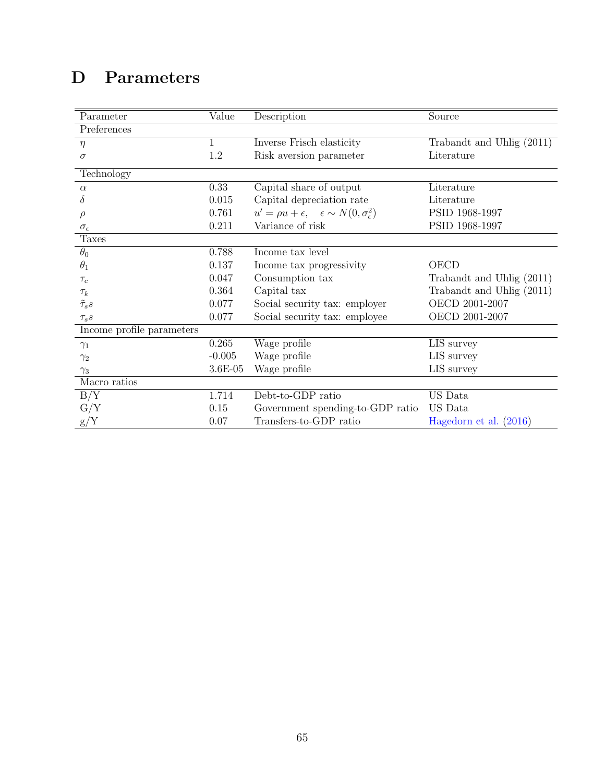# <span id="page-65-0"></span>D Parameters

| Parameter                 | Value    | Description                                                             | Source                    |
|---------------------------|----------|-------------------------------------------------------------------------|---------------------------|
| Preferences               |          |                                                                         |                           |
| $\eta$                    | 1        | Inverse Frisch elasticity                                               | Trabandt and Uhlig (2011) |
| $\sigma$                  | 1.2      | Risk aversion parameter                                                 | Literature                |
| Technology                |          |                                                                         |                           |
| $\alpha$                  | 0.33     | Capital share of output                                                 | Literature                |
| δ                         | 0.015    | Capital depreciation rate                                               | Literature                |
| $\rho$                    | 0.761    | $u' = \rho u + \epsilon, \quad \epsilon \sim N(0, \sigma_{\epsilon}^2)$ | PSID 1968-1997            |
| $\sigma_{\epsilon}$       | 0.211    | Variance of risk                                                        | PSID 1968-1997            |
| <b>Taxes</b>              |          |                                                                         |                           |
| $\theta_0$                | 0.788    | Income tax level                                                        |                           |
| $\theta_1$                | 0.137    | Income tax progressivity                                                | <b>OECD</b>               |
| $\tau_c$                  | 0.047    | Consumption tax                                                         | Trabandt and Uhlig (2011) |
| $\tau_k$                  | 0.364    | Capital tax                                                             | Trabandt and Uhlig (2011) |
| $\tilde{\tau}_s s$        | 0.077    | Social security tax: employer                                           | OECD 2001-2007            |
| $\tau_s s$                | 0.077    | Social security tax: employee                                           | OECD 2001-2007            |
| Income profile parameters |          |                                                                         |                           |
| $\gamma_1$                | 0.265    | Wage profile                                                            | LIS survey                |
| $\gamma_2$                | $-0.005$ | Wage profile                                                            | LIS survey                |
| $\gamma_3$                | 3.6E-05  | Wage profile                                                            | LIS survey                |
| Macro ratios              |          |                                                                         |                           |
| B/Y                       | 1.714    | Debt-to-GDP ratio                                                       | US Data                   |
| G/Y                       | $0.15\,$ | Government spending-to-GDP ratio                                        | US Data                   |
| g/Y                       | 0.07     | Transfers-to-GDP ratio                                                  | Hagedorn et al. (2016)    |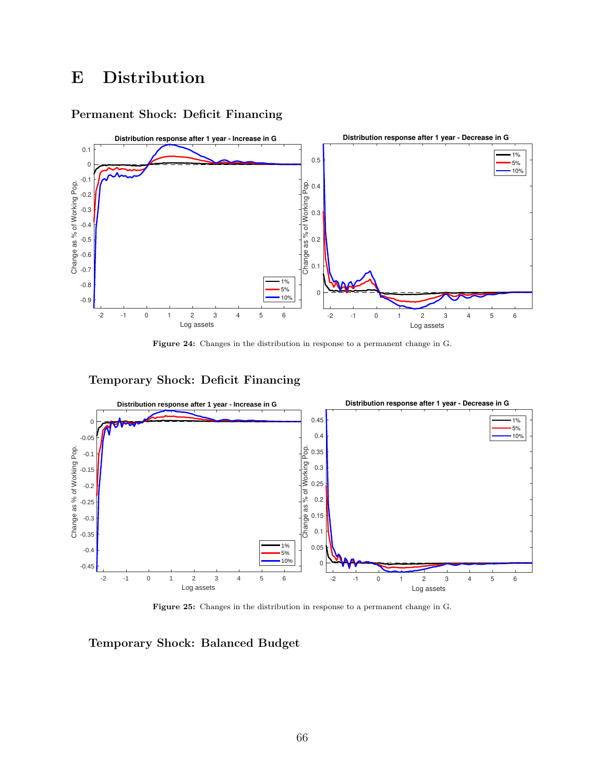# E Distribution

## Permanent Shock: Deficit Financing



Figure 24: Changes in the distribution in response to a permanent change in G.

## Temporary Shock: Deficit Financing



Figure 25: Changes in the distribution in response to a permanent change in G.

Temporary Shock: Balanced Budget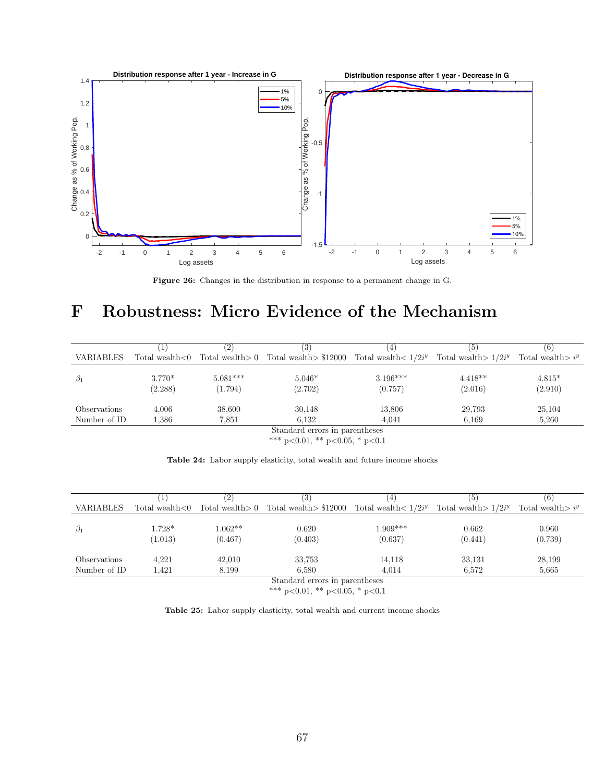

Figure 26: Changes in the distribution in response to a permanent change in G.

# <span id="page-67-0"></span>F Robustness: Micro Evidence of the Mechanism

|                  |                     |                       | (3)                                                                                  | 4                     | (5)                   | (6)                 |
|------------------|---------------------|-----------------------|--------------------------------------------------------------------------------------|-----------------------|-----------------------|---------------------|
| <b>VARIABLES</b> |                     |                       | Total wealth $<0$ Total wealth $>0$ Total wealth $>$ \$12000 Total wealth $< 1/2i^y$ |                       | Total wealth $1/2i^y$ | Total wealth $i^y$  |
| $\beta_1$        | $3.770*$<br>(2.288) | $5.081***$<br>(1.794) | $5.046*$<br>(2.702)                                                                  | $3.196***$<br>(0.757) | $4.418**$<br>(2.016)  | $4.815*$<br>(2.910) |
| Observations     | 4.006               | 38,600                | 30,148                                                                               | 13.806                | 29,793                | 25,104              |
| Number of ID     | $1.386\,$           | 7.851                 | 6.132                                                                                | 4.041                 | 6.169                 | 5,260               |

Standard errors in parentheses

\*\*\* p<0.01, \*\* p<0.05, \* p<0.1

| <b>Table 24:</b> Labor supply elasticity, total wealth and future income shocks |  |  |  |  |  |
|---------------------------------------------------------------------------------|--|--|--|--|--|
|                                                                                 |  |  |  |  |  |

|                  |                     |                      | (3)                                                             | $\pm$                 | (5)                    | (6)                |
|------------------|---------------------|----------------------|-----------------------------------------------------------------|-----------------------|------------------------|--------------------|
| <b>VARIABLES</b> | Total wealth < 0    |                      | Total wealth > 0 Total wealth > $$12000$ Total wealth $< 1/2iy$ |                       | Total wealth $>1/2i^y$ | Total wealth $i^y$ |
| $\beta_1$        | $1.728*$<br>(1.013) | $1.062**$<br>(0.467) | 0.620<br>(0.403)                                                | $1.909***$<br>(0.637) | 0.662<br>(0.441)       | 0.960<br>(0.739)   |
| Observations     | 4,221               | 42,010               | 33,753                                                          | 14,118                | 33,131                 | 28,199             |
| Number of ID     | 1.421               | 8.199                | 6.580                                                           | 4.014                 | 6.572                  | 5,665              |
|                  |                     |                      | Standard errors in parentheses                                  |                       |                        |                    |

\*\*\* p<0.01, \*\* p<0.05, \* p<0.1

Table 25: Labor supply elasticity, total wealth and current income shocks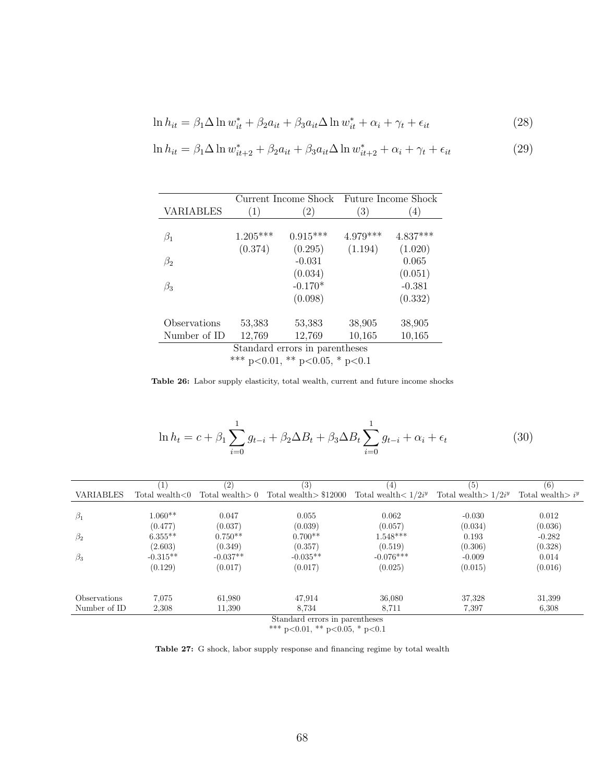$$
\ln h_{it} = \beta_1 \Delta \ln w_{it}^* + \beta_2 a_{it} + \beta_3 a_{it} \Delta \ln w_{it}^* + \alpha_i + \gamma_t + \epsilon_{it}
$$
\n(28)

$$
\ln h_{it} = \beta_1 \Delta \ln w_{it+2}^* + \beta_2 a_{it} + \beta_3 a_{it} \Delta \ln w_{it+2}^* + \alpha_i + \gamma_t + \epsilon_{it}
$$
\n(29)

|                  | Current Income Shock |                                | Future Income Shock |            |  |
|------------------|----------------------|--------------------------------|---------------------|------------|--|
| <b>VARIABLES</b> | (1)                  | $\left( 2\right)$              | $\left( 3\right)$   | (4)        |  |
|                  |                      |                                |                     |            |  |
| $\beta_1$        | $1.205***$           | $0.915***$                     | $4.979***$          | $4.837***$ |  |
|                  | (0.374)              | (0.295)                        | (1.194)             | (1.020)    |  |
| $\beta_2$        |                      | $-0.031$                       |                     | 0.065      |  |
|                  |                      | (0.034)                        |                     | (0.051)    |  |
| $\beta_3$        |                      | $-0.170*$                      |                     | $-0.381$   |  |
|                  |                      | (0.098)                        |                     | (0.332)    |  |
| Observations     | 53,383               | 53,383                         | 38,905              | 38,905     |  |
| Number of ID     | 12,769               | 12,769                         | 10,165              | 10,165     |  |
|                  |                      | Standard errors in parentheses |                     |            |  |

\*\*\* p<0.01, \*\* p<0.05, \* p<0.1

Table 26: Labor supply elasticity, total wealth, current and future income shocks

$$
\ln h_t = c + \beta_1 \sum_{i=0}^{1} g_{t-i} + \beta_2 \Delta B_t + \beta_3 \Delta B_t \sum_{i=0}^{1} g_{t-i} + \alpha_i + \epsilon_t
$$
 (30)

|                  |                  | (2)                | (3)                            | [4]                   | (5)                    | (6)                        |
|------------------|------------------|--------------------|--------------------------------|-----------------------|------------------------|----------------------------|
| <b>VARIABLES</b> | Total wealth < 0 | Total wealth $> 0$ | Total wealth $> $12000$        | Total wealth $1/2i^y$ | Total wealth $>1/2i^y$ | Total wealth $\frac{1}{y}$ |
|                  |                  |                    |                                |                       |                        |                            |
| $\beta_1$        | $1.060**$        | 0.047              | 0.055                          | 0.062                 | $-0.030$               | 0.012                      |
|                  | (0.477)          | (0.037)            | (0.039)                        | (0.057)               | (0.034)                | (0.036)                    |
| $\beta_2$        | $6.355**$        | $0.750**$          | $0.700**$                      | $1.548***$            | 0.193                  | $-0.282$                   |
|                  | (2.603)          | (0.349)            | (0.357)                        | (0.519)               | (0.306)                | (0.328)                    |
| $\beta_3$        | $-0.315**$       | $-0.037**$         | $-0.035**$                     | $-0.076***$           | $-0.009$               | 0.014                      |
|                  | (0.129)          | (0.017)            | (0.017)                        | (0.025)               | (0.015)                | (0.016)                    |
|                  |                  |                    |                                |                       |                        |                            |
| Observations     | 7,075            | 61,980             | 47,914                         | 36,080                | 37,328                 | 31,399                     |
| Number of ID     | 2,308            | 11,390             | 8.734                          | 8,711                 | 7.397                  | 6,308                      |
|                  |                  |                    | Standard errors in parentheses |                       |                        |                            |

\*\*\* p<0.01, \*\* p<0.05, \* p<0.1

Table 27: G shock, labor supply response and financing regime by total wealth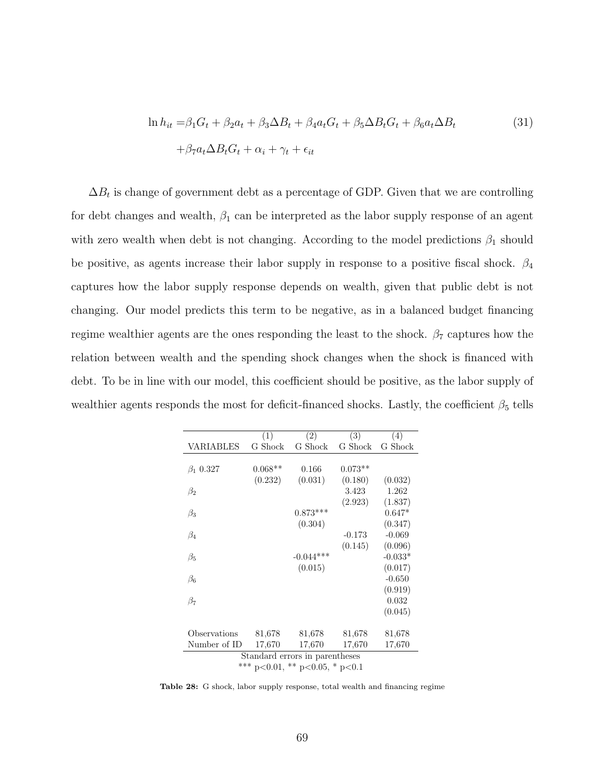$$
\ln h_{it} = \beta_1 G_t + \beta_2 a_t + \beta_3 \Delta B_t + \beta_4 a_t G_t + \beta_5 \Delta B_t G_t + \beta_6 a_t \Delta B_t
$$
  
+ 
$$
\beta_7 a_t \Delta B_t G_t + \alpha_i + \gamma_t + \epsilon_{it}
$$
 (31)

 $\Delta B_t$  is change of government debt as a percentage of GDP. Given that we are controlling for debt changes and wealth,  $\beta_1$  can be interpreted as the labor supply response of an agent with zero wealth when debt is not changing. According to the model predictions  $\beta_1$  should be positive, as agents increase their labor supply in response to a positive fiscal shock.  $\beta_4$ captures how the labor supply response depends on wealth, given that public debt is not changing. Our model predicts this term to be negative, as in a balanced budget financing regime wealthier agents are the ones responding the least to the shock.  $\beta_7$  captures how the relation between wealth and the spending shock changes when the shock is financed with debt. To be in line with our model, this coefficient should be positive, as the labor supply of wealthier agents responds the most for deficit-financed shocks. Lastly, the coefficient  $\beta_5$  tells

<span id="page-69-0"></span>

| G Shock<br>G Shock                     |
|----------------------------------------|
|                                        |
|                                        |
| $0.073**$                              |
| (0.180)<br>(0.032)                     |
| 3.423<br>1.262                         |
| (2.923)<br>(1.837)                     |
| $0.647*$                               |
| (0.347)                                |
| $-0.069$<br>$-0.173$                   |
| (0.145)<br>(0.096)                     |
| $-0.033*$                              |
| (0.017)                                |
| $-0.650$                               |
| (0.919)                                |
| 0.032                                  |
| (0.045)                                |
| 81,678<br>81,678                       |
| 17,670<br>17,670                       |
| Standard errors in parentheses         |
| *** $p<0.01$ , ** $p<0.05$ , * $p<0.1$ |
|                                        |

Table 28: G shock, labor supply response, total wealth and financing regime